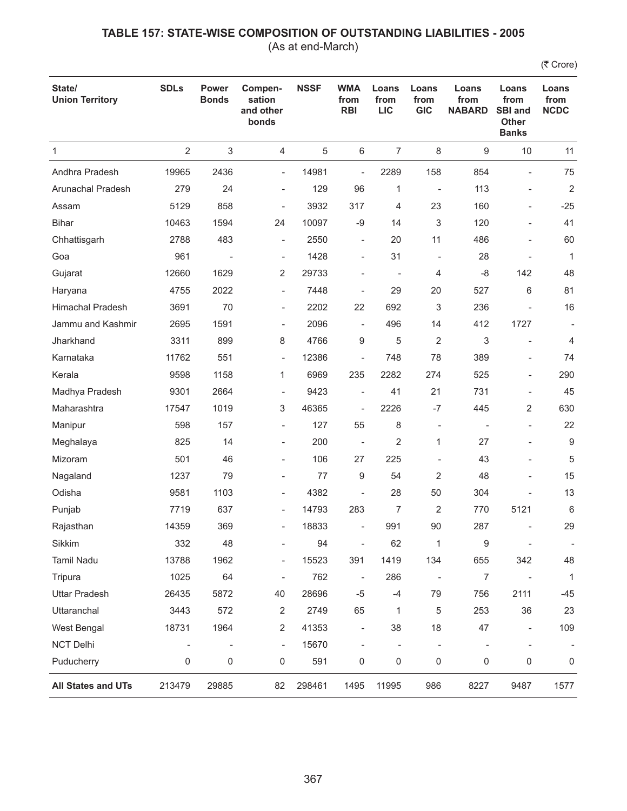(As at end-March)

| State/<br><b>Union Territory</b> | <b>SDLs</b>              | <b>Power</b><br><b>Bonds</b> | Compen-<br>sation<br>and other<br>bonds | <b>NSSF</b> | <b>WMA</b><br>from<br><b>RBI</b> | Loans<br>from<br><b>LIC</b> | Loans<br>from<br><b>GIC</b> | Loans<br>from<br><b>NABARD</b> | Loans<br>from<br><b>SBI and</b><br><b>Other</b><br><b>Banks</b> | Loans<br>from<br><b>NCDC</b> |
|----------------------------------|--------------------------|------------------------------|-----------------------------------------|-------------|----------------------------------|-----------------------------|-----------------------------|--------------------------------|-----------------------------------------------------------------|------------------------------|
| $\mathbf{1}$                     | $\overline{2}$           | 3                            | 4                                       | 5           | $\,6\,$                          | $\overline{7}$              | $\,8\,$                     | 9                              | 10                                                              | 11                           |
| Andhra Pradesh                   | 19965                    | 2436                         | $\overline{\phantom{0}}$                | 14981       | $\overline{\phantom{0}}$         | 2289                        | 158                         | 854                            | $\overline{\phantom{0}}$                                        | 75                           |
| Arunachal Pradesh                | 279                      | 24                           | $\overline{\phantom{0}}$                | 129         | 96                               | 1                           | $\overline{\phantom{a}}$    | 113                            | $\qquad \qquad \blacksquare$                                    | $\overline{2}$               |
| Assam                            | 5129                     | 858                          | $\overline{\phantom{m}}$                | 3932        | 317                              | 4                           | 23                          | 160                            | $\overline{a}$                                                  | $-25$                        |
| <b>Bihar</b>                     | 10463                    | 1594                         | 24                                      | 10097       | $-9$                             | 14                          | 3                           | 120                            |                                                                 | 41                           |
| Chhattisgarh                     | 2788                     | 483                          | $\overline{\phantom{0}}$                | 2550        | $\overline{\phantom{a}}$         | 20                          | 11                          | 486                            | $\overline{\phantom{a}}$                                        | 60                           |
| Goa                              | 961                      |                              | $\overline{\phantom{a}}$                | 1428        | $\overline{\phantom{a}}$         | 31                          | $\overline{\phantom{m}}$    | 28                             |                                                                 | $\mathbf{1}$                 |
| Gujarat                          | 12660                    | 1629                         | 2                                       | 29733       |                                  | $\overline{\phantom{a}}$    | 4                           | -8                             | 142                                                             | 48                           |
| Haryana                          | 4755                     | 2022                         | $\overline{\phantom{a}}$                | 7448        | $\overline{\phantom{a}}$         | 29                          | 20                          | 527                            | 6                                                               | 81                           |
| <b>Himachal Pradesh</b>          | 3691                     | 70                           | $\overline{\phantom{0}}$                | 2202        | 22                               | 692                         | 3                           | 236                            |                                                                 | 16                           |
| Jammu and Kashmir                | 2695                     | 1591                         | $\overline{\phantom{a}}$                | 2096        | $\overline{\phantom{a}}$         | 496                         | 14                          | 412                            | 1727                                                            |                              |
| Jharkhand                        | 3311                     | 899                          | 8                                       | 4766        | 9                                | 5                           | $\overline{2}$              | 3                              |                                                                 | 4                            |
| Karnataka                        | 11762                    | 551                          | $\overline{\phantom{0}}$                | 12386       | $\overline{\phantom{a}}$         | 748                         | 78                          | 389                            | $\overline{a}$                                                  | 74                           |
| Kerala                           | 9598                     | 1158                         | 1                                       | 6969        | 235                              | 2282                        | 274                         | 525                            | $\qquad \qquad \blacksquare$                                    | 290                          |
| Madhya Pradesh                   | 9301                     | 2664                         | $\overline{\phantom{a}}$                | 9423        | $\overline{\phantom{a}}$         | 41                          | 21                          | 731                            |                                                                 | 45                           |
| Maharashtra                      | 17547                    | 1019                         | 3                                       | 46365       | $\overline{\phantom{a}}$         | 2226                        | $-7$                        | 445                            | 2                                                               | 630                          |
| Manipur                          | 598                      | 157                          | $\overline{\phantom{0}}$                | 127         | 55                               | 8                           | $\overline{\phantom{a}}$    |                                | ÷                                                               | 22                           |
| Meghalaya                        | 825                      | 14                           | $\overline{\phantom{0}}$                | 200         | $\overline{\phantom{a}}$         | $\overline{2}$              | 1                           | 27                             |                                                                 | 9                            |
| Mizoram                          | 501                      | 46                           | $\overline{\phantom{0}}$                | 106         | 27                               | 225                         | $\overline{a}$              | 43                             |                                                                 | 5                            |
| Nagaland                         | 1237                     | 79                           | $\overline{\phantom{0}}$                | 77          | 9                                | 54                          | $\overline{2}$              | 48                             |                                                                 | 15                           |
| Odisha                           | 9581                     | 1103                         | ÷                                       | 4382        | ÷                                | 28                          | 50                          | 304                            |                                                                 | 13                           |
| Punjab                           | 7719                     | 637                          | $\overline{\phantom{0}}$                | 14793       | 283                              | $\overline{7}$              | 2                           | 770                            | 5121                                                            | 6                            |
| Rajasthan                        | 14359                    | 369                          | $\overline{\phantom{0}}$                | 18833       | $\overline{\phantom{a}}$         | 991                         | 90                          | 287                            |                                                                 | 29                           |
| Sikkim                           | 332                      | 48                           | ÷                                       | 94          | $\overline{\phantom{a}}$         | 62                          | 1                           | 9                              | $\overline{\phantom{a}}$                                        | $\overline{\phantom{a}}$     |
| Tamil Nadu                       | 13788                    | 1962                         | $\overline{a}$                          | 15523       | 391                              | 1419                        | 134                         | 655                            | 342                                                             | 48                           |
| Tripura                          | 1025                     | 64                           | $\overline{\phantom{a}}$                | 762         | $\overline{\phantom{a}}$         | 286                         | $\overline{\phantom{0}}$    | 7                              | $\overline{\phantom{a}}$                                        | $\mathbf{1}$                 |
| <b>Uttar Pradesh</b>             | 26435                    | 5872                         | 40                                      | 28696       | $-5$                             | $-4$                        | 79                          | 756                            | 2111                                                            | -45                          |
| Uttaranchal                      | 3443                     | 572                          | $\sqrt{2}$                              | 2749        | 65                               | 1                           | 5                           | 253                            | 36                                                              | 23                           |
| West Bengal                      | 18731                    | 1964                         | 2                                       | 41353       | $\overline{\phantom{a}}$         | 38                          | 18                          | 47                             | $\overline{\phantom{a}}$                                        | 109                          |
| <b>NCT Delhi</b>                 | $\overline{\phantom{a}}$ | $\overline{\phantom{a}}$     | $\qquad \qquad -$                       | 15670       | $\overline{\phantom{a}}$         | $\overline{\phantom{a}}$    | ÷,                          | $\overline{\phantom{a}}$       | $\overline{\phantom{a}}$                                        |                              |
| Puducherry                       | 0                        | 0                            | 0                                       | 591         | 0                                | $\mathsf 0$                 | $\mathsf 0$                 | 0                              | 0                                                               | 0                            |
| All States and UTs               | 213479                   | 29885                        | 82                                      | 298461      | 1495                             | 11995                       | 986                         | 8227                           | 9487                                                            | 1577                         |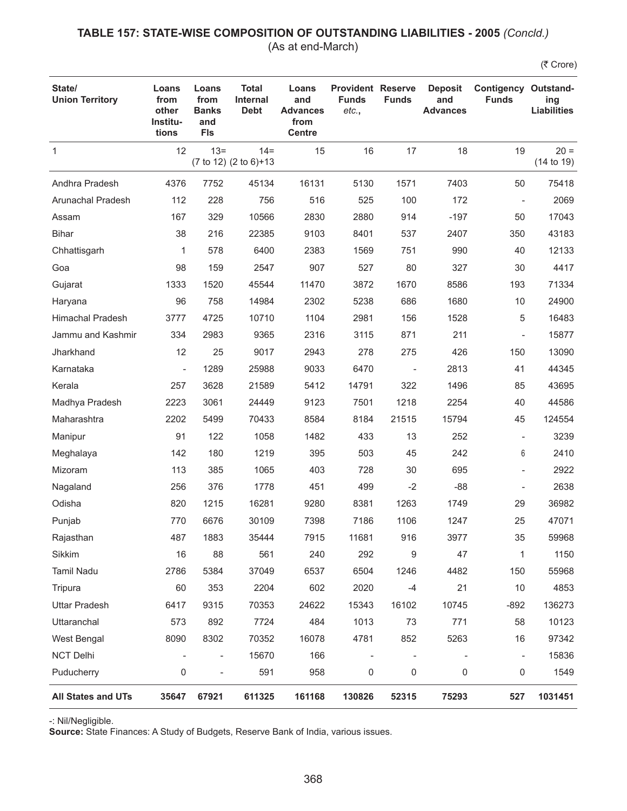### **TABLE 157: STATE-WISE COMPOSITION OF OUTSTANDING LIABILITIES - 2005** *(Concld.)* (As at end-March)

(₹ Crore)

| State/<br><b>Union Territory</b> | Loans<br>from<br>other<br>Institu-<br>tions | Loans<br>from<br><b>Banks</b><br>and<br><b>FIs</b> | <b>Total</b><br><b>Internal</b><br><b>Debt</b> | Loans<br>and<br><b>Advances</b><br>from<br><b>Centre</b> | <b>Provident Reserve</b><br><b>Funds</b><br>etc., | <b>Funds</b>             | <b>Deposit</b><br>and<br><b>Advances</b> | <b>Contigency Outstand-</b><br><b>Funds</b> | ing<br><b>Liabilities</b> |
|----------------------------------|---------------------------------------------|----------------------------------------------------|------------------------------------------------|----------------------------------------------------------|---------------------------------------------------|--------------------------|------------------------------------------|---------------------------------------------|---------------------------|
| $\mathbf{1}$                     | 12                                          | $13 =$                                             | $14 =$<br>(7 to 12) (2 to 6)+13                | 15                                                       | 16                                                | 17                       | 18                                       | 19                                          | $20 =$<br>(14 to 19)      |
| Andhra Pradesh                   | 4376                                        | 7752                                               | 45134                                          | 16131                                                    | 5130                                              | 1571                     | 7403                                     | 50                                          | 75418                     |
| Arunachal Pradesh                | 112                                         | 228                                                | 756                                            | 516                                                      | 525                                               | 100                      | 172                                      | $\overline{\phantom{a}}$                    | 2069                      |
| Assam                            | 167                                         | 329                                                | 10566                                          | 2830                                                     | 2880                                              | 914                      | $-197$                                   | 50                                          | 17043                     |
| <b>Bihar</b>                     | 38                                          | 216                                                | 22385                                          | 9103                                                     | 8401                                              | 537                      | 2407                                     | 350                                         | 43183                     |
| Chhattisgarh                     | 1                                           | 578                                                | 6400                                           | 2383                                                     | 1569                                              | 751                      | 990                                      | 40                                          | 12133                     |
| Goa                              | 98                                          | 159                                                | 2547                                           | 907                                                      | 527                                               | 80                       | 327                                      | 30                                          | 4417                      |
| Gujarat                          | 1333                                        | 1520                                               | 45544                                          | 11470                                                    | 3872                                              | 1670                     | 8586                                     | 193                                         | 71334                     |
| Haryana                          | 96                                          | 758                                                | 14984                                          | 2302                                                     | 5238                                              | 686                      | 1680                                     | 10                                          | 24900                     |
| <b>Himachal Pradesh</b>          | 3777                                        | 4725                                               | 10710                                          | 1104                                                     | 2981                                              | 156                      | 1528                                     | 5                                           | 16483                     |
| Jammu and Kashmir                | 334                                         | 2983                                               | 9365                                           | 2316                                                     | 3115                                              | 871                      | 211                                      | $\overline{\phantom{a}}$                    | 15877                     |
| Jharkhand                        | 12                                          | 25                                                 | 9017                                           | 2943                                                     | 278                                               | 275                      | 426                                      | 150                                         | 13090                     |
| Karnataka                        | $\overline{\phantom{a}}$                    | 1289                                               | 25988                                          | 9033                                                     | 6470                                              | $\overline{\phantom{a}}$ | 2813                                     | 41                                          | 44345                     |
| Kerala                           | 257                                         | 3628                                               | 21589                                          | 5412                                                     | 14791                                             | 322                      | 1496                                     | 85                                          | 43695                     |
| Madhya Pradesh                   | 2223                                        | 3061                                               | 24449                                          | 9123                                                     | 7501                                              | 1218                     | 2254                                     | 40                                          | 44586                     |
| Maharashtra                      | 2202                                        | 5499                                               | 70433                                          | 8584                                                     | 8184                                              | 21515                    | 15794                                    | 45                                          | 124554                    |
| Manipur                          | 91                                          | 122                                                | 1058                                           | 1482                                                     | 433                                               | 13                       | 252                                      | $\overline{\phantom{a}}$                    | 3239                      |
| Meghalaya                        | 142                                         | 180                                                | 1219                                           | 395                                                      | 503                                               | 45                       | 242                                      | 6                                           | 2410                      |
| Mizoram                          | 113                                         | 385                                                | 1065                                           | 403                                                      | 728                                               | 30                       | 695                                      | $\overline{\phantom{a}}$                    | 2922                      |
| Nagaland                         | 256                                         | 376                                                | 1778                                           | 451                                                      | 499                                               | $-2$                     | $-88$                                    |                                             | 2638                      |
| Odisha                           | 820                                         | 1215                                               | 16281                                          | 9280                                                     | 8381                                              | 1263                     | 1749                                     | 29                                          | 36982                     |
| Punjab                           | 770                                         | 6676                                               | 30109                                          | 7398                                                     | 7186                                              | 1106                     | 1247                                     | 25                                          | 47071                     |
| Rajasthan                        | 487                                         | 1883                                               | 35444                                          | 7915                                                     | 11681                                             | 916                      | 3977                                     | 35                                          | 59968                     |
| Sikkim                           | 16                                          | 88                                                 | 561                                            | 240                                                      | 292                                               | 9                        | 47                                       | 1                                           | 1150                      |
| <b>Tamil Nadu</b>                | 2786                                        | 5384                                               | 37049                                          | 6537                                                     | 6504                                              | 1246                     | 4482                                     | 150                                         | 55968                     |
| Tripura                          | 60                                          | 353                                                | 2204                                           | 602                                                      | 2020                                              | $-4$                     | 21                                       | 10                                          | 4853                      |
| <b>Uttar Pradesh</b>             | 6417                                        | 9315                                               | 70353                                          | 24622                                                    | 15343                                             | 16102                    | 10745                                    | $-892$                                      | 136273                    |
| Uttaranchal                      | 573                                         | 892                                                | 7724                                           | 484                                                      | 1013                                              | 73                       | 771                                      | 58                                          | 10123                     |
| West Bengal                      | 8090                                        | 8302                                               | 70352                                          | 16078                                                    | 4781                                              | 852                      | 5263                                     | 16                                          | 97342                     |
| <b>NCT Delhi</b>                 | $\overline{\phantom{a}}$                    | $\qquad \qquad -$                                  | 15670                                          | 166                                                      |                                                   | $\overline{\phantom{a}}$ |                                          | $\overline{\phantom{a}}$                    | 15836                     |
| Puducherry                       | 0                                           | L,                                                 | 591                                            | 958                                                      | 0                                                 | 0                        | 0                                        | 0                                           | 1549                      |
| All States and UTs               | 35647                                       | 67921                                              | 611325                                         | 161168                                                   | 130826                                            | 52315                    | 75293                                    | 527                                         | 1031451                   |

-: Nil/Negligible.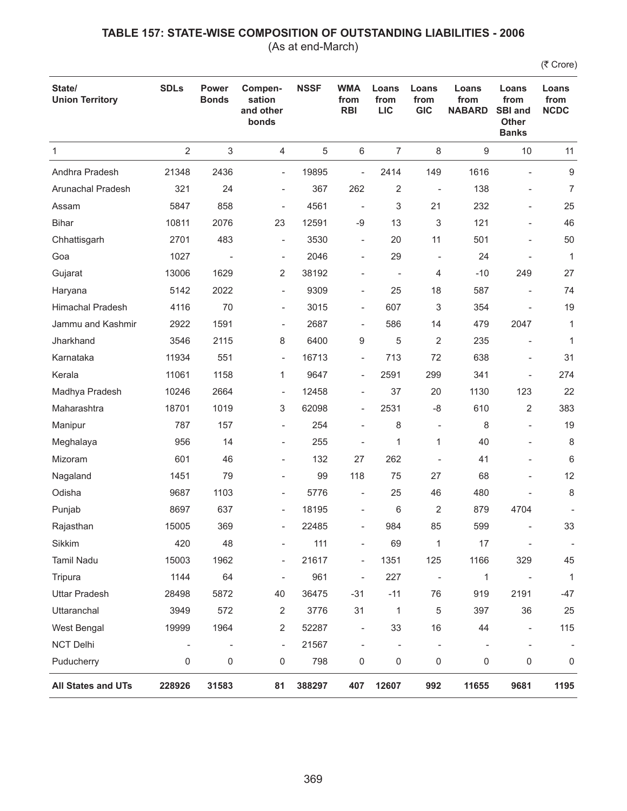(As at end-March)

| State/<br><b>Union Territory</b> | <b>SDLs</b>              | <b>Power</b><br><b>Bonds</b> | Compen-<br>sation<br>and other<br>bonds | <b>NSSF</b> | <b>WMA</b><br>from<br><b>RBI</b> | Loans<br>from<br><b>LIC</b> | Loans<br>from<br><b>GIC</b> | Loans<br>from<br><b>NABARD</b> | Loans<br>from<br><b>SBI and</b><br>Other<br><b>Banks</b> | Loans<br>from<br><b>NCDC</b> |
|----------------------------------|--------------------------|------------------------------|-----------------------------------------|-------------|----------------------------------|-----------------------------|-----------------------------|--------------------------------|----------------------------------------------------------|------------------------------|
| $\mathbf{1}$                     | $\overline{2}$           | $\sqrt{3}$                   | 4                                       | 5           | $\,6\,$                          | $\overline{7}$              | $\,8\,$                     | 9                              | 10                                                       | 11                           |
| Andhra Pradesh                   | 21348                    | 2436                         | $\overline{\phantom{a}}$                | 19895       | $\bar{\phantom{a}}$              | 2414                        | 149                         | 1616                           | $\blacksquare$                                           | $\boldsymbol{9}$             |
| Arunachal Pradesh                | 321                      | 24                           | $\overline{\phantom{0}}$                | 367         | 262                              | 2                           | $\overline{\phantom{a}}$    | 138                            | $\qquad \qquad \blacksquare$                             | 7                            |
| Assam                            | 5847                     | 858                          | $\overline{\phantom{m}}$                | 4561        | $\overline{\phantom{a}}$         | 3                           | 21                          | 232                            |                                                          | 25                           |
| <b>Bihar</b>                     | 10811                    | 2076                         | 23                                      | 12591       | $-9$                             | 13                          | 3                           | 121                            |                                                          | 46                           |
| Chhattisgarh                     | 2701                     | 483                          | $\overline{\phantom{a}}$                | 3530        | $\overline{\phantom{a}}$         | 20                          | 11                          | 501                            | $\overline{\phantom{a}}$                                 | 50                           |
| Goa                              | 1027                     |                              | $\overline{\phantom{a}}$                | 2046        | $\overline{\phantom{a}}$         | 29                          | $\overline{\phantom{m}}$    | 24                             |                                                          | $\mathbf{1}$                 |
| Gujarat                          | 13006                    | 1629                         | 2                                       | 38192       |                                  | $\overline{\phantom{a}}$    | 4                           | $-10$                          | 249                                                      | 27                           |
| Haryana                          | 5142                     | 2022                         | $\overline{\phantom{a}}$                | 9309        | $\overline{\phantom{a}}$         | 25                          | 18                          | 587                            |                                                          | 74                           |
| <b>Himachal Pradesh</b>          | 4116                     | 70                           | $\overline{\phantom{a}}$                | 3015        | $\overline{\phantom{a}}$         | 607                         | 3                           | 354                            |                                                          | 19                           |
| Jammu and Kashmir                | 2922                     | 1591                         | $\overline{\phantom{a}}$                | 2687        | $\overline{\phantom{a}}$         | 586                         | 14                          | 479                            | 2047                                                     | $\mathbf{1}$                 |
| Jharkhand                        | 3546                     | 2115                         | 8                                       | 6400        | 9                                | 5                           | 2                           | 235                            |                                                          | $\mathbf{1}$                 |
| Karnataka                        | 11934                    | 551                          | $\overline{\phantom{a}}$                | 16713       | $\overline{\phantom{a}}$         | 713                         | 72                          | 638                            | $\qquad \qquad \blacksquare$                             | 31                           |
| Kerala                           | 11061                    | 1158                         | 1                                       | 9647        | $\overline{\phantom{a}}$         | 2591                        | 299                         | 341                            | ÷                                                        | 274                          |
| Madhya Pradesh                   | 10246                    | 2664                         | $\overline{\phantom{a}}$                | 12458       | $\overline{\phantom{a}}$         | 37                          | 20                          | 1130                           | 123                                                      | 22                           |
| Maharashtra                      | 18701                    | 1019                         | 3                                       | 62098       | $\overline{\phantom{a}}$         | 2531                        | -8                          | 610                            | 2                                                        | 383                          |
| Manipur                          | 787                      | 157                          | $\overline{\phantom{0}}$                | 254         | $\overline{\phantom{a}}$         | 8                           | $\overline{\phantom{a}}$    | 8                              | $\overline{\phantom{a}}$                                 | 19                           |
| Meghalaya                        | 956                      | 14                           | $\overline{\phantom{0}}$                | 255         | ÷                                | 1                           | 1                           | 40                             |                                                          | 8                            |
| Mizoram                          | 601                      | 46                           | $\overline{\phantom{0}}$                | 132         | 27                               | 262                         |                             | 41                             | $\qquad \qquad \blacksquare$                             | 6                            |
| Nagaland                         | 1451                     | 79                           | $\overline{a}$                          | 99          | 118                              | 75                          | 27                          | 68                             |                                                          | 12                           |
| Odisha                           | 9687                     | 1103                         | $\overline{\phantom{0}}$                | 5776        | $\overline{\phantom{a}}$         | 25                          | 46                          | 480                            |                                                          | $\,8\,$                      |
| Punjab                           | 8697                     | 637                          | $\overline{\phantom{a}}$                | 18195       | $\overline{\phantom{a}}$         | 6                           | 2                           | 879                            | 4704                                                     |                              |
| Rajasthan                        | 15005                    | 369                          | $\overline{\phantom{0}}$                | 22485       | $\overline{a}$                   | 984                         | 85                          | 599                            |                                                          | 33                           |
| Sikkim                           | 420                      | 48                           |                                         | 111         |                                  | 69                          | 1                           | 17                             |                                                          |                              |
| Tamil Nadu                       | 15003                    | 1962                         | $\overline{\phantom{0}}$                | 21617       | $\overline{\phantom{a}}$         | 1351                        | 125                         | 1166                           | 329                                                      | 45                           |
| Tripura                          | 1144                     | 64                           | $\overline{\phantom{a}}$                | 961         | $\overline{\phantom{a}}$         | 227                         | $\overline{\phantom{0}}$    | 1                              | $\overline{\phantom{a}}$                                 | $\mathbf{1}$                 |
| <b>Uttar Pradesh</b>             | 28498                    | 5872                         | 40                                      | 36475       | $-31$                            | $-11$                       | 76                          | 919                            | 2191                                                     | -47                          |
| Uttaranchal                      | 3949                     | 572                          | $\overline{2}$                          | 3776        | 31                               | 1                           | 5                           | 397                            | 36                                                       | 25                           |
| West Bengal                      | 19999                    | 1964                         | 2                                       | 52287       | $\overline{\phantom{a}}$         | 33                          | 16                          | 44                             | $\overline{\phantom{a}}$                                 | 115                          |
| <b>NCT Delhi</b>                 | $\overline{\phantom{a}}$ | $\overline{\phantom{a}}$     | $\overline{\phantom{a}}$                | 21567       | $\overline{\phantom{a}}$         | $\overline{\phantom{a}}$    | $\overline{\phantom{0}}$    |                                | $\overline{\phantom{a}}$                                 |                              |
| Puducherry                       | 0                        | 0                            | 0                                       | 798         | 0                                | $\mathsf 0$                 | 0                           | 0                              | 0                                                        | 0                            |
| All States and UTs               | 228926                   | 31583                        | 81                                      | 388297      | 407                              | 12607                       | 992                         | 11655                          | 9681                                                     | 1195                         |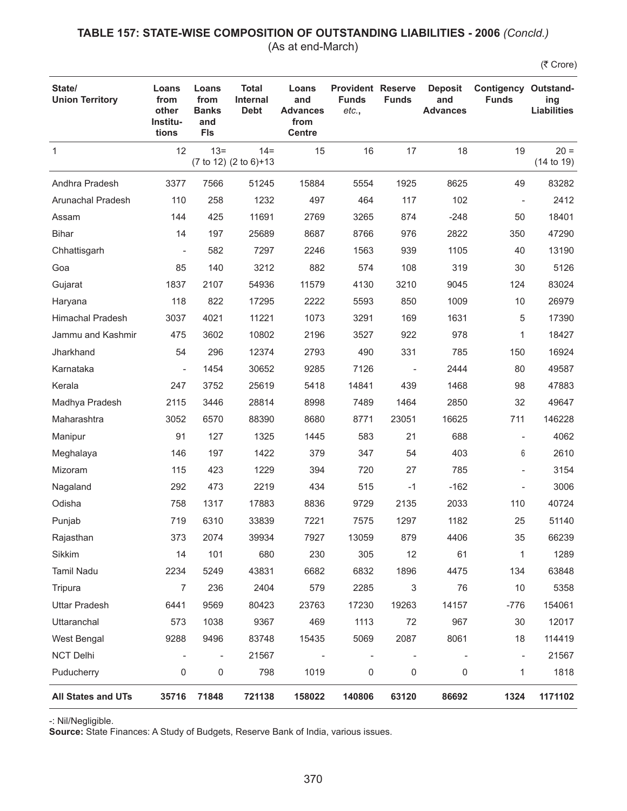### **TABLE 157: STATE-WISE COMPOSITION OF OUTSTANDING LIABILITIES - 2006** *(Concld.)* (As at end-March)

(₹ Crore)

| State/<br><b>Union Territory</b> | Loans<br>from<br>other<br>Institu-<br>tions | Loans<br>from<br><b>Banks</b><br>and<br><b>FIs</b> | <b>Total</b><br><b>Internal</b><br><b>Debt</b> | Loans<br>and<br><b>Advances</b><br>from<br><b>Centre</b> | <b>Provident Reserve</b><br><b>Funds</b><br>etc., | <b>Funds</b>             | <b>Deposit</b><br>and<br><b>Advances</b> | <b>Contigency Outstand-</b><br><b>Funds</b> | ing<br><b>Liabilities</b> |
|----------------------------------|---------------------------------------------|----------------------------------------------------|------------------------------------------------|----------------------------------------------------------|---------------------------------------------------|--------------------------|------------------------------------------|---------------------------------------------|---------------------------|
| $\mathbf{1}$                     | 12                                          | $13 =$                                             | $14 =$<br>(7 to 12) (2 to 6)+13                | 15                                                       | 16                                                | 17                       | 18                                       | 19                                          | $20 =$<br>(14 to 19)      |
| Andhra Pradesh                   | 3377                                        | 7566                                               | 51245                                          | 15884                                                    | 5554                                              | 1925                     | 8625                                     | 49                                          | 83282                     |
| Arunachal Pradesh                | 110                                         | 258                                                | 1232                                           | 497                                                      | 464                                               | 117                      | 102                                      |                                             | 2412                      |
| Assam                            | 144                                         | 425                                                | 11691                                          | 2769                                                     | 3265                                              | 874                      | $-248$                                   | 50                                          | 18401                     |
| <b>Bihar</b>                     | 14                                          | 197                                                | 25689                                          | 8687                                                     | 8766                                              | 976                      | 2822                                     | 350                                         | 47290                     |
| Chhattisgarh                     | $\overline{\phantom{a}}$                    | 582                                                | 7297                                           | 2246                                                     | 1563                                              | 939                      | 1105                                     | 40                                          | 13190                     |
| Goa                              | 85                                          | 140                                                | 3212                                           | 882                                                      | 574                                               | 108                      | 319                                      | 30                                          | 5126                      |
| Gujarat                          | 1837                                        | 2107                                               | 54936                                          | 11579                                                    | 4130                                              | 3210                     | 9045                                     | 124                                         | 83024                     |
| Haryana                          | 118                                         | 822                                                | 17295                                          | 2222                                                     | 5593                                              | 850                      | 1009                                     | 10                                          | 26979                     |
| <b>Himachal Pradesh</b>          | 3037                                        | 4021                                               | 11221                                          | 1073                                                     | 3291                                              | 169                      | 1631                                     | 5                                           | 17390                     |
| Jammu and Kashmir                | 475                                         | 3602                                               | 10802                                          | 2196                                                     | 3527                                              | 922                      | 978                                      | 1                                           | 18427                     |
| Jharkhand                        | 54                                          | 296                                                | 12374                                          | 2793                                                     | 490                                               | 331                      | 785                                      | 150                                         | 16924                     |
| Karnataka                        | $\overline{\phantom{0}}$                    | 1454                                               | 30652                                          | 9285                                                     | 7126                                              | $\overline{\phantom{a}}$ | 2444                                     | 80                                          | 49587                     |
| Kerala                           | 247                                         | 3752                                               | 25619                                          | 5418                                                     | 14841                                             | 439                      | 1468                                     | 98                                          | 47883                     |
| Madhya Pradesh                   | 2115                                        | 3446                                               | 28814                                          | 8998                                                     | 7489                                              | 1464                     | 2850                                     | 32                                          | 49647                     |
| Maharashtra                      | 3052                                        | 6570                                               | 88390                                          | 8680                                                     | 8771                                              | 23051                    | 16625                                    | 711                                         | 146228                    |
| Manipur                          | 91                                          | 127                                                | 1325                                           | 1445                                                     | 583                                               | 21                       | 688                                      |                                             | 4062                      |
| Meghalaya                        | 146                                         | 197                                                | 1422                                           | 379                                                      | 347                                               | 54                       | 403                                      | 6                                           | 2610                      |
| Mizoram                          | 115                                         | 423                                                | 1229                                           | 394                                                      | 720                                               | 27                       | 785                                      |                                             | 3154                      |
| Nagaland                         | 292                                         | 473                                                | 2219                                           | 434                                                      | 515                                               | $-1$                     | $-162$                                   |                                             | 3006                      |
| Odisha                           | 758                                         | 1317                                               | 17883                                          | 8836                                                     | 9729                                              | 2135                     | 2033                                     | 110                                         | 40724                     |
| Punjab                           | 719                                         | 6310                                               | 33839                                          | 7221                                                     | 7575                                              | 1297                     | 1182                                     | 25                                          | 51140                     |
| Rajasthan                        | 373                                         | 2074                                               | 39934                                          | 7927                                                     | 13059                                             | 879                      | 4406                                     | 35                                          | 66239                     |
| Sikkim                           | 14                                          | 101                                                | 680                                            | 230                                                      | 305                                               | 12                       | 61                                       | 1                                           | 1289                      |
| <b>Tamil Nadu</b>                | 2234                                        | 5249                                               | 43831                                          | 6682                                                     | 6832                                              | 1896                     | 4475                                     | 134                                         | 63848                     |
| Tripura                          | 7                                           | 236                                                | 2404                                           | 579                                                      | 2285                                              | 3                        | 76                                       | 10                                          | 5358                      |
| <b>Uttar Pradesh</b>             | 6441                                        | 9569                                               | 80423                                          | 23763                                                    | 17230                                             | 19263                    | 14157                                    | $-776$                                      | 154061                    |
| Uttaranchal                      | 573                                         | 1038                                               | 9367                                           | 469                                                      | 1113                                              | 72                       | 967                                      | 30                                          | 12017                     |
| West Bengal                      | 9288                                        | 9496                                               | 83748                                          | 15435                                                    | 5069                                              | 2087                     | 8061                                     | 18                                          | 114419                    |
| <b>NCT Delhi</b>                 | ÷                                           | $\qquad \qquad \blacksquare$                       | 21567                                          |                                                          |                                                   |                          |                                          | $\overline{a}$                              | 21567                     |
| Puducherry                       | $\mathbf 0$                                 | 0                                                  | 798                                            | 1019                                                     | $\mathsf 0$                                       | 0                        | 0                                        | 1                                           | 1818                      |
| All States and UTs               | 35716                                       | 71848                                              | 721138                                         | 158022                                                   | 140806                                            | 63120                    | 86692                                    | 1324                                        | 1171102                   |

-: Nil/Negligible.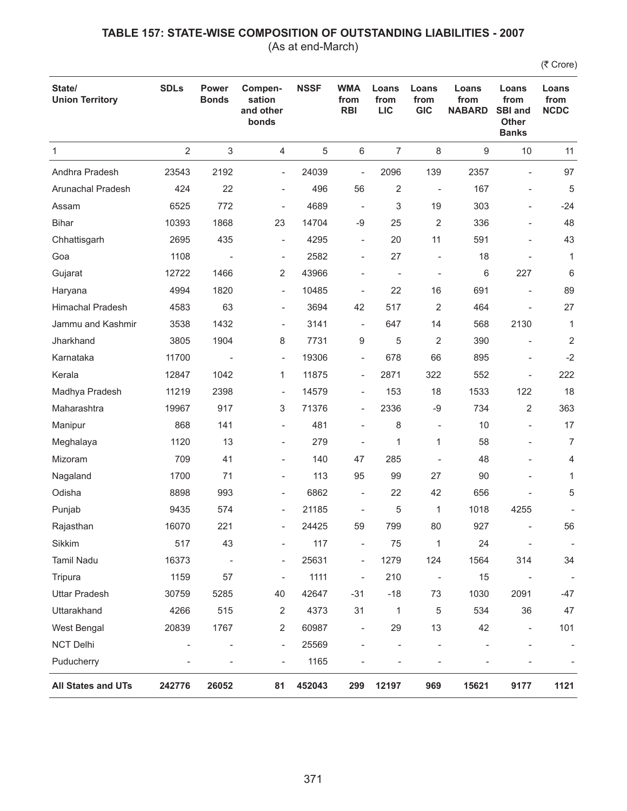(As at end-March)

| State/<br><b>Union Territory</b> | <b>SDLs</b>    | Power<br><b>Bonds</b>     | Compen-<br>sation<br>and other<br>bonds | <b>NSSF</b> | <b>WMA</b><br>from<br><b>RBI</b> | Loans<br>from<br><b>LIC</b> | Loans<br>from<br><b>GIC</b> | Loans<br>from<br><b>NABARD</b> | Loans<br>from<br><b>SBI and</b><br><b>Other</b><br><b>Banks</b> | Loans<br>from<br><b>NCDC</b> |
|----------------------------------|----------------|---------------------------|-----------------------------------------|-------------|----------------------------------|-----------------------------|-----------------------------|--------------------------------|-----------------------------------------------------------------|------------------------------|
| 1                                | $\overline{2}$ | $\ensuremath{\mathsf{3}}$ | 4                                       | 5           | 6                                | $\overline{7}$              | 8                           | 9                              | 10                                                              | 11                           |
| Andhra Pradesh                   | 23543          | 2192                      | $\overline{\phantom{0}}$                | 24039       | $\overline{\phantom{a}}$         | 2096                        | 139                         | 2357                           | $\overline{a}$                                                  | 97                           |
| Arunachal Pradesh                | 424            | 22                        | $\overline{\phantom{a}}$                | 496         | 56                               | $\overline{2}$              | $\overline{\phantom{a}}$    | 167                            | $\qquad \qquad -$                                               | 5                            |
| Assam                            | 6525           | 772                       | $\overline{\phantom{a}}$                | 4689        | $\overline{\phantom{a}}$         | 3                           | 19                          | 303                            |                                                                 | $-24$                        |
| <b>Bihar</b>                     | 10393          | 1868                      | 23                                      | 14704       | -9                               | 25                          | $\overline{2}$              | 336                            |                                                                 | 48                           |
| Chhattisgarh                     | 2695           | 435                       | $\overline{\phantom{a}}$                | 4295        | $\overline{\phantom{a}}$         | 20                          | 11                          | 591                            |                                                                 | 43                           |
| Goa                              | 1108           | $\overline{\phantom{a}}$  | $\overline{\phantom{a}}$                | 2582        | $\overline{\phantom{a}}$         | 27                          | $\overline{a}$              | 18                             |                                                                 | $\mathbf{1}$                 |
| Gujarat                          | 12722          | 1466                      | 2                                       | 43966       |                                  | $\overline{\phantom{a}}$    | $\overline{a}$              | 6                              | 227                                                             | 6                            |
| Haryana                          | 4994           | 1820                      | $\overline{\phantom{a}}$                | 10485       | $\overline{a}$                   | 22                          | 16                          | 691                            |                                                                 | 89                           |
| <b>Himachal Pradesh</b>          | 4583           | 63                        | $\overline{\phantom{a}}$                | 3694        | 42                               | 517                         | 2                           | 464                            |                                                                 | 27                           |
| Jammu and Kashmir                | 3538           | 1432                      | $\overline{\phantom{a}}$                | 3141        | $\overline{\phantom{a}}$         | 647                         | 14                          | 568                            | 2130                                                            | $\mathbf{1}$                 |
| Jharkhand                        | 3805           | 1904                      | 8                                       | 7731        | 9                                | 5                           | 2                           | 390                            |                                                                 | 2                            |
| Karnataka                        | 11700          |                           | $\overline{\phantom{a}}$                | 19306       | $\overline{\phantom{a}}$         | 678                         | 66                          | 895                            |                                                                 | $-2$                         |
| Kerala                           | 12847          | 1042                      | $\mathbf{1}$                            | 11875       | $\overline{\phantom{a}}$         | 2871                        | 322                         | 552                            | $\overline{\phantom{a}}$                                        | 222                          |
| Madhya Pradesh                   | 11219          | 2398                      | $\overline{\phantom{a}}$                | 14579       | $\overline{\phantom{a}}$         | 153                         | 18                          | 1533                           | 122                                                             | 18                           |
| Maharashtra                      | 19967          | 917                       | 3                                       | 71376       | $\overline{\phantom{a}}$         | 2336                        | $-9$                        | 734                            | 2                                                               | 363                          |
| Manipur                          | 868            | 141                       | $\overline{\phantom{a}}$                | 481         | $\overline{\phantom{a}}$         | 8                           | $\overline{a}$              | 10                             |                                                                 | 17                           |
| Meghalaya                        | 1120           | 13                        | $\overline{\phantom{a}}$                | 279         | $\overline{a}$                   | 1                           | 1                           | 58                             |                                                                 | $\overline{7}$               |
| Mizoram                          | 709            | 41                        | $\overline{\phantom{a}}$                | 140         | 47                               | 285                         | $\overline{a}$              | 48                             |                                                                 | 4                            |
| Nagaland                         | 1700           | 71                        | $\overline{\phantom{a}}$                | 113         | 95                               | 99                          | 27                          | 90                             |                                                                 | $\mathbf{1}$                 |
| Odisha                           | 8898           | 993                       | $\overline{\phantom{m}}$                | 6862        | $\overline{\phantom{a}}$         | 22                          | 42                          | 656                            |                                                                 | 5                            |
| Punjab                           | 9435           | 574                       | $\overline{\phantom{a}}$                | 21185       | $\overline{\phantom{a}}$         | 5                           | 1                           | 1018                           | 4255                                                            |                              |
| Rajasthan                        | 16070          | 221                       | $\overline{\phantom{a}}$                | 24425       | 59                               | 799                         | 80                          | 927                            |                                                                 | 56                           |
| Sikkim                           | 517            | 43                        |                                         | 117         | ÷,                               | 75                          | 1                           | 24                             | $\qquad \qquad \blacksquare$                                    |                              |
| Tamil Nadu                       | 16373          | $\overline{\phantom{a}}$  | $\overline{\phantom{a}}$                | 25631       | $\qquad \qquad \blacksquare$     | 1279                        | 124                         | 1564                           | 314                                                             | 34                           |
| Tripura                          | 1159           | 57                        | $\overline{\phantom{0}}$                | 1111        | $\overline{\phantom{a}}$         | 210                         | $\qquad \qquad -$           | 15                             |                                                                 |                              |
| <b>Uttar Pradesh</b>             | 30759          | 5285                      | 40                                      | 42647       | $-31$                            | $-18$                       | 73                          | 1030                           | 2091                                                            | -47                          |
| Uttarakhand                      | 4266           | 515                       | $\overline{2}$                          | 4373        | 31                               | 1                           | 5                           | 534                            | 36                                                              | 47                           |
| West Bengal                      | 20839          | 1767                      | 2                                       | 60987       | $\overline{\phantom{0}}$         | 29                          | 13                          | 42                             | $\overline{\phantom{a}}$                                        | 101                          |
| NCT Delhi                        | ÷,             |                           | $\blacksquare$                          | 25569       |                                  |                             |                             |                                |                                                                 |                              |
| Puducherry                       |                |                           | $\qquad \qquad -$                       | 1165        |                                  |                             |                             |                                |                                                                 |                              |
| All States and UTs               | 242776         | 26052                     | 81                                      | 452043      | 299                              | 12197                       | 969                         | 15621                          | 9177                                                            | 1121                         |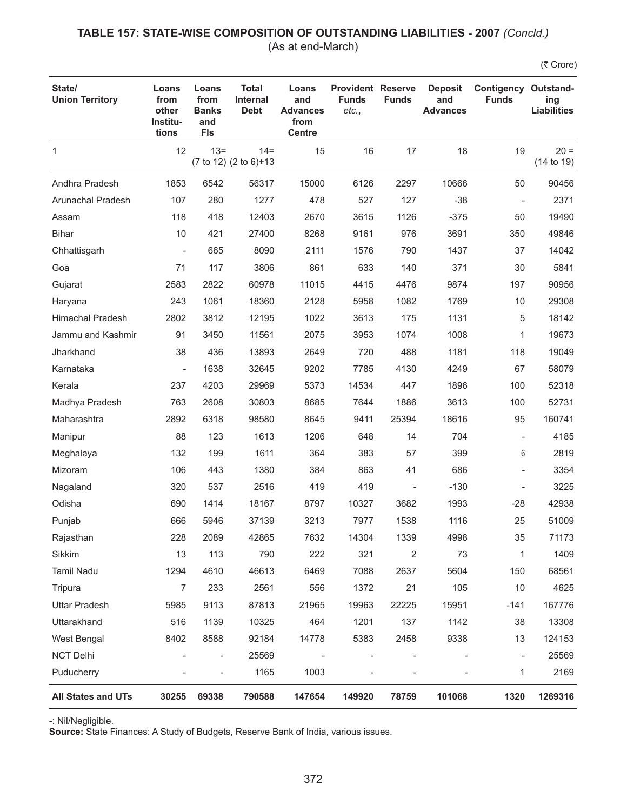### **TABLE 157: STATE-WISE COMPOSITION OF OUTSTANDING LIABILITIES - 2007** *(Concld.)* (As at end-March)

(₹ Crore)

| State/<br><b>Union Territory</b> | Loans<br>from<br>other<br>Institu-<br>tions | Loans<br>from<br><b>Banks</b><br>and<br><b>FIs</b> | <b>Total</b><br><b>Internal</b><br><b>Debt</b> | Loans<br>and<br><b>Advances</b><br>from<br><b>Centre</b> | <b>Provident Reserve</b><br><b>Funds</b><br>etc., | <b>Funds</b>             | <b>Deposit</b><br>and<br><b>Advances</b> | <b>Contigency Outstand-</b><br><b>Funds</b> | ing<br><b>Liabilities</b> |
|----------------------------------|---------------------------------------------|----------------------------------------------------|------------------------------------------------|----------------------------------------------------------|---------------------------------------------------|--------------------------|------------------------------------------|---------------------------------------------|---------------------------|
| $\mathbf{1}$                     | 12                                          | $13 =$                                             | $14 =$<br>(7 to 12) (2 to 6)+13                | 15                                                       | 16                                                | 17                       | 18                                       | 19                                          | $20 =$<br>(14 to 19)      |
| Andhra Pradesh                   | 1853                                        | 6542                                               | 56317                                          | 15000                                                    | 6126                                              | 2297                     | 10666                                    | 50                                          | 90456                     |
| Arunachal Pradesh                | 107                                         | 280                                                | 1277                                           | 478                                                      | 527                                               | 127                      | $-38$                                    | $\overline{\phantom{a}}$                    | 2371                      |
| Assam                            | 118                                         | 418                                                | 12403                                          | 2670                                                     | 3615                                              | 1126                     | $-375$                                   | 50                                          | 19490                     |
| <b>Bihar</b>                     | 10                                          | 421                                                | 27400                                          | 8268                                                     | 9161                                              | 976                      | 3691                                     | 350                                         | 49846                     |
| Chhattisgarh                     | $\overline{\phantom{a}}$                    | 665                                                | 8090                                           | 2111                                                     | 1576                                              | 790                      | 1437                                     | 37                                          | 14042                     |
| Goa                              | 71                                          | 117                                                | 3806                                           | 861                                                      | 633                                               | 140                      | 371                                      | 30                                          | 5841                      |
| Gujarat                          | 2583                                        | 2822                                               | 60978                                          | 11015                                                    | 4415                                              | 4476                     | 9874                                     | 197                                         | 90956                     |
| Haryana                          | 243                                         | 1061                                               | 18360                                          | 2128                                                     | 5958                                              | 1082                     | 1769                                     | 10                                          | 29308                     |
| <b>Himachal Pradesh</b>          | 2802                                        | 3812                                               | 12195                                          | 1022                                                     | 3613                                              | 175                      | 1131                                     | 5                                           | 18142                     |
| Jammu and Kashmir                | 91                                          | 3450                                               | 11561                                          | 2075                                                     | 3953                                              | 1074                     | 1008                                     | 1                                           | 19673                     |
| Jharkhand                        | 38                                          | 436                                                | 13893                                          | 2649                                                     | 720                                               | 488                      | 1181                                     | 118                                         | 19049                     |
| Karnataka                        | $\qquad \qquad \blacksquare$                | 1638                                               | 32645                                          | 9202                                                     | 7785                                              | 4130                     | 4249                                     | 67                                          | 58079                     |
| Kerala                           | 237                                         | 4203                                               | 29969                                          | 5373                                                     | 14534                                             | 447                      | 1896                                     | 100                                         | 52318                     |
| Madhya Pradesh                   | 763                                         | 2608                                               | 30803                                          | 8685                                                     | 7644                                              | 1886                     | 3613                                     | 100                                         | 52731                     |
| Maharashtra                      | 2892                                        | 6318                                               | 98580                                          | 8645                                                     | 9411                                              | 25394                    | 18616                                    | 95                                          | 160741                    |
| Manipur                          | 88                                          | 123                                                | 1613                                           | 1206                                                     | 648                                               | 14                       | 704                                      | $\overline{\phantom{a}}$                    | 4185                      |
| Meghalaya                        | 132                                         | 199                                                | 1611                                           | 364                                                      | 383                                               | 57                       | 399                                      | 6                                           | 2819                      |
| Mizoram                          | 106                                         | 443                                                | 1380                                           | 384                                                      | 863                                               | 41                       | 686                                      | $\overline{\phantom{0}}$                    | 3354                      |
| Nagaland                         | 320                                         | 537                                                | 2516                                           | 419                                                      | 419                                               | $\overline{\phantom{a}}$ | $-130$                                   |                                             | 3225                      |
| Odisha                           | 690                                         | 1414                                               | 18167                                          | 8797                                                     | 10327                                             | 3682                     | 1993                                     | $-28$                                       | 42938                     |
| Punjab                           | 666                                         | 5946                                               | 37139                                          | 3213                                                     | 7977                                              | 1538                     | 1116                                     | 25                                          | 51009                     |
| Rajasthan                        | 228                                         | 2089                                               | 42865                                          | 7632                                                     | 14304                                             | 1339                     | 4998                                     | 35                                          | 71173                     |
| Sikkim                           | 13                                          | 113                                                | 790                                            | 222                                                      | 321                                               | $\overline{\mathbf{c}}$  | 73                                       | 1                                           | 1409                      |
| Tamil Nadu                       | 1294                                        | 4610                                               | 46613                                          | 6469                                                     | 7088                                              | 2637                     | 5604                                     | 150                                         | 68561                     |
| Tripura                          | $\overline{7}$                              | 233                                                | 2561                                           | 556                                                      | 1372                                              | 21                       | 105                                      | 10                                          | 4625                      |
| <b>Uttar Pradesh</b>             | 5985                                        | 9113                                               | 87813                                          | 21965                                                    | 19963                                             | 22225                    | 15951                                    | $-141$                                      | 167776                    |
| Uttarakhand                      | 516                                         | 1139                                               | 10325                                          | 464                                                      | 1201                                              | 137                      | 1142                                     | 38                                          | 13308                     |
| West Bengal                      | 8402                                        | 8588                                               | 92184                                          | 14778                                                    | 5383                                              | 2458                     | 9338                                     | 13                                          | 124153                    |
| <b>NCT Delhi</b>                 |                                             | $\qquad \qquad \blacksquare$                       | 25569                                          |                                                          | $\overline{\phantom{a}}$                          |                          |                                          | $\overline{\phantom{a}}$                    | 25569                     |
| Puducherry                       |                                             | $\overline{a}$                                     | 1165                                           | 1003                                                     |                                                   |                          |                                          | 1                                           | 2169                      |
| All States and UTs               | 30255                                       | 69338                                              | 790588                                         | 147654                                                   | 149920                                            | 78759                    | 101068                                   | 1320                                        | 1269316                   |

-: Nil/Negligible.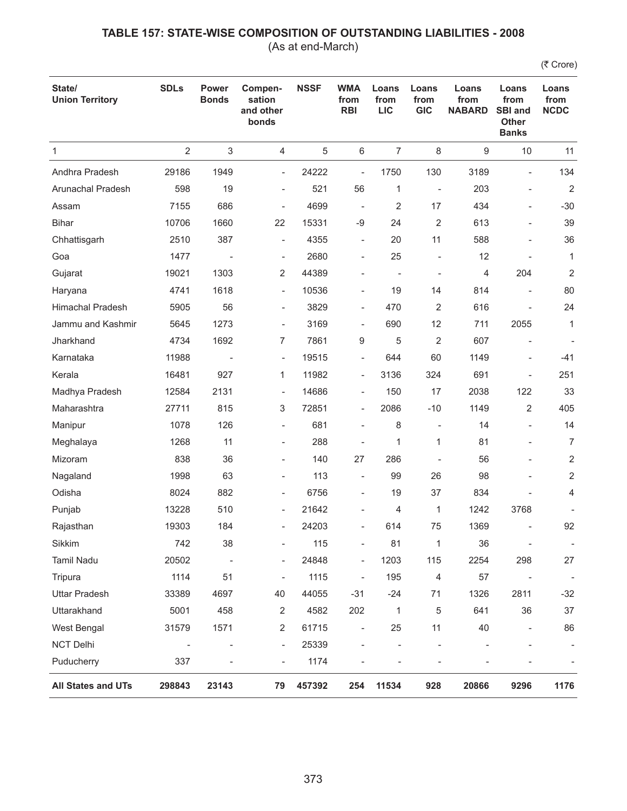(As at end-March)

| State/<br><b>Union Territory</b> | <b>SDLs</b>              | <b>Power</b><br><b>Bonds</b> | Compen-<br>sation<br>and other<br>bonds | <b>NSSF</b> | <b>WMA</b><br>from<br><b>RBI</b> | Loans<br>from<br><b>LIC</b> | Loans<br>from<br><b>GIC</b> | Loans<br>from<br><b>NABARD</b> | Loans<br>from<br><b>SBI and</b><br><b>Other</b><br><b>Banks</b> | Loans<br>from<br><b>NCDC</b> |
|----------------------------------|--------------------------|------------------------------|-----------------------------------------|-------------|----------------------------------|-----------------------------|-----------------------------|--------------------------------|-----------------------------------------------------------------|------------------------------|
| $\mathbf{1}$                     | $\overline{2}$           | $\sqrt{3}$                   | 4                                       | 5           | $\,6\,$                          | $\overline{7}$              | $\,8\,$                     | 9                              | 10                                                              | 11                           |
| Andhra Pradesh                   | 29186                    | 1949                         | $\overline{\phantom{a}}$                | 24222       | $\overline{\phantom{a}}$         | 1750                        | 130                         | 3189                           | $\blacksquare$                                                  | 134                          |
| Arunachal Pradesh                | 598                      | 19                           | $\overline{\phantom{0}}$                | 521         | 56                               | 1                           | $\overline{\phantom{a}}$    | 203                            | $\qquad \qquad \blacksquare$                                    | $\overline{2}$               |
| Assam                            | 7155                     | 686                          | $\overline{\phantom{m}}$                | 4699        | $\overline{\phantom{a}}$         | 2                           | 17                          | 434                            | $\overline{a}$                                                  | $-30$                        |
| <b>Bihar</b>                     | 10706                    | 1660                         | 22                                      | 15331       | $-9$                             | 24                          | 2                           | 613                            | $\overline{a}$                                                  | 39                           |
| Chhattisgarh                     | 2510                     | 387                          | $\overline{a}$                          | 4355        | $\overline{\phantom{a}}$         | 20                          | 11                          | 588                            | $\overline{\phantom{a}}$                                        | 36                           |
| Goa                              | 1477                     | $\overline{\phantom{a}}$     | $\overline{\phantom{a}}$                | 2680        | $\overline{\phantom{a}}$         | 25                          | ÷,                          | 12                             |                                                                 | $\mathbf{1}$                 |
| Gujarat                          | 19021                    | 1303                         | 2                                       | 44389       |                                  | $\overline{\phantom{a}}$    | $\overline{\phantom{0}}$    | 4                              | 204                                                             | $\overline{2}$               |
| Haryana                          | 4741                     | 1618                         | $\overline{\phantom{a}}$                | 10536       | $\overline{\phantom{a}}$         | 19                          | 14                          | 814                            |                                                                 | 80                           |
| <b>Himachal Pradesh</b>          | 5905                     | 56                           | $\overline{\phantom{0}}$                | 3829        | $\overline{\phantom{a}}$         | 470                         | 2                           | 616                            |                                                                 | 24                           |
| Jammu and Kashmir                | 5645                     | 1273                         | $\qquad \qquad \blacksquare$            | 3169        | $\overline{\phantom{a}}$         | 690                         | 12                          | 711                            | 2055                                                            | $\mathbf{1}$                 |
| Jharkhand                        | 4734                     | 1692                         | 7                                       | 7861        | 9                                | 5                           | $\overline{2}$              | 607                            |                                                                 |                              |
| Karnataka                        | 11988                    |                              | $\overline{\phantom{a}}$                | 19515       | $\overline{\phantom{a}}$         | 644                         | 60                          | 1149                           | $\overline{a}$                                                  | $-41$                        |
| Kerala                           | 16481                    | 927                          | 1                                       | 11982       | $\overline{\phantom{a}}$         | 3136                        | 324                         | 691                            | ÷                                                               | 251                          |
| Madhya Pradesh                   | 12584                    | 2131                         | $\overline{\phantom{a}}$                | 14686       | $\overline{\phantom{a}}$         | 150                         | 17                          | 2038                           | 122                                                             | 33                           |
| Maharashtra                      | 27711                    | 815                          | 3                                       | 72851       | $\overline{\phantom{a}}$         | 2086                        | $-10$                       | 1149                           | 2                                                               | 405                          |
| Manipur                          | 1078                     | 126                          | $\overline{\phantom{0}}$                | 681         | $\overline{\phantom{a}}$         | 8                           | $\overline{\phantom{0}}$    | 14                             | $\overline{\phantom{a}}$                                        | 14                           |
| Meghalaya                        | 1268                     | 11                           | $\overline{\phantom{0}}$                | 288         | $\overline{a}$                   | 1                           | 1                           | 81                             |                                                                 | 7                            |
| Mizoram                          | 838                      | 36                           | $\overline{\phantom{0}}$                | 140         | 27                               | 286                         |                             | 56                             | $\qquad \qquad \blacksquare$                                    | $\overline{2}$               |
| Nagaland                         | 1998                     | 63                           | ÷                                       | 113         |                                  | 99                          | 26                          | 98                             |                                                                 | $\overline{2}$               |
| Odisha                           | 8024                     | 882                          | $\overline{\phantom{0}}$                | 6756        | $\overline{\phantom{a}}$         | 19                          | 37                          | 834                            |                                                                 | 4                            |
| Punjab                           | 13228                    | 510                          | $\overline{\phantom{a}}$                | 21642       | $\overline{\phantom{a}}$         | 4                           | 1                           | 1242                           | 3768                                                            |                              |
| Rajasthan                        | 19303                    | 184                          | $\overline{\phantom{0}}$                | 24203       | $\overline{a}$                   | 614                         | 75                          | 1369                           |                                                                 | 92                           |
| Sikkim                           | 742                      | 38                           |                                         | 115         |                                  | 81                          | 1                           | 36                             |                                                                 | $\overline{\phantom{a}}$     |
| Tamil Nadu                       | 20502                    | $\overline{\phantom{a}}$     | $\overline{\phantom{0}}$                | 24848       | $\qquad \qquad \blacksquare$     | 1203                        | 115                         | 2254                           | 298                                                             | 27                           |
| Tripura                          | 1114                     | 51                           | $\overline{\phantom{a}}$                | 1115        | $\overline{\phantom{a}}$         | 195                         | 4                           | 57                             | $\overline{\phantom{a}}$                                        | $\overline{\phantom{a}}$     |
| <b>Uttar Pradesh</b>             | 33389                    | 4697                         | 40                                      | 44055       | $-31$                            | $-24$                       | 71                          | 1326                           | 2811                                                            | $-32$                        |
| Uttarakhand                      | 5001                     | 458                          | $\overline{2}$                          | 4582        | 202                              | 1                           | 5                           | 641                            | 36                                                              | 37                           |
| West Bengal                      | 31579                    | 1571                         | 2                                       | 61715       | $\overline{\phantom{a}}$         | 25                          | 11                          | 40                             | $\overline{\phantom{a}}$                                        | 86                           |
| <b>NCT Delhi</b>                 | $\overline{\phantom{a}}$ | $\overline{\phantom{a}}$     | $\overline{\phantom{a}}$                | 25339       | $\overline{a}$                   |                             |                             |                                |                                                                 |                              |
| Puducherry                       | 337                      | $\overline{\phantom{a}}$     | $\overline{\phantom{0}}$                | 1174        |                                  |                             | ÷                           |                                |                                                                 |                              |
| <b>All States and UTs</b>        | 298843                   | 23143                        | 79                                      | 457392      | 254                              | 11534                       | 928                         | 20866                          | 9296                                                            | 1176                         |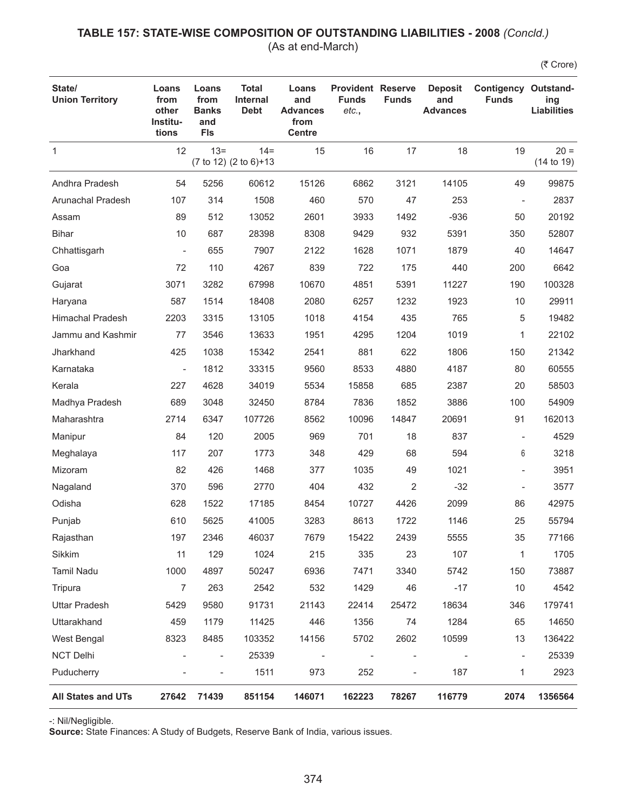### **TABLE 157: STATE-WISE COMPOSITION OF OUTSTANDING LIABILITIES - 2008** *(Concld.)* (As at end-March)

(₹ Crore)

| State/<br><b>Union Territory</b> | Loans<br>from<br>other<br>Institu-<br>tions | Loans<br>from<br><b>Banks</b><br>and<br><b>FIs</b> | <b>Total</b><br><b>Internal</b><br><b>Debt</b> | Loans<br>and<br><b>Advances</b><br>from<br><b>Centre</b> | <b>Provident Reserve</b><br><b>Funds</b><br>etc., | <b>Funds</b>             | <b>Deposit</b><br>and<br><b>Advances</b> | <b>Contigency Outstand-</b><br><b>Funds</b> | ing<br><b>Liabilities</b> |
|----------------------------------|---------------------------------------------|----------------------------------------------------|------------------------------------------------|----------------------------------------------------------|---------------------------------------------------|--------------------------|------------------------------------------|---------------------------------------------|---------------------------|
| $\mathbf{1}$                     | 12                                          | $13 =$                                             | $14 =$<br>(7 to 12) (2 to 6)+13                | 15                                                       | 16                                                | 17                       | 18                                       | 19                                          | $20 =$<br>(14 to 19)      |
| Andhra Pradesh                   | 54                                          | 5256                                               | 60612                                          | 15126                                                    | 6862                                              | 3121                     | 14105                                    | 49                                          | 99875                     |
| Arunachal Pradesh                | 107                                         | 314                                                | 1508                                           | 460                                                      | 570                                               | 47                       | 253                                      | $\overline{\phantom{a}}$                    | 2837                      |
| Assam                            | 89                                          | 512                                                | 13052                                          | 2601                                                     | 3933                                              | 1492                     | $-936$                                   | 50                                          | 20192                     |
| <b>Bihar</b>                     | 10                                          | 687                                                | 28398                                          | 8308                                                     | 9429                                              | 932                      | 5391                                     | 350                                         | 52807                     |
| Chhattisgarh                     | $\overline{\phantom{a}}$                    | 655                                                | 7907                                           | 2122                                                     | 1628                                              | 1071                     | 1879                                     | 40                                          | 14647                     |
| Goa                              | 72                                          | 110                                                | 4267                                           | 839                                                      | 722                                               | 175                      | 440                                      | 200                                         | 6642                      |
| Gujarat                          | 3071                                        | 3282                                               | 67998                                          | 10670                                                    | 4851                                              | 5391                     | 11227                                    | 190                                         | 100328                    |
| Haryana                          | 587                                         | 1514                                               | 18408                                          | 2080                                                     | 6257                                              | 1232                     | 1923                                     | 10                                          | 29911                     |
| <b>Himachal Pradesh</b>          | 2203                                        | 3315                                               | 13105                                          | 1018                                                     | 4154                                              | 435                      | 765                                      | 5                                           | 19482                     |
| Jammu and Kashmir                | 77                                          | 3546                                               | 13633                                          | 1951                                                     | 4295                                              | 1204                     | 1019                                     | 1                                           | 22102                     |
| Jharkhand                        | 425                                         | 1038                                               | 15342                                          | 2541                                                     | 881                                               | 622                      | 1806                                     | 150                                         | 21342                     |
| Karnataka                        | $\qquad \qquad \blacksquare$                | 1812                                               | 33315                                          | 9560                                                     | 8533                                              | 4880                     | 4187                                     | 80                                          | 60555                     |
| Kerala                           | 227                                         | 4628                                               | 34019                                          | 5534                                                     | 15858                                             | 685                      | 2387                                     | 20                                          | 58503                     |
| Madhya Pradesh                   | 689                                         | 3048                                               | 32450                                          | 8784                                                     | 7836                                              | 1852                     | 3886                                     | 100                                         | 54909                     |
| Maharashtra                      | 2714                                        | 6347                                               | 107726                                         | 8562                                                     | 10096                                             | 14847                    | 20691                                    | 91                                          | 162013                    |
| Manipur                          | 84                                          | 120                                                | 2005                                           | 969                                                      | 701                                               | 18                       | 837                                      | $\qquad \qquad -$                           | 4529                      |
| Meghalaya                        | 117                                         | 207                                                | 1773                                           | 348                                                      | 429                                               | 68                       | 594                                      | 6                                           | 3218                      |
| Mizoram                          | 82                                          | 426                                                | 1468                                           | 377                                                      | 1035                                              | 49                       | 1021                                     | $\overline{\phantom{0}}$                    | 3951                      |
| Nagaland                         | 370                                         | 596                                                | 2770                                           | 404                                                      | 432                                               | 2                        | $-32$                                    |                                             | 3577                      |
| Odisha                           | 628                                         | 1522                                               | 17185                                          | 8454                                                     | 10727                                             | 4426                     | 2099                                     | 86                                          | 42975                     |
| Punjab                           | 610                                         | 5625                                               | 41005                                          | 3283                                                     | 8613                                              | 1722                     | 1146                                     | 25                                          | 55794                     |
| Rajasthan                        | 197                                         | 2346                                               | 46037                                          | 7679                                                     | 15422                                             | 2439                     | 5555                                     | 35                                          | 77166                     |
| Sikkim                           | 11                                          | 129                                                | 1024                                           | 215                                                      | 335                                               | 23                       | 107                                      | 1                                           | 1705                      |
| Tamil Nadu                       | 1000                                        | 4897                                               | 50247                                          | 6936                                                     | 7471                                              | 3340                     | 5742                                     | 150                                         | 73887                     |
| Tripura                          | $\overline{7}$                              | 263                                                | 2542                                           | 532                                                      | 1429                                              | 46                       | $-17$                                    | 10                                          | 4542                      |
| <b>Uttar Pradesh</b>             | 5429                                        | 9580                                               | 91731                                          | 21143                                                    | 22414                                             | 25472                    | 18634                                    | 346                                         | 179741                    |
| Uttarakhand                      | 459                                         | 1179                                               | 11425                                          | 446                                                      | 1356                                              | 74                       | 1284                                     | 65                                          | 14650                     |
| West Bengal                      | 8323                                        | 8485                                               | 103352                                         | 14156                                                    | 5702                                              | 2602                     | 10599                                    | 13                                          | 136422                    |
| <b>NCT Delhi</b>                 |                                             | $\qquad \qquad \blacksquare$                       | 25339                                          | $\overline{\phantom{a}}$                                 | $\overline{\phantom{a}}$                          | $\overline{\phantom{a}}$ |                                          | $\overline{\phantom{a}}$                    | 25339                     |
| Puducherry                       |                                             | $\overline{\phantom{a}}$                           | 1511                                           | 973                                                      | 252                                               | $\qquad \qquad -$        | 187                                      | 1                                           | 2923                      |
| All States and UTs               | 27642                                       | 71439                                              | 851154                                         | 146071                                                   | 162223                                            | 78267                    | 116779                                   | 2074                                        | 1356564                   |

-: Nil/Negligible.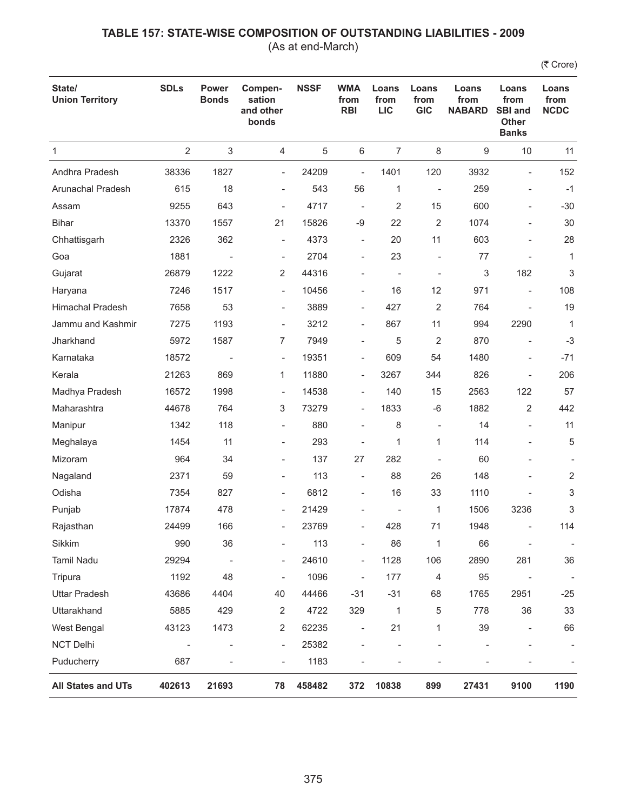(As at end-March)

| State/<br><b>Union Territory</b> | <b>SDLs</b>              | <b>Power</b><br><b>Bonds</b> | Compen-<br>sation<br>and other<br>bonds | <b>NSSF</b> | <b>WMA</b><br>from<br><b>RBI</b> | Loans<br>from<br><b>LIC</b> | Loans<br>from<br><b>GIC</b> | Loans<br>from<br><b>NABARD</b> | Loans<br>from<br><b>SBI and</b><br><b>Other</b><br><b>Banks</b> | Loans<br>from<br><b>NCDC</b> |
|----------------------------------|--------------------------|------------------------------|-----------------------------------------|-------------|----------------------------------|-----------------------------|-----------------------------|--------------------------------|-----------------------------------------------------------------|------------------------------|
| $\mathbf{1}$                     | $\overline{2}$           | $\sqrt{3}$                   | $\overline{4}$                          | 5           | $\,6\,$                          | $\overline{7}$              | $\,8\,$                     | 9                              | 10                                                              | 11                           |
| Andhra Pradesh                   | 38336                    | 1827                         | $\overline{\phantom{a}}$                | 24209       | $\overline{\phantom{a}}$         | 1401                        | 120                         | 3932                           | $\overline{\phantom{a}}$                                        | 152                          |
| Arunachal Pradesh                | 615                      | 18                           | $\overline{\phantom{a}}$                | 543         | 56                               | 1                           | $\overline{\phantom{a}}$    | 259                            | $\overline{\phantom{a}}$                                        | $-1$                         |
| Assam                            | 9255                     | 643                          | $\overline{\phantom{m}}$                | 4717        | $\overline{\phantom{a}}$         | 2                           | 15                          | 600                            | $\overline{a}$                                                  | $-30$                        |
| <b>Bihar</b>                     | 13370                    | 1557                         | 21                                      | 15826       | $-9$                             | 22                          | 2                           | 1074                           | $\qquad \qquad \blacksquare$                                    | 30                           |
| Chhattisgarh                     | 2326                     | 362                          | ÷                                       | 4373        | $\overline{\phantom{a}}$         | 20                          | 11                          | 603                            | $\qquad \qquad \blacksquare$                                    | 28                           |
| Goa                              | 1881                     | $\overline{\phantom{a}}$     | $\overline{\phantom{a}}$                | 2704        | $\overline{\phantom{a}}$         | 23                          | ÷,                          | 77                             |                                                                 | $\mathbf{1}$                 |
| Gujarat                          | 26879                    | 1222                         | 2                                       | 44316       |                                  | $\overline{\phantom{a}}$    | $\overline{\phantom{a}}$    | 3                              | 182                                                             | 3                            |
| Haryana                          | 7246                     | 1517                         | $\overline{\phantom{a}}$                | 10456       | $\overline{\phantom{a}}$         | 16                          | 12                          | 971                            | $\overline{\phantom{a}}$                                        | 108                          |
| <b>Himachal Pradesh</b>          | 7658                     | 53                           | $\overline{\phantom{0}}$                | 3889        | $\overline{\phantom{a}}$         | 427                         | 2                           | 764                            |                                                                 | 19                           |
| Jammu and Kashmir                | 7275                     | 1193                         | $\overline{\phantom{a}}$                | 3212        | $\overline{\phantom{a}}$         | 867                         | 11                          | 994                            | 2290                                                            | $\mathbf{1}$                 |
| Jharkhand                        | 5972                     | 1587                         | $\overline{7}$                          | 7949        | $\overline{\phantom{a}}$         | 5                           | $\overline{2}$              | 870                            | $\overline{\phantom{a}}$                                        | $-3$                         |
| Karnataka                        | 18572                    |                              | $\overline{\phantom{a}}$                | 19351       | $\overline{\phantom{a}}$         | 609                         | 54                          | 1480                           | $\overline{a}$                                                  | $-71$                        |
| Kerala                           | 21263                    | 869                          | 1                                       | 11880       | $\overline{\phantom{a}}$         | 3267                        | 344                         | 826                            | $\overline{a}$                                                  | 206                          |
| Madhya Pradesh                   | 16572                    | 1998                         | $\overline{\phantom{a}}$                | 14538       | $\overline{\phantom{a}}$         | 140                         | 15                          | 2563                           | 122                                                             | 57                           |
| Maharashtra                      | 44678                    | 764                          | 3                                       | 73279       | $\overline{\phantom{a}}$         | 1833                        | $-6$                        | 1882                           | 2                                                               | 442                          |
| Manipur                          | 1342                     | 118                          | $\overline{\phantom{0}}$                | 880         | $\overline{\phantom{a}}$         | 8                           | $\overline{\phantom{0}}$    | 14                             | ÷                                                               | 11                           |
| Meghalaya                        | 1454                     | 11                           | $\overline{\phantom{0}}$                | 293         | $\overline{\phantom{a}}$         | 1                           | 1                           | 114                            |                                                                 | 5                            |
| Mizoram                          | 964                      | 34                           | $\overline{\phantom{0}}$                | 137         | 27                               | 282                         | $\overline{\phantom{a}}$    | 60                             |                                                                 |                              |
| Nagaland                         | 2371                     | 59                           | $\overline{\phantom{0}}$                | 113         | ÷                                | 88                          | 26                          | 148                            |                                                                 | 2                            |
| Odisha                           | 7354                     | 827                          | $\overline{\phantom{0}}$                | 6812        | $\overline{\phantom{a}}$         | 16                          | 33                          | 1110                           |                                                                 | 3                            |
| Punjab                           | 17874                    | 478                          | $\overline{\phantom{a}}$                | 21429       | ۰                                | $\overline{\phantom{a}}$    | 1                           | 1506                           | 3236                                                            | 3                            |
| Rajasthan                        | 24499                    | 166                          | $\overline{\phantom{0}}$                | 23769       | ÷                                | 428                         | 71                          | 1948                           |                                                                 | 114                          |
| Sikkim                           | 990                      | 36                           | ÷                                       | 113         | $\overline{a}$                   | 86                          | 1                           | 66                             | $\overline{\phantom{a}}$                                        | $\overline{\phantom{a}}$     |
| Tamil Nadu                       | 29294                    | $\overline{\phantom{a}}$     | $\overline{a}$                          | 24610       | $\qquad \qquad -$                | 1128                        | 106                         | 2890                           | 281                                                             | 36                           |
| Tripura                          | 1192                     | 48                           | $\overline{\phantom{a}}$                | 1096        | $\overline{\phantom{a}}$         | 177                         | $\overline{4}$              | 95                             | $\overline{\phantom{a}}$                                        | $\overline{\phantom{a}}$     |
| <b>Uttar Pradesh</b>             | 43686                    | 4404                         | 40                                      | 44466       | $-31$                            | $-31$                       | 68                          | 1765                           | 2951                                                            | $-25$                        |
| Uttarakhand                      | 5885                     | 429                          | 2                                       | 4722        | 329                              | 1                           | 5                           | 778                            | 36                                                              | 33                           |
| West Bengal                      | 43123                    | 1473                         | 2                                       | 62235       | $\overline{\phantom{a}}$         | 21                          | 1                           | 39                             | $\overline{\phantom{a}}$                                        | 66                           |
| <b>NCT Delhi</b>                 | $\overline{\phantom{a}}$ | $\overline{\phantom{a}}$     | $\qquad \qquad -$                       | 25382       | -                                |                             |                             |                                |                                                                 |                              |
| Puducherry                       | 687                      | $\overline{a}$               | $\overline{a}$                          | 1183        |                                  |                             |                             |                                |                                                                 |                              |
| All States and UTs               | 402613                   | 21693                        | 78                                      | 458482      | 372                              | 10838                       | 899                         | 27431                          | 9100                                                            | 1190                         |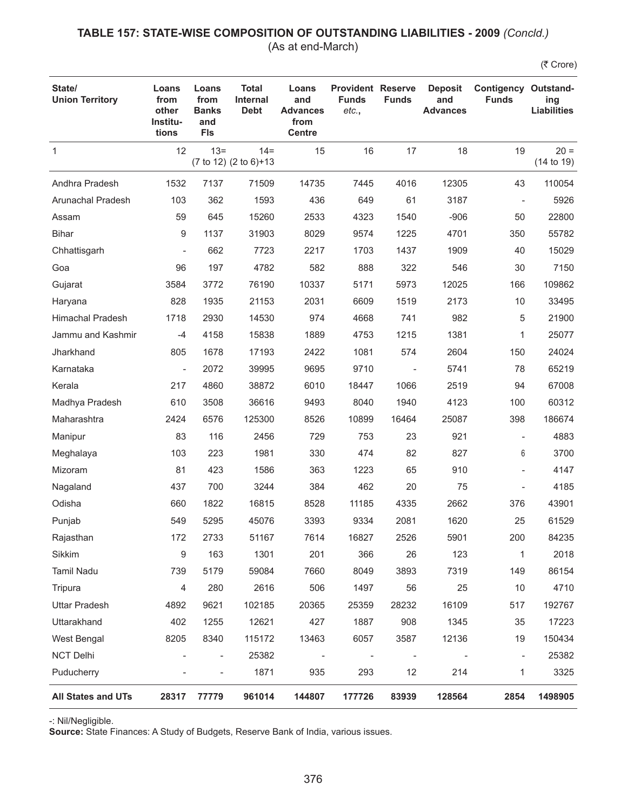### **TABLE 157: STATE-WISE COMPOSITION OF OUTSTANDING LIABILITIES - 2009** *(Concld.)* (As at end-March)

(₹ Crore)

| State/<br><b>Union Territory</b> | Loans<br>from<br>other<br>Institu-<br>tions | Loans<br>from<br><b>Banks</b><br>and<br><b>FIs</b> | <b>Total</b><br><b>Internal</b><br><b>Debt</b> | Loans<br>and<br><b>Advances</b><br>from<br><b>Centre</b> | <b>Provident Reserve</b><br><b>Funds</b><br>etc., | <b>Funds</b>             | <b>Deposit</b><br>and<br><b>Advances</b> | <b>Contigency Outstand-</b><br><b>Funds</b> | ing<br><b>Liabilities</b> |
|----------------------------------|---------------------------------------------|----------------------------------------------------|------------------------------------------------|----------------------------------------------------------|---------------------------------------------------|--------------------------|------------------------------------------|---------------------------------------------|---------------------------|
| $\mathbf{1}$                     | 12                                          | $13 =$                                             | $14 =$<br>(7 to 12) (2 to 6)+13                | 15                                                       | 16                                                | 17                       | 18                                       | 19                                          | $20 =$<br>(14 to 19)      |
| Andhra Pradesh                   | 1532                                        | 7137                                               | 71509                                          | 14735                                                    | 7445                                              | 4016                     | 12305                                    | 43                                          | 110054                    |
| Arunachal Pradesh                | 103                                         | 362                                                | 1593                                           | 436                                                      | 649                                               | 61                       | 3187                                     |                                             | 5926                      |
| Assam                            | 59                                          | 645                                                | 15260                                          | 2533                                                     | 4323                                              | 1540                     | $-906$                                   | 50                                          | 22800                     |
| <b>Bihar</b>                     | $\boldsymbol{9}$                            | 1137                                               | 31903                                          | 8029                                                     | 9574                                              | 1225                     | 4701                                     | 350                                         | 55782                     |
| Chhattisgarh                     | $\overline{\phantom{a}}$                    | 662                                                | 7723                                           | 2217                                                     | 1703                                              | 1437                     | 1909                                     | 40                                          | 15029                     |
| Goa                              | 96                                          | 197                                                | 4782                                           | 582                                                      | 888                                               | 322                      | 546                                      | 30                                          | 7150                      |
| Gujarat                          | 3584                                        | 3772                                               | 76190                                          | 10337                                                    | 5171                                              | 5973                     | 12025                                    | 166                                         | 109862                    |
| Haryana                          | 828                                         | 1935                                               | 21153                                          | 2031                                                     | 6609                                              | 1519                     | 2173                                     | 10                                          | 33495                     |
| <b>Himachal Pradesh</b>          | 1718                                        | 2930                                               | 14530                                          | 974                                                      | 4668                                              | 741                      | 982                                      | 5                                           | 21900                     |
| Jammu and Kashmir                | $-4$                                        | 4158                                               | 15838                                          | 1889                                                     | 4753                                              | 1215                     | 1381                                     | 1                                           | 25077                     |
| Jharkhand                        | 805                                         | 1678                                               | 17193                                          | 2422                                                     | 1081                                              | 574                      | 2604                                     | 150                                         | 24024                     |
| Karnataka                        | $\frac{1}{2}$                               | 2072                                               | 39995                                          | 9695                                                     | 9710                                              | $\overline{a}$           | 5741                                     | 78                                          | 65219                     |
| Kerala                           | 217                                         | 4860                                               | 38872                                          | 6010                                                     | 18447                                             | 1066                     | 2519                                     | 94                                          | 67008                     |
| Madhya Pradesh                   | 610                                         | 3508                                               | 36616                                          | 9493                                                     | 8040                                              | 1940                     | 4123                                     | 100                                         | 60312                     |
| Maharashtra                      | 2424                                        | 6576                                               | 125300                                         | 8526                                                     | 10899                                             | 16464                    | 25087                                    | 398                                         | 186674                    |
| Manipur                          | 83                                          | 116                                                | 2456                                           | 729                                                      | 753                                               | 23                       | 921                                      |                                             | 4883                      |
| Meghalaya                        | 103                                         | 223                                                | 1981                                           | 330                                                      | 474                                               | 82                       | 827                                      | 6                                           | 3700                      |
| Mizoram                          | 81                                          | 423                                                | 1586                                           | 363                                                      | 1223                                              | 65                       | 910                                      |                                             | 4147                      |
| Nagaland                         | 437                                         | 700                                                | 3244                                           | 384                                                      | 462                                               | 20                       | 75                                       |                                             | 4185                      |
| Odisha                           | 660                                         | 1822                                               | 16815                                          | 8528                                                     | 11185                                             | 4335                     | 2662                                     | 376                                         | 43901                     |
| Punjab                           | 549                                         | 5295                                               | 45076                                          | 3393                                                     | 9334                                              | 2081                     | 1620                                     | 25                                          | 61529                     |
| Rajasthan                        | 172                                         | 2733                                               | 51167                                          | 7614                                                     | 16827                                             | 2526                     | 5901                                     | 200                                         | 84235                     |
| Sikkim                           | $\boldsymbol{9}$                            | 163                                                | 1301                                           | 201                                                      | 366                                               | 26                       | 123                                      | 1                                           | 2018                      |
| Tamil Nadu                       | 739                                         | 5179                                               | 59084                                          | 7660                                                     | 8049                                              | 3893                     | 7319                                     | 149                                         | 86154                     |
| Tripura                          | $\overline{4}$                              | 280                                                | 2616                                           | 506                                                      | 1497                                              | 56                       | 25                                       | 10                                          | 4710                      |
| <b>Uttar Pradesh</b>             | 4892                                        | 9621                                               | 102185                                         | 20365                                                    | 25359                                             | 28232                    | 16109                                    | 517                                         | 192767                    |
| Uttarakhand                      | 402                                         | 1255                                               | 12621                                          | 427                                                      | 1887                                              | 908                      | 1345                                     | 35                                          | 17223                     |
| West Bengal                      | 8205                                        | 8340                                               | 115172                                         | 13463                                                    | 6057                                              | 3587                     | 12136                                    | 19                                          | 150434                    |
| <b>NCT Delhi</b>                 |                                             | $\qquad \qquad \blacksquare$                       | 25382                                          |                                                          |                                                   | $\overline{\phantom{a}}$ |                                          | $\overline{\phantom{a}}$                    | 25382                     |
| Puducherry                       |                                             | $\overline{\phantom{a}}$                           | 1871                                           | 935                                                      | 293                                               | 12                       | 214                                      | 1                                           | 3325                      |
| <b>All States and UTs</b>        | 28317                                       | 77779                                              | 961014                                         | 144807                                                   | 177726                                            | 83939                    | 128564                                   | 2854                                        | 1498905                   |

-: Nil/Negligible.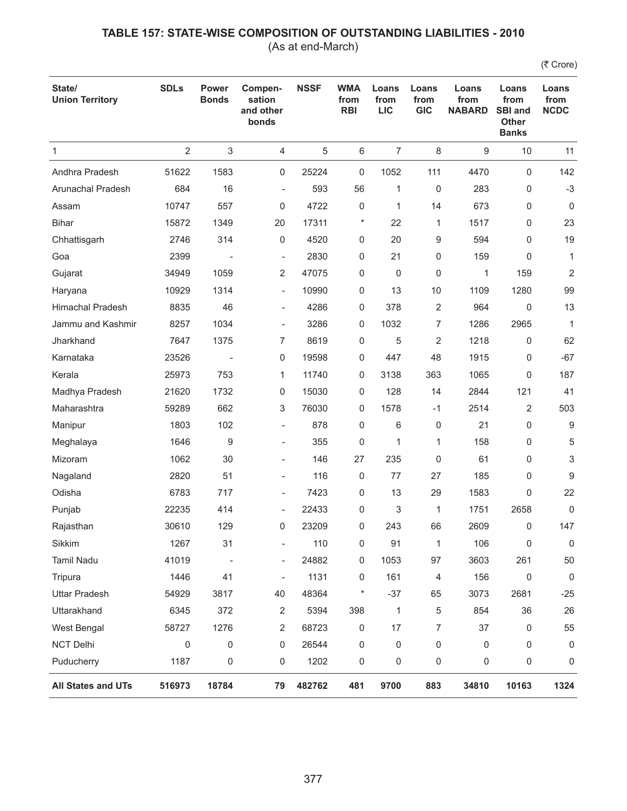(As at end-March)

| State/<br><b>Union Territory</b> | <b>SDLs</b>    | <b>Power</b><br><b>Bonds</b> | Compen-<br>sation<br>and other<br>bonds | <b>NSSF</b> | <b>WMA</b><br>from<br><b>RBI</b> | Loans<br>from<br><b>LIC</b> | Loans<br>from<br><b>GIC</b> | Loans<br>from<br><b>NABARD</b> | Loans<br>from<br><b>SBI and</b><br><b>Other</b><br><b>Banks</b> | Loans<br>from<br><b>NCDC</b> |
|----------------------------------|----------------|------------------------------|-----------------------------------------|-------------|----------------------------------|-----------------------------|-----------------------------|--------------------------------|-----------------------------------------------------------------|------------------------------|
| $\mathbf{1}$                     | $\overline{2}$ | 3                            | $\overline{4}$                          | 5           | 6                                | $\overline{7}$              | 8                           | 9                              | 10                                                              | 11                           |
| Andhra Pradesh                   | 51622          | 1583                         | 0                                       | 25224       | 0                                | 1052                        | 111                         | 4470                           | 0                                                               | 142                          |
| Arunachal Pradesh                | 684            | 16                           | $\overline{\phantom{a}}$                | 593         | 56                               | 1                           | 0                           | 283                            | 0                                                               | $-3$                         |
| Assam                            | 10747          | 557                          | 0                                       | 4722        | 0                                | 1                           | 14                          | 673                            | 0                                                               | $\mathbf 0$                  |
| <b>Bihar</b>                     | 15872          | 1349                         | 20                                      | 17311       | $\ast$                           | 22                          | 1                           | 1517                           | 0                                                               | 23                           |
| Chhattisgarh                     | 2746           | 314                          | 0                                       | 4520        | 0                                | 20                          | 9                           | 594                            | 0                                                               | 19                           |
| Goa                              | 2399           |                              | ÷,                                      | 2830        | 0                                | 21                          | 0                           | 159                            | 0                                                               | $\mathbf{1}$                 |
| Gujarat                          | 34949          | 1059                         | 2                                       | 47075       | 0                                | 0                           | 0                           | 1                              | 159                                                             | 2                            |
| Haryana                          | 10929          | 1314                         | $\overline{\phantom{0}}$                | 10990       | 0                                | 13                          | 10                          | 1109                           | 1280                                                            | 99                           |
| <b>Himachal Pradesh</b>          | 8835           | 46                           | ÷,                                      | 4286        | 0                                | 378                         | 2                           | 964                            | $\mathbf 0$                                                     | 13                           |
| Jammu and Kashmir                | 8257           | 1034                         | $\overline{\phantom{a}}$                | 3286        | 0                                | 1032                        | 7                           | 1286                           | 2965                                                            | $\mathbf{1}$                 |
| Jharkhand                        | 7647           | 1375                         | 7                                       | 8619        | 0                                | 5                           | 2                           | 1218                           | 0                                                               | 62                           |
| Karnataka                        | 23526          |                              | 0                                       | 19598       | 0                                | 447                         | 48                          | 1915                           | 0                                                               | $-67$                        |
| Kerala                           | 25973          | 753                          | 1                                       | 11740       | 0                                | 3138                        | 363                         | 1065                           | 0                                                               | 187                          |
| Madhya Pradesh                   | 21620          | 1732                         | 0                                       | 15030       | 0                                | 128                         | 14                          | 2844                           | 121                                                             | 41                           |
| Maharashtra                      | 59289          | 662                          | 3                                       | 76030       | 0                                | 1578                        | $-1$                        | 2514                           | 2                                                               | 503                          |
| Manipur                          | 1803           | 102                          | ÷,                                      | 878         | 0                                | 6                           | 0                           | 21                             | 0                                                               | 9                            |
| Meghalaya                        | 1646           | 9                            | ÷,                                      | 355         | 0                                | 1                           | 1                           | 158                            | 0                                                               | 5                            |
| Mizoram                          | 1062           | 30                           | $\overline{\phantom{0}}$                | 146         | 27                               | 235                         | 0                           | 61                             | 0                                                               | 3                            |
| Nagaland                         | 2820           | 51                           | ÷,                                      | 116         | 0                                | 77                          | 27                          | 185                            | 0                                                               | 9                            |
| Odisha                           | 6783           | 717                          | $\overline{\phantom{0}}$                | 7423        | 0                                | 13                          | 29                          | 1583                           | 0                                                               | 22                           |
| Punjab                           | 22235          | 414                          | $\overline{\phantom{a}}$                | 22433       | 0                                | 3                           | 1                           | 1751                           | 2658                                                            | 0                            |
| Rajasthan                        | 30610          | 129                          | 0                                       | 23209       | 0                                | 243                         | 66                          | 2609                           | 0                                                               | 147                          |
| Sikkim                           | 1267           | 31                           |                                         | 110         | 0                                | 91                          | 1                           | 106                            | 0                                                               | 0                            |
| Tamil Nadu                       | 41019          | $\overline{\phantom{a}}$     | $\overline{\phantom{0}}$                | 24882       | 0                                | 1053                        | 97                          | 3603                           | 261                                                             | 50                           |
| Tripura                          | 1446           | 41                           | $\overline{\phantom{a}}$                | 1131        | 0                                | 161                         | 4                           | 156                            | 0                                                               | $\mathbf 0$                  |
| <b>Uttar Pradesh</b>             | 54929          | 3817                         | 40                                      | 48364       | $\ast$                           | $-37$                       | 65                          | 3073                           | 2681                                                            | $-25$                        |
| Uttarakhand                      | 6345           | 372                          | 2                                       | 5394        | 398                              | 1                           | 5                           | 854                            | 36                                                              | 26                           |
| West Bengal                      | 58727          | 1276                         | 2                                       | 68723       | 0                                | 17                          | 7                           | 37                             | 0                                                               | 55                           |
| NCT Delhi                        | 0              | 0                            | 0                                       | 26544       | 0                                | 0                           | 0                           | 0                              | 0                                                               | 0                            |
| Puducherry                       | 1187           | 0                            | 0                                       | 1202        | 0                                | 0                           | 0                           | 0                              | 0                                                               | 0                            |
| All States and UTs               | 516973         | 18784                        | 79                                      | 482762      | 481                              | 9700                        | 883                         | 34810                          | 10163                                                           | 1324                         |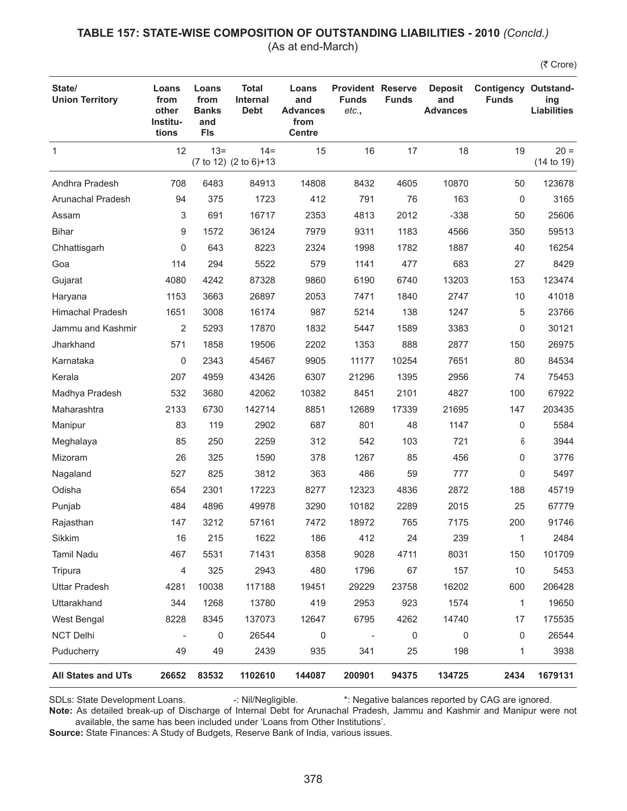#### **TABLE 157: STATE-WISE COMPOSITION OF OUTSTANDING LIABILITIES - 2010** *(Concld.)* (As at end-March)

(₹ Crore)

| State/<br><b>Union Territory</b> | Loans<br>from<br>other<br>Institu-<br>tions | Loans<br>from<br><b>Banks</b><br>and<br><b>FIs</b> | <b>Total</b><br><b>Internal</b><br><b>Debt</b> | Loans<br>and<br><b>Advances</b><br>from<br><b>Centre</b> | <b>Provident Reserve</b><br><b>Funds</b><br>etc., | <b>Funds</b> | <b>Deposit</b><br>and<br><b>Advances</b> | <b>Contigency Outstand-</b><br><b>Funds</b> | ing<br><b>Liabilities</b> |
|----------------------------------|---------------------------------------------|----------------------------------------------------|------------------------------------------------|----------------------------------------------------------|---------------------------------------------------|--------------|------------------------------------------|---------------------------------------------|---------------------------|
| $\mathbf{1}$                     | 12                                          | $13 =$                                             | $14 =$<br>(7 to 12) (2 to 6)+13                | 15                                                       | 16                                                | 17           | 18                                       | 19                                          | $20 =$<br>(14 to 19)      |
| Andhra Pradesh                   | 708                                         | 6483                                               | 84913                                          | 14808                                                    | 8432                                              | 4605         | 10870                                    | 50                                          | 123678                    |
| Arunachal Pradesh                | 94                                          | 375                                                | 1723                                           | 412                                                      | 791                                               | 76           | 163                                      | 0                                           | 3165                      |
| Assam                            | 3                                           | 691                                                | 16717                                          | 2353                                                     | 4813                                              | 2012         | $-338$                                   | 50                                          | 25606                     |
| <b>Bihar</b>                     | 9                                           | 1572                                               | 36124                                          | 7979                                                     | 9311                                              | 1183         | 4566                                     | 350                                         | 59513                     |
| Chhattisgarh                     | 0                                           | 643                                                | 8223                                           | 2324                                                     | 1998                                              | 1782         | 1887                                     | 40                                          | 16254                     |
| Goa                              | 114                                         | 294                                                | 5522                                           | 579                                                      | 1141                                              | 477          | 683                                      | 27                                          | 8429                      |
| Gujarat                          | 4080                                        | 4242                                               | 87328                                          | 9860                                                     | 6190                                              | 6740         | 13203                                    | 153                                         | 123474                    |
| Haryana                          | 1153                                        | 3663                                               | 26897                                          | 2053                                                     | 7471                                              | 1840         | 2747                                     | 10                                          | 41018                     |
| <b>Himachal Pradesh</b>          | 1651                                        | 3008                                               | 16174                                          | 987                                                      | 5214                                              | 138          | 1247                                     | 5                                           | 23766                     |
| Jammu and Kashmir                | $\overline{2}$                              | 5293                                               | 17870                                          | 1832                                                     | 5447                                              | 1589         | 3383                                     | 0                                           | 30121                     |
| Jharkhand                        | 571                                         | 1858                                               | 19506                                          | 2202                                                     | 1353                                              | 888          | 2877                                     | 150                                         | 26975                     |
| Karnataka                        | 0                                           | 2343                                               | 45467                                          | 9905                                                     | 11177                                             | 10254        | 7651                                     | 80                                          | 84534                     |
| Kerala                           | 207                                         | 4959                                               | 43426                                          | 6307                                                     | 21296                                             | 1395         | 2956                                     | 74                                          | 75453                     |
| Madhya Pradesh                   | 532                                         | 3680                                               | 42062                                          | 10382                                                    | 8451                                              | 2101         | 4827                                     | 100                                         | 67922                     |
| Maharashtra                      | 2133                                        | 6730                                               | 142714                                         | 8851                                                     | 12689                                             | 17339        | 21695                                    | 147                                         | 203435                    |
| Manipur                          | 83                                          | 119                                                | 2902                                           | 687                                                      | 801                                               | 48           | 1147                                     | 0                                           | 5584                      |
| Meghalaya                        | 85                                          | 250                                                | 2259                                           | 312                                                      | 542                                               | 103          | 721                                      | 6                                           | 3944                      |
| Mizoram                          | 26                                          | 325                                                | 1590                                           | 378                                                      | 1267                                              | 85           | 456                                      | 0                                           | 3776                      |
| Nagaland                         | 527                                         | 825                                                | 3812                                           | 363                                                      | 486                                               | 59           | 777                                      | $\mathbf 0$                                 | 5497                      |
| Odisha                           | 654                                         | 2301                                               | 17223                                          | 8277                                                     | 12323                                             | 4836         | 2872                                     | 188                                         | 45719                     |
| Punjab                           | 484                                         | 4896                                               | 49978                                          | 3290                                                     | 10182                                             | 2289         | 2015                                     | 25                                          | 67779                     |
| Rajasthan                        | 147                                         | 3212                                               | 57161                                          | 7472                                                     | 18972                                             | 765          | 7175                                     | 200                                         | 91746                     |
| Sikkim                           | 16                                          | 215                                                | 1622                                           | 186                                                      | 412                                               | 24           | 239                                      | 1                                           | 2484                      |
| Tamil Nadu                       | 467                                         | 5531                                               | 71431                                          | 8358                                                     | 9028                                              | 4711         | 8031                                     | 150                                         | 101709                    |
| Tripura                          | 4                                           | 325                                                | 2943                                           | 480                                                      | 1796                                              | 67           | 157                                      | 10                                          | 5453                      |
| <b>Uttar Pradesh</b>             | 4281                                        | 10038                                              | 117188                                         | 19451                                                    | 29229                                             | 23758        | 16202                                    | 600                                         | 206428                    |
| Uttarakhand                      | 344                                         | 1268                                               | 13780                                          | 419                                                      | 2953                                              | 923          | 1574                                     | 1                                           | 19650                     |
| West Bengal                      | 8228                                        | 8345                                               | 137073                                         | 12647                                                    | 6795                                              | 4262         | 14740                                    | 17                                          | 175535                    |
| <b>NCT Delhi</b>                 |                                             | 0                                                  | 26544                                          | 0                                                        |                                                   | 0            | 0                                        | 0                                           | 26544                     |
| Puducherry                       | 49                                          | 49                                                 | 2439                                           | 935                                                      | 341                                               | 25           | 198                                      | 1                                           | 3938                      |
| <b>All States and UTs</b>        | 26652                                       | 83532                                              | 1102610                                        | 144087                                                   | 200901                                            | 94375        | 134725                                   | 2434                                        | 1679131                   |

SDLs: State Development Loans. -: Nil/Negligible. \*: Negative balances reported by CAG are ignored.

**Note:** As detailed break-up of Discharge of Internal Debt for Arunachal Pradesh, Jammu and Kashmir and Manipur were not available, the same has been included under 'Loans from Other Institutions'.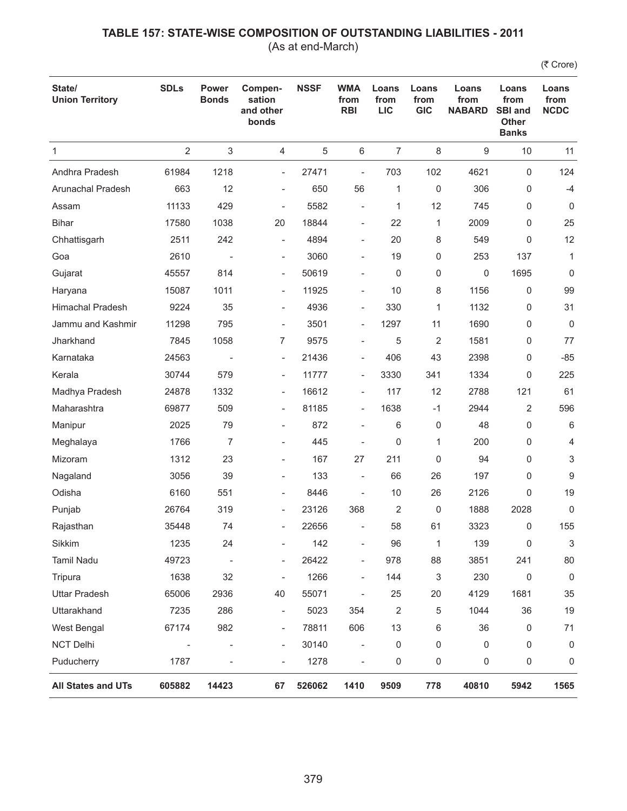(As at end-March)

| State/<br><b>Union Territory</b> | <b>SDLs</b>       | <b>Power</b><br><b>Bonds</b> | Compen-<br>sation<br>and other<br>bonds | <b>NSSF</b> | <b>WMA</b><br>from<br><b>RBI</b> | Loans<br>from<br><b>LIC</b> | Loans<br>from<br><b>GIC</b> | Loans<br>from<br><b>NABARD</b> | Loans<br>from<br><b>SBI and</b><br><b>Other</b><br><b>Banks</b> | Loans<br>from<br><b>NCDC</b> |
|----------------------------------|-------------------|------------------------------|-----------------------------------------|-------------|----------------------------------|-----------------------------|-----------------------------|--------------------------------|-----------------------------------------------------------------|------------------------------|
| 1                                | $\overline{2}$    | 3                            | 4                                       | 5           | 6                                | $\overline{7}$              | 8                           | 9                              | 10                                                              | 11                           |
| Andhra Pradesh                   | 61984             | 1218                         | $\overline{\phantom{a}}$                | 27471       | $\overline{a}$                   | 703                         | 102                         | 4621                           | $\mathbf 0$                                                     | 124                          |
| <b>Arunachal Pradesh</b>         | 663               | 12                           | $\overline{\phantom{a}}$                | 650         | 56                               | 1                           | 0                           | 306                            | 0                                                               | $-4$                         |
| Assam                            | 11133             | 429                          | ÷                                       | 5582        | ÷                                | 1                           | 12                          | 745                            | 0                                                               | $\mathbf 0$                  |
| <b>Bihar</b>                     | 17580             | 1038                         | 20                                      | 18844       | $\overline{\phantom{a}}$         | 22                          | 1                           | 2009                           | 0                                                               | 25                           |
| Chhattisgarh                     | 2511              | 242                          | $\overline{a}$                          | 4894        | $\overline{\phantom{a}}$         | 20                          | 8                           | 549                            | 0                                                               | 12                           |
| Goa                              | 2610              | $\overline{\phantom{a}}$     | $\overline{\phantom{a}}$                | 3060        | $\overline{\phantom{0}}$         | 19                          | 0                           | 253                            | 137                                                             | $\mathbf{1}$                 |
| Gujarat                          | 45557             | 814                          | $\overline{\phantom{0}}$                | 50619       | $\overline{a}$                   | 0                           | 0                           | 0                              | 1695                                                            | 0                            |
| Haryana                          | 15087             | 1011                         | $\overline{\phantom{a}}$                | 11925       | $\overline{\phantom{a}}$         | 10                          | 8                           | 1156                           | 0                                                               | 99                           |
| <b>Himachal Pradesh</b>          | 9224              | 35                           | $\overline{\phantom{a}}$                | 4936        | $\overline{\phantom{a}}$         | 330                         | 1                           | 1132                           | 0                                                               | 31                           |
| Jammu and Kashmir                | 11298             | 795                          | $\overline{\phantom{a}}$                | 3501        | $\overline{\phantom{a}}$         | 1297                        | 11                          | 1690                           | 0                                                               | $\mathbf 0$                  |
| Jharkhand                        | 7845              | 1058                         | 7                                       | 9575        | $\overline{a}$                   | 5                           | 2                           | 1581                           | 0                                                               | 77                           |
| Karnataka                        | 24563             |                              | $\overline{\phantom{0}}$                | 21436       | $\overline{\phantom{a}}$         | 406                         | 43                          | 2398                           | 0                                                               | $-85$                        |
| Kerala                           | 30744             | 579                          | $\overline{\phantom{a}}$                | 11777       | $\overline{\phantom{a}}$         | 3330                        | 341                         | 1334                           | 0                                                               | 225                          |
| Madhya Pradesh                   | 24878             | 1332                         | $\overline{\phantom{a}}$                | 16612       | $\overline{\phantom{a}}$         | 117                         | 12                          | 2788                           | 121                                                             | 61                           |
| Maharashtra                      | 69877             | 509                          | $\overline{\phantom{0}}$                | 81185       | $\overline{\phantom{0}}$         | 1638                        | $-1$                        | 2944                           | 2                                                               | 596                          |
| Manipur                          | 2025              | 79                           | $\overline{\phantom{m}}$                | 872         | $\overline{a}$                   | 6                           | 0                           | 48                             | 0                                                               | 6                            |
| Meghalaya                        | 1766              | $\overline{7}$               | $\overline{\phantom{m}}$                | 445         |                                  | 0                           | $\mathbf{1}$                | 200                            | 0                                                               | 4                            |
| Mizoram                          | 1312              | 23                           | $\overline{\phantom{a}}$                | 167         | 27                               | 211                         | 0                           | 94                             | 0                                                               | 3                            |
| Nagaland                         | 3056              | 39                           | $\qquad \qquad -$                       | 133         |                                  | 66                          | 26                          | 197                            | 0                                                               | 9                            |
| Odisha                           | 6160              | 551                          | $\qquad \qquad -$                       | 8446        |                                  | 10                          | 26                          | 2126                           | 0                                                               | 19                           |
| Punjab                           | 26764             | 319                          | $\overline{\phantom{a}}$                | 23126       | 368                              | $\overline{2}$              | 0                           | 1888                           | 2028                                                            | 0                            |
| Rajasthan                        | 35448             | 74                           | $\overline{\phantom{a}}$                | 22656       |                                  | 58                          | 61                          | 3323                           | 0                                                               | 155                          |
| Sikkim                           | 1235              | 24                           |                                         | 142         |                                  | 96                          | 1                           | 139                            | 0                                                               | 3                            |
| Tamil Nadu                       | 49723             |                              | $\overline{a}$                          | 26422       | $\overline{\phantom{a}}$         | 978                         | 88                          | 3851                           | 241                                                             | 80                           |
| Tripura                          | 1638              | 32                           | $\qquad \qquad \blacksquare$            | 1266        | $\overline{\phantom{a}}$         | 144                         | 3                           | 230                            | 0                                                               | $\mathbf 0$                  |
| <b>Uttar Pradesh</b>             | 65006             | 2936                         | 40                                      | 55071       |                                  | 25                          | 20                          | 4129                           | 1681                                                            | 35                           |
| Uttarakhand                      | 7235              | 286                          | $\overline{\phantom{0}}$                | 5023        | 354                              | $\sqrt{2}$                  | 5                           | 1044                           | 36                                                              | 19                           |
| West Bengal                      | 67174             | 982                          | $\overline{\phantom{a}}$                | 78811       | 606                              | 13                          | 6                           | 36                             | 0                                                               | 71                           |
| NCT Delhi                        | $\qquad \qquad -$ | $\qquad \qquad -$            | $\overline{\phantom{a}}$                | 30140       | $\overline{\phantom{a}}$         | 0                           | 0                           | 0                              | 0                                                               | 0                            |
| Puducherry                       | 1787              |                              | $\overline{\phantom{m}}$                | 1278        | $\overline{\phantom{a}}$         | 0                           | 0                           | 0                              | 0                                                               | 0                            |
| All States and UTs               | 605882            | 14423                        | 67                                      | 526062      | 1410                             | 9509                        | 778                         | 40810                          | 5942                                                            | 1565                         |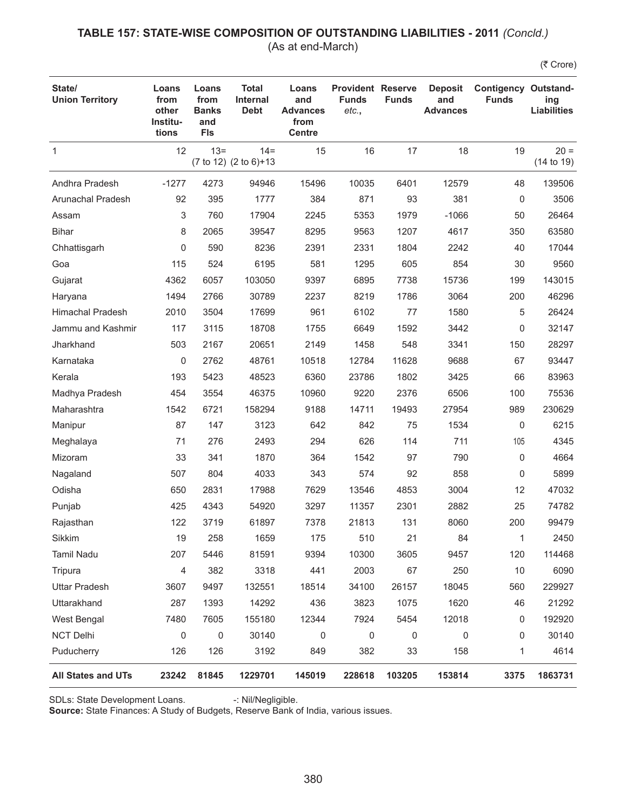### **TABLE 157: STATE-WISE COMPOSITION OF OUTSTANDING LIABILITIES - 2011** *(Concld.)* (As at end-March)

(₹ Crore)

| State/<br><b>Union Territory</b> | Loans<br>from<br>other<br>Institu-<br>tions | Loans<br>from<br><b>Banks</b><br>and<br><b>FIs</b> | <b>Total</b><br><b>Internal</b><br><b>Debt</b> | Loans<br>and<br><b>Advances</b><br>from<br><b>Centre</b> | <b>Provident Reserve</b><br><b>Funds</b><br>etc., | <b>Funds</b> | <b>Deposit</b><br>and<br><b>Advances</b> | <b>Contigency Outstand-</b><br><b>Funds</b> | ing<br><b>Liabilities</b> |
|----------------------------------|---------------------------------------------|----------------------------------------------------|------------------------------------------------|----------------------------------------------------------|---------------------------------------------------|--------------|------------------------------------------|---------------------------------------------|---------------------------|
| $\mathbf 1$                      | 12                                          | $13 =$                                             | $14 =$<br>(7 to 12) (2 to 6)+13                | 15                                                       | 16                                                | 17           | 18                                       | 19                                          | $20 =$<br>(14 to 19)      |
| Andhra Pradesh                   | $-1277$                                     | 4273                                               | 94946                                          | 15496                                                    | 10035                                             | 6401         | 12579                                    | 48                                          | 139506                    |
| <b>Arunachal Pradesh</b>         | 92                                          | 395                                                | 1777                                           | 384                                                      | 871                                               | 93           | 381                                      | 0                                           | 3506                      |
| Assam                            | 3                                           | 760                                                | 17904                                          | 2245                                                     | 5353                                              | 1979         | $-1066$                                  | 50                                          | 26464                     |
| <b>Bihar</b>                     | 8                                           | 2065                                               | 39547                                          | 8295                                                     | 9563                                              | 1207         | 4617                                     | 350                                         | 63580                     |
| Chhattisgarh                     | 0                                           | 590                                                | 8236                                           | 2391                                                     | 2331                                              | 1804         | 2242                                     | 40                                          | 17044                     |
| Goa                              | 115                                         | 524                                                | 6195                                           | 581                                                      | 1295                                              | 605          | 854                                      | 30                                          | 9560                      |
| Gujarat                          | 4362                                        | 6057                                               | 103050                                         | 9397                                                     | 6895                                              | 7738         | 15736                                    | 199                                         | 143015                    |
| Haryana                          | 1494                                        | 2766                                               | 30789                                          | 2237                                                     | 8219                                              | 1786         | 3064                                     | 200                                         | 46296                     |
| <b>Himachal Pradesh</b>          | 2010                                        | 3504                                               | 17699                                          | 961                                                      | 6102                                              | 77           | 1580                                     | 5                                           | 26424                     |
| Jammu and Kashmir                | 117                                         | 3115                                               | 18708                                          | 1755                                                     | 6649                                              | 1592         | 3442                                     | 0                                           | 32147                     |
| Jharkhand                        | 503                                         | 2167                                               | 20651                                          | 2149                                                     | 1458                                              | 548          | 3341                                     | 150                                         | 28297                     |
| Karnataka                        | 0                                           | 2762                                               | 48761                                          | 10518                                                    | 12784                                             | 11628        | 9688                                     | 67                                          | 93447                     |
| Kerala                           | 193                                         | 5423                                               | 48523                                          | 6360                                                     | 23786                                             | 1802         | 3425                                     | 66                                          | 83963                     |
| Madhya Pradesh                   | 454                                         | 3554                                               | 46375                                          | 10960                                                    | 9220                                              | 2376         | 6506                                     | 100                                         | 75536                     |
| Maharashtra                      | 1542                                        | 6721                                               | 158294                                         | 9188                                                     | 14711                                             | 19493        | 27954                                    | 989                                         | 230629                    |
| Manipur                          | 87                                          | 147                                                | 3123                                           | 642                                                      | 842                                               | 75           | 1534                                     | 0                                           | 6215                      |
| Meghalaya                        | 71                                          | 276                                                | 2493                                           | 294                                                      | 626                                               | 114          | 711                                      | 105                                         | 4345                      |
| Mizoram                          | 33                                          | 341                                                | 1870                                           | 364                                                      | 1542                                              | 97           | 790                                      | 0                                           | 4664                      |
| Nagaland                         | 507                                         | 804                                                | 4033                                           | 343                                                      | 574                                               | 92           | 858                                      | 0                                           | 5899                      |
| Odisha                           | 650                                         | 2831                                               | 17988                                          | 7629                                                     | 13546                                             | 4853         | 3004                                     | 12                                          | 47032                     |
| Punjab                           | 425                                         | 4343                                               | 54920                                          | 3297                                                     | 11357                                             | 2301         | 2882                                     | 25                                          | 74782                     |
| Rajasthan                        | 122                                         | 3719                                               | 61897                                          | 7378                                                     | 21813                                             | 131          | 8060                                     | 200                                         | 99479                     |
| Sikkim                           | 19                                          | 258                                                | 1659                                           | 175                                                      | 510                                               | 21           | 84                                       | $\mathbf{1}$                                | 2450                      |
| Tamil Nadu                       | 207                                         | 5446                                               | 81591                                          | 9394                                                     | 10300                                             | 3605         | 9457                                     | 120                                         | 114468                    |
| Tripura                          | $\overline{4}$                              | 382                                                | 3318                                           | 441                                                      | 2003                                              | 67           | 250                                      | 10                                          | 6090                      |
| <b>Uttar Pradesh</b>             | 3607                                        | 9497                                               | 132551                                         | 18514                                                    | 34100                                             | 26157        | 18045                                    | 560                                         | 229927                    |
| Uttarakhand                      | 287                                         | 1393                                               | 14292                                          | 436                                                      | 3823                                              | 1075         | 1620                                     | 46                                          | 21292                     |
| West Bengal                      | 7480                                        | 7605                                               | 155180                                         | 12344                                                    | 7924                                              | 5454         | 12018                                    | 0                                           | 192920                    |
| <b>NCT Delhi</b>                 | $\mathbf 0$                                 | 0                                                  | 30140                                          | 0                                                        | $\mathsf 0$                                       | 0            | 0                                        | 0                                           | 30140                     |
| Puducherry                       | 126                                         | 126                                                | 3192                                           | 849                                                      | 382                                               | 33           | 158                                      | 1                                           | 4614                      |
| <b>All States and UTs</b>        | 23242                                       | 81845                                              | 1229701                                        | 145019                                                   | 228618                                            | 103205       | 153814                                   | 3375                                        | 1863731                   |

SDLs: State Development Loans. -: Nil/Negligible.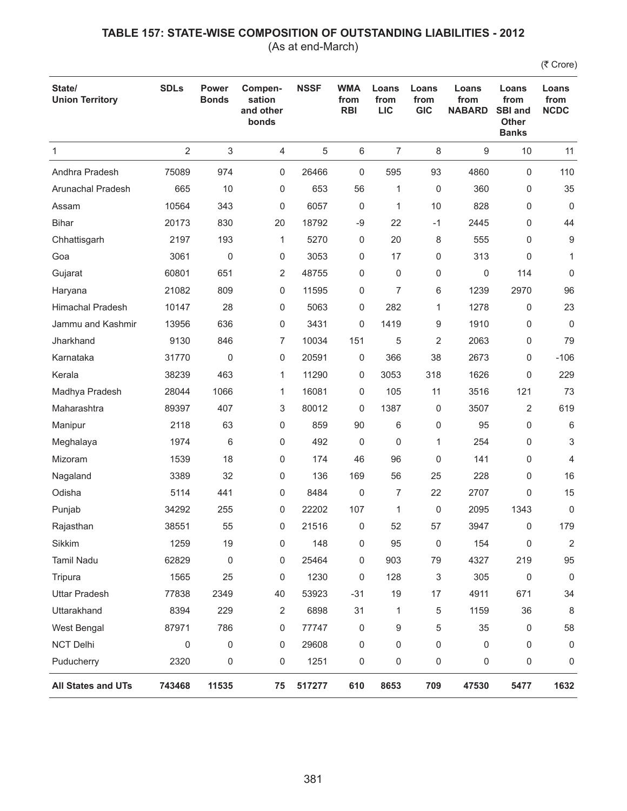(As at end-March)

| State/<br><b>Union Territory</b> | <b>SDLs</b>    | <b>Power</b><br><b>Bonds</b> | Compen-<br>sation<br>and other<br>bonds | <b>NSSF</b> | <b>WMA</b><br>from<br><b>RBI</b> | Loans<br>from<br><b>LIC</b> | Loans<br>from<br><b>GIC</b> | Loans<br>from<br><b>NABARD</b> | Loans<br>from<br><b>SBI and</b><br><b>Other</b><br><b>Banks</b> | Loans<br>from<br><b>NCDC</b> |
|----------------------------------|----------------|------------------------------|-----------------------------------------|-------------|----------------------------------|-----------------------------|-----------------------------|--------------------------------|-----------------------------------------------------------------|------------------------------|
| $\mathbf{1}$                     | $\overline{2}$ | 3                            | 4                                       | 5           | 6                                | 7                           | 8                           | 9                              | 10                                                              | 11                           |
| Andhra Pradesh                   | 75089          | 974                          | 0                                       | 26466       | 0                                | 595                         | 93                          | 4860                           | $\mathbf 0$                                                     | 110                          |
| Arunachal Pradesh                | 665            | 10                           | 0                                       | 653         | 56                               | 1                           | 0                           | 360                            | 0                                                               | 35                           |
| Assam                            | 10564          | 343                          | 0                                       | 6057        | 0                                | 1                           | 10                          | 828                            | 0                                                               | $\mathbf 0$                  |
| <b>Bihar</b>                     | 20173          | 830                          | 20                                      | 18792       | -9                               | 22                          | $-1$                        | 2445                           | 0                                                               | 44                           |
| Chhattisgarh                     | 2197           | 193                          | 1                                       | 5270        | 0                                | 20                          | 8                           | 555                            | 0                                                               | 9                            |
| Goa                              | 3061           | $\mathbf 0$                  | 0                                       | 3053        | 0                                | 17                          | 0                           | 313                            | 0                                                               | $\mathbf{1}$                 |
| Gujarat                          | 60801          | 651                          | 2                                       | 48755       | 0                                | 0                           | 0                           | 0                              | 114                                                             | 0                            |
| Haryana                          | 21082          | 809                          | 0                                       | 11595       | 0                                | $\overline{7}$              | 6                           | 1239                           | 2970                                                            | 96                           |
| <b>Himachal Pradesh</b>          | 10147          | 28                           | 0                                       | 5063        | 0                                | 282                         | 1                           | 1278                           | 0                                                               | 23                           |
| Jammu and Kashmir                | 13956          | 636                          | 0                                       | 3431        | 0                                | 1419                        | 9                           | 1910                           | 0                                                               | 0                            |
| Jharkhand                        | 9130           | 846                          | 7                                       | 10034       | 151                              | 5                           | $\overline{2}$              | 2063                           | $\mathbf 0$                                                     | 79                           |
| Karnataka                        | 31770          | 0                            | 0                                       | 20591       | 0                                | 366                         | 38                          | 2673                           | 0                                                               | $-106$                       |
| Kerala                           | 38239          | 463                          | 1                                       | 11290       | 0                                | 3053                        | 318                         | 1626                           | 0                                                               | 229                          |
| Madhya Pradesh                   | 28044          | 1066                         | 1                                       | 16081       | 0                                | 105                         | 11                          | 3516                           | 121                                                             | 73                           |
| Maharashtra                      | 89397          | 407                          | 3                                       | 80012       | 0                                | 1387                        | 0                           | 3507                           | 2                                                               | 619                          |
| Manipur                          | 2118           | 63                           | 0                                       | 859         | 90                               | 6                           | 0                           | 95                             | $\mathbf 0$                                                     | 6                            |
| Meghalaya                        | 1974           | 6                            | 0                                       | 492         | 0                                | 0                           | 1                           | 254                            | 0                                                               | 3                            |
| Mizoram                          | 1539           | 18                           | 0                                       | 174         | 46                               | 96                          | 0                           | 141                            | 0                                                               | 4                            |
| Nagaland                         | 3389           | 32                           | 0                                       | 136         | 169                              | 56                          | 25                          | 228                            | $\mathbf 0$                                                     | 16                           |
| Odisha                           | 5114           | 441                          | 0                                       | 8484        | 0                                | $\overline{7}$              | 22                          | 2707                           | 0                                                               | 15                           |
| Punjab                           | 34292          | 255                          | 0                                       | 22202       | 107                              | 1                           | 0                           | 2095                           | 1343                                                            | 0                            |
| Rajasthan                        | 38551          | 55                           | 0                                       | 21516       | 0                                | 52                          | 57                          | 3947                           | 0                                                               | 179                          |
| Sikkim                           | 1259           | 19                           | 0                                       | 148         | 0                                | 95                          | 0                           | 154                            | 0                                                               | $\overline{2}$               |
| Tamil Nadu                       | 62829          | 0                            | 0                                       | 25464       | 0                                | 903                         | 79                          | 4327                           | 219                                                             | 95                           |
| Tripura                          | 1565           | 25                           | 0                                       | 1230        | 0                                | 128                         | 3                           | 305                            | $\mathbf 0$                                                     | $\mathbf 0$                  |
| <b>Uttar Pradesh</b>             | 77838          | 2349                         | 40                                      | 53923       | $-31$                            | 19                          | 17                          | 4911                           | 671                                                             | 34                           |
| Uttarakhand                      | 8394           | 229                          | 2                                       | 6898        | 31                               | 1                           | 5                           | 1159                           | 36                                                              | 8                            |
| West Bengal                      | 87971          | 786                          | 0                                       | 77747       | 0                                | 9                           | 5                           | 35                             | 0                                                               | 58                           |
| <b>NCT Delhi</b>                 | 0              | 0                            | 0                                       | 29608       | 0                                | 0                           | 0                           | 0                              | 0                                                               | 0                            |
| Puducherry                       | 2320           | 0                            | 0                                       | 1251        | 0                                | 0                           | 0                           | 0                              | 0                                                               | 0                            |
| All States and UTs               | 743468         | 11535                        | 75                                      | 517277      | 610                              | 8653                        | 709                         | 47530                          | 5477                                                            | 1632                         |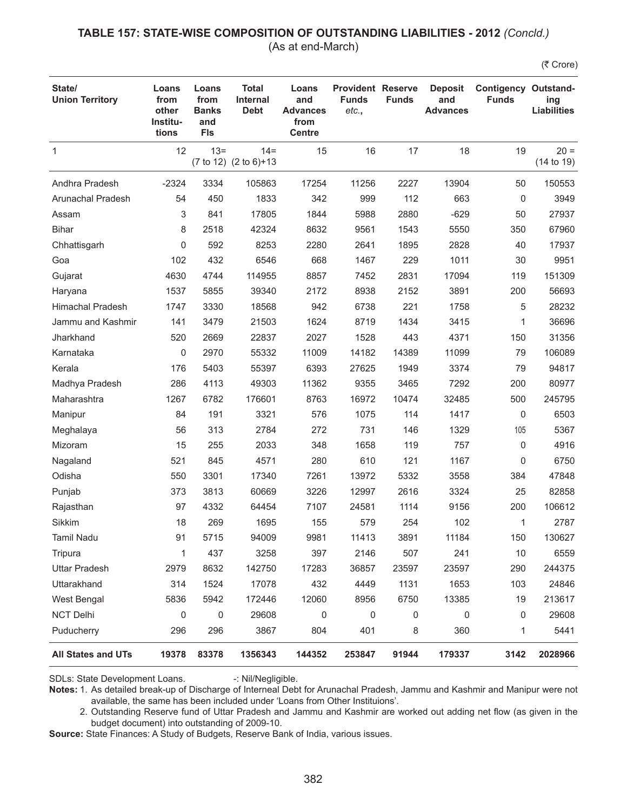# **TABLE 157: STATE-WISE COMPOSITION OF OUTSTANDING LIABILITIES - 2012** *(Concld.)*

(As at end-March)

(そ Crore)

| State/<br><b>Union Territory</b> | Loans<br>from<br>other<br>Institu-<br>tions | Loans<br>from<br><b>Banks</b><br>and<br><b>FIs</b> | <b>Total</b><br><b>Internal</b><br><b>Debt</b> | Loans<br>and<br><b>Advances</b><br>from<br><b>Centre</b> | <b>Provident Reserve</b><br><b>Funds</b><br>etc., | <b>Funds</b> | <b>Deposit</b><br>and<br><b>Advances</b> | <b>Contigency Outstand-</b><br><b>Funds</b> | ing<br><b>Liabilities</b> |
|----------------------------------|---------------------------------------------|----------------------------------------------------|------------------------------------------------|----------------------------------------------------------|---------------------------------------------------|--------------|------------------------------------------|---------------------------------------------|---------------------------|
| $\mathbf{1}$                     | 12                                          | $13 =$                                             | $14 =$<br>(7 to 12) (2 to 6)+13                | 15                                                       | 16                                                | 17           | 18                                       | 19                                          | $20 =$<br>(14 to 19)      |
| Andhra Pradesh                   | $-2324$                                     | 3334                                               | 105863                                         | 17254                                                    | 11256                                             | 2227         | 13904                                    | 50                                          | 150553                    |
| Arunachal Pradesh                | 54                                          | 450                                                | 1833                                           | 342                                                      | 999                                               | 112          | 663                                      | 0                                           | 3949                      |
| Assam                            | 3                                           | 841                                                | 17805                                          | 1844                                                     | 5988                                              | 2880         | $-629$                                   | 50                                          | 27937                     |
| <b>Bihar</b>                     | 8                                           | 2518                                               | 42324                                          | 8632                                                     | 9561                                              | 1543         | 5550                                     | 350                                         | 67960                     |
| Chhattisgarh                     | 0                                           | 592                                                | 8253                                           | 2280                                                     | 2641                                              | 1895         | 2828                                     | 40                                          | 17937                     |
| Goa                              | 102                                         | 432                                                | 6546                                           | 668                                                      | 1467                                              | 229          | 1011                                     | 30                                          | 9951                      |
| Gujarat                          | 4630                                        | 4744                                               | 114955                                         | 8857                                                     | 7452                                              | 2831         | 17094                                    | 119                                         | 151309                    |
| Haryana                          | 1537                                        | 5855                                               | 39340                                          | 2172                                                     | 8938                                              | 2152         | 3891                                     | 200                                         | 56693                     |
| <b>Himachal Pradesh</b>          | 1747                                        | 3330                                               | 18568                                          | 942                                                      | 6738                                              | 221          | 1758                                     | 5                                           | 28232                     |
| Jammu and Kashmir                | 141                                         | 3479                                               | 21503                                          | 1624                                                     | 8719                                              | 1434         | 3415                                     | 1                                           | 36696                     |
| Jharkhand                        | 520                                         | 2669                                               | 22837                                          | 2027                                                     | 1528                                              | 443          | 4371                                     | 150                                         | 31356                     |
| Karnataka                        | 0                                           | 2970                                               | 55332                                          | 11009                                                    | 14182                                             | 14389        | 11099                                    | 79                                          | 106089                    |
| Kerala                           | 176                                         | 5403                                               | 55397                                          | 6393                                                     | 27625                                             | 1949         | 3374                                     | 79                                          | 94817                     |
| Madhya Pradesh                   | 286                                         | 4113                                               | 49303                                          | 11362                                                    | 9355                                              | 3465         | 7292                                     | 200                                         | 80977                     |
| Maharashtra                      | 1267                                        | 6782                                               | 176601                                         | 8763                                                     | 16972                                             | 10474        | 32485                                    | 500                                         | 245795                    |
| Manipur                          | 84                                          | 191                                                | 3321                                           | 576                                                      | 1075                                              | 114          | 1417                                     | 0                                           | 6503                      |
| Meghalaya                        | 56                                          | 313                                                | 2784                                           | 272                                                      | 731                                               | 146          | 1329                                     | 105                                         | 5367                      |
| Mizoram                          | 15                                          | 255                                                | 2033                                           | 348                                                      | 1658                                              | 119          | 757                                      | 0                                           | 4916                      |
| Nagaland                         | 521                                         | 845                                                | 4571                                           | 280                                                      | 610                                               | 121          | 1167                                     | 0                                           | 6750                      |
| Odisha                           | 550                                         | 3301                                               | 17340                                          | 7261                                                     | 13972                                             | 5332         | 3558                                     | 384                                         | 47848                     |
| Punjab                           | 373                                         | 3813                                               | 60669                                          | 3226                                                     | 12997                                             | 2616         | 3324                                     | 25                                          | 82858                     |
| Rajasthan                        | 97                                          | 4332                                               | 64454                                          | 7107                                                     | 24581                                             | 1114         | 9156                                     | 200                                         | 106612                    |
| Sikkim                           | 18                                          | 269                                                | 1695                                           | 155                                                      | 579                                               | 254          | 102                                      | 1                                           | 2787                      |
| Tamil Nadu                       | 91                                          | 5715                                               | 94009                                          | 9981                                                     | 11413                                             | 3891         | 11184                                    | 150                                         | 130627                    |
| Tripura                          | 1                                           | 437                                                | 3258                                           | 397                                                      | 2146                                              | 507          | 241                                      | 10                                          | 6559                      |
| <b>Uttar Pradesh</b>             | 2979                                        | 8632                                               | 142750                                         | 17283                                                    | 36857                                             | 23597        | 23597                                    | 290                                         | 244375                    |
| Uttarakhand                      | 314                                         | 1524                                               | 17078                                          | 432                                                      | 4449                                              | 1131         | 1653                                     | 103                                         | 24846                     |
| West Bengal                      | 5836                                        | 5942                                               | 172446                                         | 12060                                                    | 8956                                              | 6750         | 13385                                    | 19                                          | 213617                    |
| <b>NCT Delhi</b>                 | 0                                           | 0                                                  | 29608                                          | 0                                                        | 0                                                 | 0            | 0                                        | 0                                           | 29608                     |
| Puducherry                       | 296                                         | 296                                                | 3867                                           | 804                                                      | 401                                               | 8            | 360                                      | 1                                           | 5441                      |
| <b>All States and UTs</b>        | 19378                                       | 83378                                              | 1356343                                        | 144352                                                   | 253847                                            | 91944        | 179337                                   | 3142                                        | 2028966                   |

SDLs: State Development Loans. -: Nil/Negligible.

**Notes:** 1. As detailed break-up of Discharge of Interneal Debt for Arunachal Pradesh, Jammu and Kashmir and Manipur were not available, the same has been included under 'Loans from Other Instituions'.

2. Outstanding Reserve fund of Uttar Pradesh and Jammu and Kashmir are worked out adding net flow (as given in the budget document) into outstanding of 2009-10.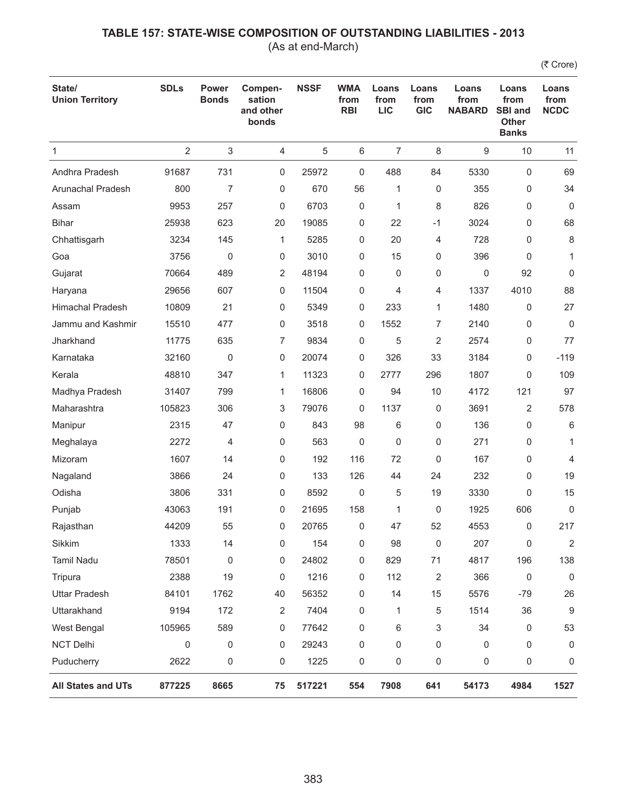(As at end-March)

| State/<br><b>Union Territory</b> | <b>SDLs</b>    | <b>Power</b><br><b>Bonds</b> | Compen-<br>sation<br>and other<br>bonds | <b>NSSF</b> | <b>WMA</b><br>from<br><b>RBI</b> | Loans<br>from<br><b>LIC</b> | Loans<br>from<br><b>GIC</b> | Loans<br>from<br><b>NABARD</b> | Loans<br>from<br><b>SBI and</b><br><b>Other</b><br><b>Banks</b> | Loans<br>from<br><b>NCDC</b> |
|----------------------------------|----------------|------------------------------|-----------------------------------------|-------------|----------------------------------|-----------------------------|-----------------------------|--------------------------------|-----------------------------------------------------------------|------------------------------|
| 1                                | $\overline{2}$ | 3                            | 4                                       | 5           | 6                                | $\overline{7}$              | 8                           | 9                              | 10                                                              | 11                           |
| Andhra Pradesh                   | 91687          | 731                          | 0                                       | 25972       | 0                                | 488                         | 84                          | 5330                           | $\mathbf 0$                                                     | 69                           |
| <b>Arunachal Pradesh</b>         | 800            | 7                            | 0                                       | 670         | 56                               | 1                           | 0                           | 355                            | 0                                                               | 34                           |
| Assam                            | 9953           | 257                          | 0                                       | 6703        | 0                                | 1                           | 8                           | 826                            | 0                                                               | $\Omega$                     |
| <b>Bihar</b>                     | 25938          | 623                          | 20                                      | 19085       | 0                                | 22                          | $-1$                        | 3024                           | 0                                                               | 68                           |
| Chhattisgarh                     | 3234           | 145                          | $\mathbf{1}$                            | 5285        | 0                                | 20                          | 4                           | 728                            | 0                                                               | 8                            |
| Goa                              | 3756           | $\pmb{0}$                    | 0                                       | 3010        | 0                                | 15                          | 0                           | 396                            | 0                                                               | $\mathbf{1}$                 |
| Gujarat                          | 70664          | 489                          | 2                                       | 48194       | 0                                | 0                           | 0                           | 0                              | 92                                                              | 0                            |
| Haryana                          | 29656          | 607                          | 0                                       | 11504       | 0                                | 4                           | 4                           | 1337                           | 4010                                                            | 88                           |
| <b>Himachal Pradesh</b>          | 10809          | 21                           | 0                                       | 5349        | 0                                | 233                         | $\mathbf{1}$                | 1480                           | $\mathbf 0$                                                     | 27                           |
| Jammu and Kashmir                | 15510          | 477                          | 0                                       | 3518        | 0                                | 1552                        | 7                           | 2140                           | 0                                                               | $\mathbf 0$                  |
| Jharkhand                        | 11775          | 635                          | 7                                       | 9834        | 0                                | 5                           | 2                           | 2574                           | 0                                                               | 77                           |
| Karnataka                        | 32160          | 0                            | 0                                       | 20074       | 0                                | 326                         | 33                          | 3184                           | 0                                                               | $-119$                       |
| Kerala                           | 48810          | 347                          | 1                                       | 11323       | 0                                | 2777                        | 296                         | 1807                           | 0                                                               | 109                          |
| Madhya Pradesh                   | 31407          | 799                          | $\mathbf{1}$                            | 16806       | 0                                | 94                          | 10                          | 4172                           | 121                                                             | 97                           |
| Maharashtra                      | 105823         | 306                          | 3                                       | 79076       | 0                                | 1137                        | 0                           | 3691                           | 2                                                               | 578                          |
| Manipur                          | 2315           | 47                           | 0                                       | 843         | 98                               | 6                           | 0                           | 136                            | 0                                                               | 6                            |
| Meghalaya                        | 2272           | 4                            | 0                                       | 563         | 0                                | 0                           | 0                           | 271                            | 0                                                               | 1                            |
| Mizoram                          | 1607           | 14                           | 0                                       | 192         | 116                              | 72                          | 0                           | 167                            | 0                                                               | 4                            |
| Nagaland                         | 3866           | 24                           | 0                                       | 133         | 126                              | 44                          | 24                          | 232                            | 0                                                               | 19                           |
| Odisha                           | 3806           | 331                          | 0                                       | 8592        | 0                                | 5                           | 19                          | 3330                           | 0                                                               | 15                           |
| Punjab                           | 43063          | 191                          | 0                                       | 21695       | 158                              | 1                           | 0                           | 1925                           | 606                                                             | 0                            |
| Rajasthan                        | 44209          | 55                           | 0                                       | 20765       | 0                                | 47                          | 52                          | 4553                           | 0                                                               | 217                          |
| Sikkim                           | 1333           | 14                           | 0                                       | 154         | 0                                | 98                          | 0                           | 207                            | 0                                                               | $\overline{2}$               |
| <b>Tamil Nadu</b>                | 78501          | $\pmb{0}$                    | 0                                       | 24802       | 0                                | 829                         | 71                          | 4817                           | 196                                                             | 138                          |
| Tripura                          | 2388           | 19                           | 0                                       | 1216        | 0                                | 112                         | $\overline{2}$              | 366                            | 0                                                               | $\mathbf 0$                  |
| <b>Uttar Pradesh</b>             | 84101          | 1762                         | 40                                      | 56352       | 0                                | 14                          | 15                          | 5576                           | $-79$                                                           | 26                           |
| Uttarakhand                      | 9194           | 172                          | 2                                       | 7404        | 0                                | 1                           | 5                           | 1514                           | 36                                                              | $9\,$                        |
| West Bengal                      | 105965         | 589                          | 0                                       | 77642       | 0                                | 6                           | 3                           | 34                             | 0                                                               | 53                           |
| NCT Delhi                        | 0              | 0                            | 0                                       | 29243       | 0                                | $\mathbf 0$                 | 0                           | 0                              | 0                                                               | $\mathbf 0$                  |
| Puducherry                       | 2622           | 0                            | 0                                       | 1225        | 0                                | $\mathsf 0$                 | 0                           | 0                              | 0                                                               | 0                            |
| All States and UTs               | 877225         | 8665                         | 75                                      | 517221      | 554                              | 7908                        | 641                         | 54173                          | 4984                                                            | 1527                         |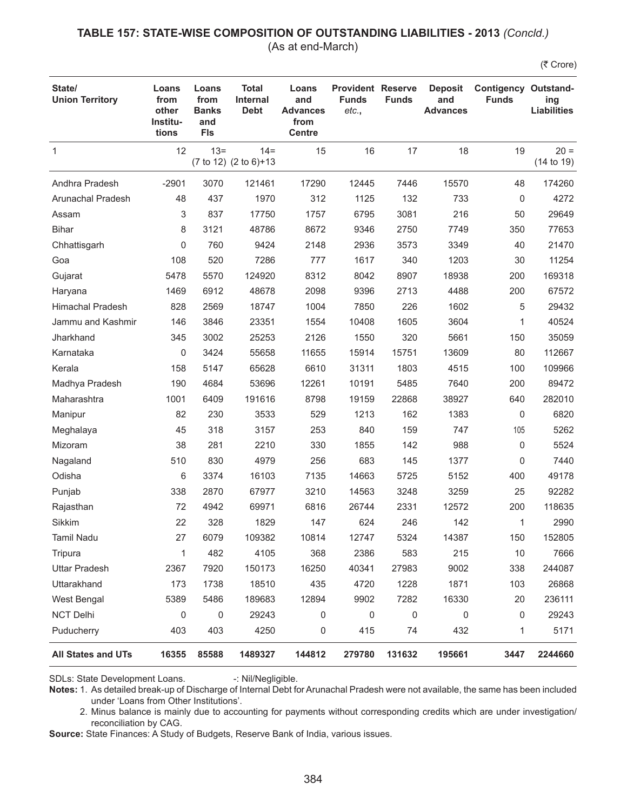#### **TABLE 157: STATE-WISE COMPOSITION OF OUTSTANDING LIABILITIES - 2013** *(Concld.)* (As at end-March)

(₹ Crore)

| State/<br><b>Union Territory</b> | Loans<br>from<br>other<br>Institu-<br>tions | Loans<br>from<br><b>Banks</b><br>and<br><b>FIs</b> | Total<br><b>Internal</b><br><b>Debt</b> | Loans<br>and<br><b>Advances</b><br>from<br><b>Centre</b> | <b>Provident Reserve</b><br><b>Funds</b><br>etc., | <b>Funds</b> | <b>Deposit</b><br>and<br><b>Advances</b> | <b>Contigency Outstand-</b><br><b>Funds</b> | ing<br><b>Liabilities</b> |
|----------------------------------|---------------------------------------------|----------------------------------------------------|-----------------------------------------|----------------------------------------------------------|---------------------------------------------------|--------------|------------------------------------------|---------------------------------------------|---------------------------|
| 1                                | 12                                          | $13 =$                                             | $14 =$<br>(7 to 12) (2 to 6)+13         | 15                                                       | 16                                                | 17           | 18                                       | 19                                          | $20 =$<br>(14 to 19)      |
| Andhra Pradesh                   | $-2901$                                     | 3070                                               | 121461                                  | 17290                                                    | 12445                                             | 7446         | 15570                                    | 48                                          | 174260                    |
| Arunachal Pradesh                | 48                                          | 437                                                | 1970                                    | 312                                                      | 1125                                              | 132          | 733                                      | 0                                           | 4272                      |
| Assam                            | 3                                           | 837                                                | 17750                                   | 1757                                                     | 6795                                              | 3081         | 216                                      | 50                                          | 29649                     |
| <b>Bihar</b>                     | 8                                           | 3121                                               | 48786                                   | 8672                                                     | 9346                                              | 2750         | 7749                                     | 350                                         | 77653                     |
| Chhattisgarh                     | 0                                           | 760                                                | 9424                                    | 2148                                                     | 2936                                              | 3573         | 3349                                     | 40                                          | 21470                     |
| Goa                              | 108                                         | 520                                                | 7286                                    | 777                                                      | 1617                                              | 340          | 1203                                     | 30                                          | 11254                     |
| Gujarat                          | 5478                                        | 5570                                               | 124920                                  | 8312                                                     | 8042                                              | 8907         | 18938                                    | 200                                         | 169318                    |
| Haryana                          | 1469                                        | 6912                                               | 48678                                   | 2098                                                     | 9396                                              | 2713         | 4488                                     | 200                                         | 67572                     |
| <b>Himachal Pradesh</b>          | 828                                         | 2569                                               | 18747                                   | 1004                                                     | 7850                                              | 226          | 1602                                     | 5                                           | 29432                     |
| Jammu and Kashmir                | 146                                         | 3846                                               | 23351                                   | 1554                                                     | 10408                                             | 1605         | 3604                                     | 1                                           | 40524                     |
| Jharkhand                        | 345                                         | 3002                                               | 25253                                   | 2126                                                     | 1550                                              | 320          | 5661                                     | 150                                         | 35059                     |
| Karnataka                        | 0                                           | 3424                                               | 55658                                   | 11655                                                    | 15914                                             | 15751        | 13609                                    | 80                                          | 112667                    |
| Kerala                           | 158                                         | 5147                                               | 65628                                   | 6610                                                     | 31311                                             | 1803         | 4515                                     | 100                                         | 109966                    |
| Madhya Pradesh                   | 190                                         | 4684                                               | 53696                                   | 12261                                                    | 10191                                             | 5485         | 7640                                     | 200                                         | 89472                     |
| Maharashtra                      | 1001                                        | 6409                                               | 191616                                  | 8798                                                     | 19159                                             | 22868        | 38927                                    | 640                                         | 282010                    |
| Manipur                          | 82                                          | 230                                                | 3533                                    | 529                                                      | 1213                                              | 162          | 1383                                     | 0                                           | 6820                      |
| Meghalaya                        | 45                                          | 318                                                | 3157                                    | 253                                                      | 840                                               | 159          | 747                                      | 105                                         | 5262                      |
| Mizoram                          | 38                                          | 281                                                | 2210                                    | 330                                                      | 1855                                              | 142          | 988                                      | 0                                           | 5524                      |
| Nagaland                         | 510                                         | 830                                                | 4979                                    | 256                                                      | 683                                               | 145          | 1377                                     | 0                                           | 7440                      |
| Odisha                           | 6                                           | 3374                                               | 16103                                   | 7135                                                     | 14663                                             | 5725         | 5152                                     | 400                                         | 49178                     |
| Punjab                           | 338                                         | 2870                                               | 67977                                   | 3210                                                     | 14563                                             | 3248         | 3259                                     | 25                                          | 92282                     |
| Rajasthan                        | 72                                          | 4942                                               | 69971                                   | 6816                                                     | 26744                                             | 2331         | 12572                                    | 200                                         | 118635                    |
| Sikkim                           | 22                                          | 328                                                | 1829                                    | 147                                                      | 624                                               | 246          | 142                                      | 1                                           | 2990                      |
| Tamil Nadu                       | 27                                          | 6079                                               | 109382                                  | 10814                                                    | 12747                                             | 5324         | 14387                                    | 150                                         | 152805                    |
| Tripura                          | 1                                           | 482                                                | 4105                                    | 368                                                      | 2386                                              | 583          | 215                                      | 10                                          | 7666                      |
| <b>Uttar Pradesh</b>             | 2367                                        | 7920                                               | 150173                                  | 16250                                                    | 40341                                             | 27983        | 9002                                     | 338                                         | 244087                    |
| Uttarakhand                      | 173                                         | 1738                                               | 18510                                   | 435                                                      | 4720                                              | 1228         | 1871                                     | 103                                         | 26868                     |
| West Bengal                      | 5389                                        | 5486                                               | 189683                                  | 12894                                                    | 9902                                              | 7282         | 16330                                    | 20                                          | 236111                    |
| <b>NCT Delhi</b>                 | 0                                           | 0                                                  | 29243                                   | 0                                                        | 0                                                 | 0            | 0                                        | 0                                           | 29243                     |
| Puducherry                       | 403                                         | 403                                                | 4250                                    | 0                                                        | 415                                               | 74           | 432                                      | 1                                           | 5171                      |
| All States and UTs               | 16355                                       | 85588                                              | 1489327                                 | 144812                                                   | 279780                                            | 131632       | 195661                                   | 3447                                        | 2244660                   |

SDLs: State Development Loans. -: Nil/Negligible.

**Notes:** 1. As detailed break-up of Discharge of Internal Debt for Arunachal Pradesh were not available, the same has been included under 'Loans from Other Institutions'.

2. Minus balance is mainly due to accounting for payments without corresponding credits which are under investigation/ reconciliation by CAG.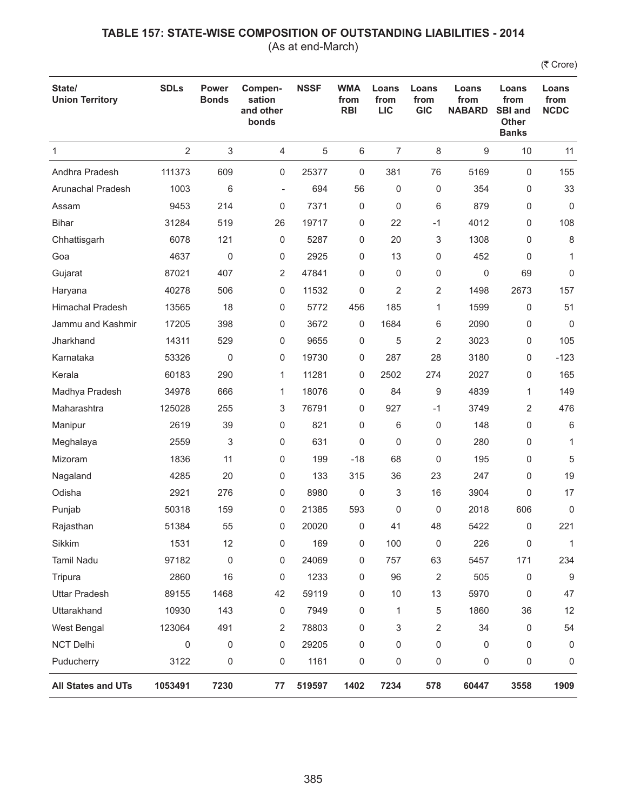(As at end-March)

| State/<br><b>Union Territory</b> | <b>SDLs</b>    | <b>Power</b><br><b>Bonds</b> | Compen-<br>sation<br>and other<br>bonds | <b>NSSF</b> | <b>WMA</b><br>from<br><b>RBI</b> | Loans<br>from<br><b>LIC</b> | Loans<br>from<br><b>GIC</b> | Loans<br>from<br><b>NABARD</b> | Loans<br>from<br><b>SBI and</b><br><b>Other</b><br><b>Banks</b> | Loans<br>from<br><b>NCDC</b> |
|----------------------------------|----------------|------------------------------|-----------------------------------------|-------------|----------------------------------|-----------------------------|-----------------------------|--------------------------------|-----------------------------------------------------------------|------------------------------|
| 1                                | $\overline{2}$ | $\ensuremath{\mathsf{3}}$    | 4                                       | 5           | 6                                | $\overline{7}$              | 8                           | 9                              | 10                                                              | 11                           |
| Andhra Pradesh                   | 111373         | 609                          | 0                                       | 25377       | 0                                | 381                         | 76                          | 5169                           | $\mathbf 0$                                                     | 155                          |
| Arunachal Pradesh                | 1003           | 6                            | $\overline{\phantom{a}}$                | 694         | 56                               | 0                           | 0                           | 354                            | 0                                                               | 33                           |
| Assam                            | 9453           | 214                          | 0                                       | 7371        | 0                                | $\mathbf 0$                 | 6                           | 879                            | 0                                                               | 0                            |
| <b>Bihar</b>                     | 31284          | 519                          | 26                                      | 19717       | 0                                | 22                          | $-1$                        | 4012                           | 0                                                               | 108                          |
| Chhattisgarh                     | 6078           | 121                          | 0                                       | 5287        | 0                                | 20                          | 3                           | 1308                           | $\mathbf 0$                                                     | 8                            |
| Goa                              | 4637           | $\mathbf 0$                  | 0                                       | 2925        | 0                                | 13                          | 0                           | 452                            | 0                                                               | $\mathbf{1}$                 |
| Gujarat                          | 87021          | 407                          | 2                                       | 47841       | 0                                | 0                           | 0                           | 0                              | 69                                                              | 0                            |
| Haryana                          | 40278          | 506                          | 0                                       | 11532       | 0                                | $\overline{2}$              | 2                           | 1498                           | 2673                                                            | 157                          |
| <b>Himachal Pradesh</b>          | 13565          | 18                           | 0                                       | 5772        | 456                              | 185                         | 1                           | 1599                           | 0                                                               | 51                           |
| Jammu and Kashmir                | 17205          | 398                          | 0                                       | 3672        | 0                                | 1684                        | 6                           | 2090                           | 0                                                               | $\mathbf 0$                  |
| Jharkhand                        | 14311          | 529                          | 0                                       | 9655        | 0                                | 5                           | 2                           | 3023                           | 0                                                               | 105                          |
| Karnataka                        | 53326          | 0                            | 0                                       | 19730       | 0                                | 287                         | 28                          | 3180                           | 0                                                               | $-123$                       |
| Kerala                           | 60183          | 290                          | 1                                       | 11281       | 0                                | 2502                        | 274                         | 2027                           | 0                                                               | 165                          |
| Madhya Pradesh                   | 34978          | 666                          | 1                                       | 18076       | 0                                | 84                          | 9                           | 4839                           | 1                                                               | 149                          |
| Maharashtra                      | 125028         | 255                          | 3                                       | 76791       | 0                                | 927                         | $-1$                        | 3749                           | 2                                                               | 476                          |
| Manipur                          | 2619           | 39                           | 0                                       | 821         | 0                                | 6                           | 0                           | 148                            | 0                                                               | 6                            |
| Meghalaya                        | 2559           | 3                            | 0                                       | 631         | 0                                | 0                           | 0                           | 280                            | 0                                                               | 1                            |
| Mizoram                          | 1836           | 11                           | 0                                       | 199         | $-18$                            | 68                          | 0                           | 195                            | 0                                                               | 5                            |
| Nagaland                         | 4285           | 20                           | 0                                       | 133         | 315                              | 36                          | 23                          | 247                            | 0                                                               | 19                           |
| Odisha                           | 2921           | 276                          | 0                                       | 8980        | 0                                | 3                           | 16                          | 3904                           | 0                                                               | 17                           |
| Punjab                           | 50318          | 159                          | 0                                       | 21385       | 593                              | 0                           | 0                           | 2018                           | 606                                                             | 0                            |
| Rajasthan                        | 51384          | 55                           | 0                                       | 20020       | 0                                | 41                          | 48                          | 5422                           | 0                                                               | 221                          |
| Sikkim                           | 1531           | 12                           | 0                                       | 169         | 0                                | 100                         | 0                           | 226                            | 0                                                               | $\mathbf{1}$                 |
| <b>Tamil Nadu</b>                | 97182          | $\mathsf{O}\xspace$          | 0                                       | 24069       | 0                                | 757                         | 63                          | 5457                           | 171                                                             | 234                          |
| Tripura                          | 2860           | 16                           | 0                                       | 1233        | 0                                | 96                          | $\overline{2}$              | 505                            | 0                                                               | 9                            |
| <b>Uttar Pradesh</b>             | 89155          | 1468                         | 42                                      | 59119       | 0                                | 10                          | 13                          | 5970                           | 0                                                               | 47                           |
| Uttarakhand                      | 10930          | 143                          | 0                                       | 7949        | 0                                | 1                           | 5                           | 1860                           | 36                                                              | 12                           |
| West Bengal                      | 123064         | 491                          | 2                                       | 78803       | 0                                | 3                           | 2                           | 34                             | 0                                                               | 54                           |
| NCT Delhi                        | 0              | 0                            | 0                                       | 29205       | 0                                | 0                           | 0                           | 0                              | 0                                                               | 0                            |
| Puducherry                       | 3122           | 0                            | 0                                       | 1161        | 0                                | 0                           | 0                           | 0                              | 0                                                               | 0                            |
| All States and UTs               | 1053491        | 7230                         | 77                                      | 519597      | 1402                             | 7234                        | 578                         | 60447                          | 3558                                                            | 1909                         |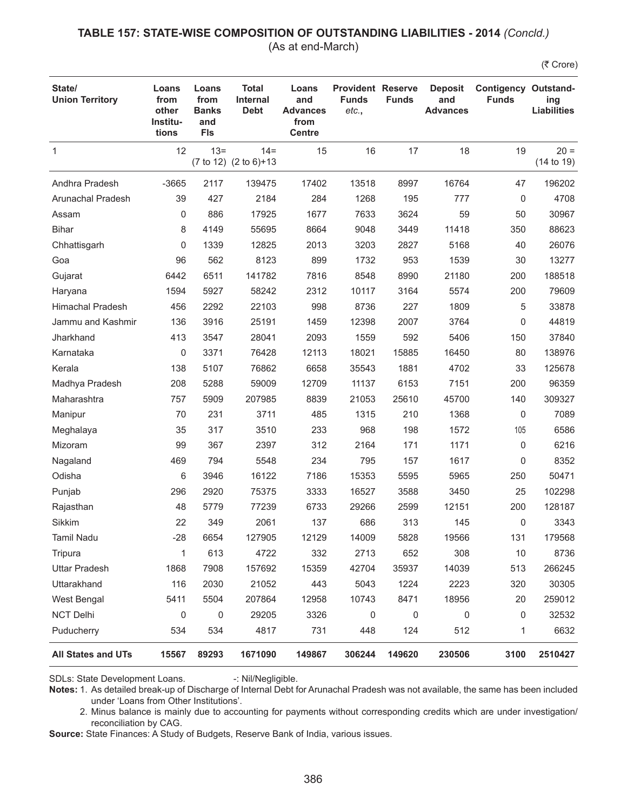### **TABLE 157: STATE-WISE COMPOSITION OF OUTSTANDING LIABILITIES - 2014** *(Concld.)*

(As at end-March)

(そ Crore)

| State/<br><b>Union Territory</b> | Loans<br>from<br>other<br>Institu-<br>tions | Loans<br>from<br><b>Banks</b><br>and<br><b>FIs</b> | <b>Total</b><br><b>Internal</b><br><b>Debt</b> | Loans<br>and<br><b>Advances</b><br>from<br><b>Centre</b> | <b>Provident Reserve</b><br><b>Funds</b><br>etc., | <b>Funds</b> | <b>Deposit</b><br>and<br><b>Advances</b> | <b>Contigency Outstand-</b><br><b>Funds</b> | ing<br><b>Liabilities</b> |
|----------------------------------|---------------------------------------------|----------------------------------------------------|------------------------------------------------|----------------------------------------------------------|---------------------------------------------------|--------------|------------------------------------------|---------------------------------------------|---------------------------|
| $\mathbf{1}$                     | 12                                          | $13 =$                                             | $14 =$<br>(7 to 12) (2 to 6)+13                | 15                                                       | 16                                                | 17           | 18                                       | 19                                          | $20 =$<br>(14 to 19)      |
| Andhra Pradesh                   | $-3665$                                     | 2117                                               | 139475                                         | 17402                                                    | 13518                                             | 8997         | 16764                                    | 47                                          | 196202                    |
| Arunachal Pradesh                | 39                                          | 427                                                | 2184                                           | 284                                                      | 1268                                              | 195          | 777                                      | 0                                           | 4708                      |
| Assam                            | 0                                           | 886                                                | 17925                                          | 1677                                                     | 7633                                              | 3624         | 59                                       | 50                                          | 30967                     |
| <b>Bihar</b>                     | 8                                           | 4149                                               | 55695                                          | 8664                                                     | 9048                                              | 3449         | 11418                                    | 350                                         | 88623                     |
| Chhattisgarh                     | 0                                           | 1339                                               | 12825                                          | 2013                                                     | 3203                                              | 2827         | 5168                                     | 40                                          | 26076                     |
| Goa                              | 96                                          | 562                                                | 8123                                           | 899                                                      | 1732                                              | 953          | 1539                                     | 30                                          | 13277                     |
| Gujarat                          | 6442                                        | 6511                                               | 141782                                         | 7816                                                     | 8548                                              | 8990         | 21180                                    | 200                                         | 188518                    |
| Haryana                          | 1594                                        | 5927                                               | 58242                                          | 2312                                                     | 10117                                             | 3164         | 5574                                     | 200                                         | 79609                     |
| <b>Himachal Pradesh</b>          | 456                                         | 2292                                               | 22103                                          | 998                                                      | 8736                                              | 227          | 1809                                     | 5                                           | 33878                     |
| Jammu and Kashmir                | 136                                         | 3916                                               | 25191                                          | 1459                                                     | 12398                                             | 2007         | 3764                                     | 0                                           | 44819                     |
| Jharkhand                        | 413                                         | 3547                                               | 28041                                          | 2093                                                     | 1559                                              | 592          | 5406                                     | 150                                         | 37840                     |
| Karnataka                        | 0                                           | 3371                                               | 76428                                          | 12113                                                    | 18021                                             | 15885        | 16450                                    | 80                                          | 138976                    |
| Kerala                           | 138                                         | 5107                                               | 76862                                          | 6658                                                     | 35543                                             | 1881         | 4702                                     | 33                                          | 125678                    |
| Madhya Pradesh                   | 208                                         | 5288                                               | 59009                                          | 12709                                                    | 11137                                             | 6153         | 7151                                     | 200                                         | 96359                     |
| Maharashtra                      | 757                                         | 5909                                               | 207985                                         | 8839                                                     | 21053                                             | 25610        | 45700                                    | 140                                         | 309327                    |
| Manipur                          | 70                                          | 231                                                | 3711                                           | 485                                                      | 1315                                              | 210          | 1368                                     | 0                                           | 7089                      |
| Meghalaya                        | 35                                          | 317                                                | 3510                                           | 233                                                      | 968                                               | 198          | 1572                                     | 105                                         | 6586                      |
| Mizoram                          | 99                                          | 367                                                | 2397                                           | 312                                                      | 2164                                              | 171          | 1171                                     | 0                                           | 6216                      |
| Nagaland                         | 469                                         | 794                                                | 5548                                           | 234                                                      | 795                                               | 157          | 1617                                     | 0                                           | 8352                      |
| Odisha                           | 6                                           | 3946                                               | 16122                                          | 7186                                                     | 15353                                             | 5595         | 5965                                     | 250                                         | 50471                     |
| Punjab                           | 296                                         | 2920                                               | 75375                                          | 3333                                                     | 16527                                             | 3588         | 3450                                     | 25                                          | 102298                    |
| Rajasthan                        | 48                                          | 5779                                               | 77239                                          | 6733                                                     | 29266                                             | 2599         | 12151                                    | 200                                         | 128187                    |
| Sikkim                           | 22                                          | 349                                                | 2061                                           | 137                                                      | 686                                               | 313          | 145                                      | 0                                           | 3343                      |
| Tamil Nadu                       | -28                                         | 6654                                               | 127905                                         | 12129                                                    | 14009                                             | 5828         | 19566                                    | 131                                         | 179568                    |
| Tripura                          | 1                                           | 613                                                | 4722                                           | 332                                                      | 2713                                              | 652          | 308                                      | 10                                          | 8736                      |
| <b>Uttar Pradesh</b>             | 1868                                        | 7908                                               | 157692                                         | 15359                                                    | 42704                                             | 35937        | 14039                                    | 513                                         | 266245                    |
| Uttarakhand                      | 116                                         | 2030                                               | 21052                                          | 443                                                      | 5043                                              | 1224         | 2223                                     | 320                                         | 30305                     |
| West Bengal                      | 5411                                        | 5504                                               | 207864                                         | 12958                                                    | 10743                                             | 8471         | 18956                                    | 20                                          | 259012                    |
| NCT Delhi                        | 0                                           | 0                                                  | 29205                                          | 3326                                                     | 0                                                 | 0            | 0                                        | 0                                           | 32532                     |
| Puducherry                       | 534                                         | 534                                                | 4817                                           | 731                                                      | 448                                               | 124          | 512                                      | 1                                           | 6632                      |
| <b>All States and UTs</b>        | 15567                                       | 89293                                              | 1671090                                        | 149867                                                   | 306244                                            | 149620       | 230506                                   | 3100                                        | 2510427                   |

SDLs: State Development Loans. -: Nil/Negligible.

**Notes:** 1. As detailed break-up of Discharge of Internal Debt for Arunachal Pradesh was not available, the same has been included under 'Loans from Other Institutions'.

2. Minus balance is mainly due to accounting for payments without corresponding credits which are under investigation/ reconciliation by CAG.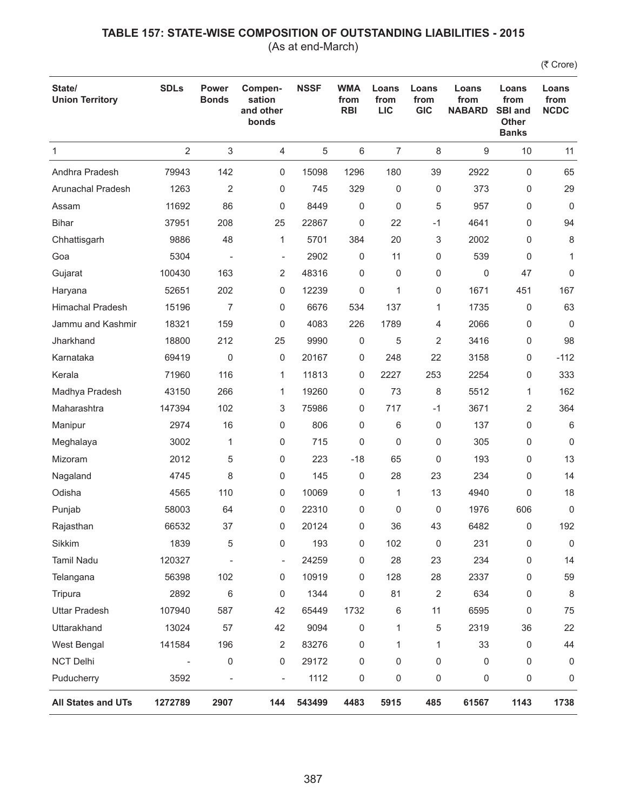(As at end-March)

| State/<br><b>Union Territory</b> | <b>SDLs</b>    | <b>Power</b><br><b>Bonds</b> | Compen-<br>sation<br>and other<br>bonds | <b>NSSF</b> | <b>WMA</b><br>from<br><b>RBI</b> | Loans<br>from<br><b>LIC</b> | Loans<br>from<br><b>GIC</b> | Loans<br>from<br><b>NABARD</b> | Loans<br>from<br><b>SBI and</b><br>Other<br><b>Banks</b> | Loans<br>from<br><b>NCDC</b> |
|----------------------------------|----------------|------------------------------|-----------------------------------------|-------------|----------------------------------|-----------------------------|-----------------------------|--------------------------------|----------------------------------------------------------|------------------------------|
| $\mathbf{1}$                     | $\overline{2}$ | $\sqrt{3}$                   | $\overline{4}$                          | 5           | 6                                | 7                           | 8                           | 9                              | 10                                                       | 11                           |
| Andhra Pradesh                   | 79943          | 142                          | 0                                       | 15098       | 1296                             | 180                         | 39                          | 2922                           | $\mathbf 0$                                              | 65                           |
| Arunachal Pradesh                | 1263           | $\overline{2}$               | 0                                       | 745         | 329                              | 0                           | 0                           | 373                            | 0                                                        | 29                           |
| Assam                            | 11692          | 86                           | 0                                       | 8449        | 0                                | 0                           | 5                           | 957                            | 0                                                        | $\mathbf 0$                  |
| <b>Bihar</b>                     | 37951          | 208                          | 25                                      | 22867       | 0                                | 22                          | $-1$                        | 4641                           | 0                                                        | 94                           |
| Chhattisgarh                     | 9886           | 48                           | 1                                       | 5701        | 384                              | 20                          | 3                           | 2002                           | 0                                                        | 8                            |
| Goa                              | 5304           | $\overline{\phantom{a}}$     | $\overline{\phantom{a}}$                | 2902        | 0                                | 11                          | 0                           | 539                            | 0                                                        | $\mathbf{1}$                 |
| Gujarat                          | 100430         | 163                          | 2                                       | 48316       | 0                                | 0                           | 0                           | 0                              | 47                                                       | 0                            |
| Haryana                          | 52651          | 202                          | 0                                       | 12239       | 0                                | 1                           | 0                           | 1671                           | 451                                                      | 167                          |
| <b>Himachal Pradesh</b>          | 15196          | $\overline{7}$               | 0                                       | 6676        | 534                              | 137                         | 1                           | 1735                           | 0                                                        | 63                           |
| Jammu and Kashmir                | 18321          | 159                          | 0                                       | 4083        | 226                              | 1789                        | 4                           | 2066                           | 0                                                        | 0                            |
| Jharkhand                        | 18800          | 212                          | 25                                      | 9990        | $\mathsf 0$                      | 5                           | 2                           | 3416                           | 0                                                        | 98                           |
| Karnataka                        | 69419          | 0                            | 0                                       | 20167       | 0                                | 248                         | 22                          | 3158                           | 0                                                        | $-112$                       |
| Kerala                           | 71960          | 116                          | 1                                       | 11813       | 0                                | 2227                        | 253                         | 2254                           | 0                                                        | 333                          |
| Madhya Pradesh                   | 43150          | 266                          | 1                                       | 19260       | 0                                | 73                          | 8                           | 5512                           | $\mathbf{1}$                                             | 162                          |
| Maharashtra                      | 147394         | 102                          | 3                                       | 75986       | 0                                | 717                         | $-1$                        | 3671                           | 2                                                        | 364                          |
| Manipur                          | 2974           | 16                           | 0                                       | 806         | 0                                | 6                           | 0                           | 137                            | 0                                                        | 6                            |
| Meghalaya                        | 3002           | 1                            | 0                                       | 715         | 0                                | 0                           | 0                           | 305                            | 0                                                        | $\mathbf 0$                  |
| Mizoram                          | 2012           | 5                            | 0                                       | 223         | $-18$                            | 65                          | 0                           | 193                            | 0                                                        | 13                           |
| Nagaland                         | 4745           | 8                            | 0                                       | 145         | 0                                | 28                          | 23                          | 234                            | $\mathbf 0$                                              | 14                           |
| Odisha                           | 4565           | 110                          | 0                                       | 10069       | 0                                | 1                           | 13                          | 4940                           | 0                                                        | 18                           |
| Punjab                           | 58003          | 64                           | 0                                       | 22310       | 0                                | 0                           | 0                           | 1976                           | 606                                                      | $\mathbf 0$                  |
| Rajasthan                        | 66532          | 37                           | 0                                       | 20124       | 0                                | 36                          | 43                          | 6482                           | 0                                                        | 192                          |
| Sikkim                           | 1839           | 5                            | 0                                       | 193         | 0                                | 102                         | 0                           | 231                            | 0                                                        | $\mathbf 0$                  |
| Tamil Nadu                       | 120327         |                              | $\overline{\phantom{0}}$                | 24259       | 0                                | 28                          | 23                          | 234                            | 0                                                        | 14                           |
| Telangana                        | 56398          | 102                          | 0                                       | 10919       | 0                                | 128                         | 28                          | 2337                           | 0                                                        | 59                           |
| Tripura                          | 2892           | 6                            | 0                                       | 1344        | 0                                | 81                          | 2                           | 634                            | 0                                                        | 8                            |
| <b>Uttar Pradesh</b>             | 107940         | 587                          | 42                                      | 65449       | 1732                             | 6                           | 11                          | 6595                           | 0                                                        | 75                           |
| Uttarakhand                      | 13024          | 57                           | 42                                      | 9094        | 0                                | 1                           | 5                           | 2319                           | 36                                                       | 22                           |
| West Bengal                      | 141584         | 196                          | 2                                       | 83276       | 0                                | 1                           | 1                           | 33                             | $\mathbf 0$                                              | 44                           |
| <b>NCT Delhi</b>                 |                | 0                            | 0                                       | 29172       | 0                                | 0                           | 0                           | 0                              | 0                                                        | 0                            |
| Puducherry                       | 3592           | $\overline{\phantom{a}}$     | $\overline{\phantom{0}}$                | 1112        | 0                                | 0                           | 0                           | 0                              | 0                                                        | 0                            |
| <b>All States and UTs</b>        | 1272789        | 2907                         | 144                                     | 543499      | 4483                             | 5915                        | 485                         | 61567                          | 1143                                                     | 1738                         |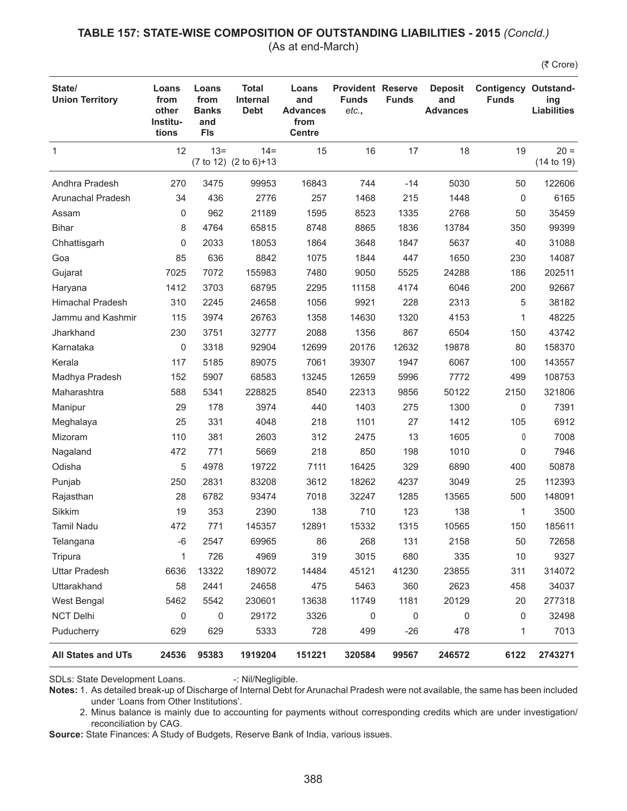### **TABLE 157: STATE-WISE COMPOSITION OF OUTSTANDING LIABILITIES - 2015** *(Concld.)*

(As at end-March)

(₹ Crore)

| State/<br><b>Union Territory</b> | Loans<br>from<br>other<br>Institu-<br>tions | Loans<br>from<br><b>Banks</b><br>and<br><b>FIs</b> | <b>Total</b><br><b>Internal</b><br><b>Debt</b> | Loans<br>and<br><b>Advances</b><br>from<br><b>Centre</b> | <b>Provident Reserve</b><br><b>Funds</b><br>etc., | <b>Funds</b> | <b>Deposit</b><br>and<br><b>Advances</b> | <b>Contigency Outstand-</b><br><b>Funds</b> | ing<br><b>Liabilities</b> |
|----------------------------------|---------------------------------------------|----------------------------------------------------|------------------------------------------------|----------------------------------------------------------|---------------------------------------------------|--------------|------------------------------------------|---------------------------------------------|---------------------------|
| 1                                | 12                                          | $13 =$                                             | $14 =$<br>(7 to 12) (2 to 6)+13                | 15                                                       | 16                                                | 17           | 18                                       | 19                                          | $20 =$<br>(14 to 19)      |
| Andhra Pradesh                   | 270                                         | 3475                                               | 99953                                          | 16843                                                    | 744                                               | $-14$        | 5030                                     | 50                                          | 122606                    |
| Arunachal Pradesh                | 34                                          | 436                                                | 2776                                           | 257                                                      | 1468                                              | 215          | 1448                                     | 0                                           | 6165                      |
| Assam                            | 0                                           | 962                                                | 21189                                          | 1595                                                     | 8523                                              | 1335         | 2768                                     | 50                                          | 35459                     |
| <b>Bihar</b>                     | 8                                           | 4764                                               | 65815                                          | 8748                                                     | 8865                                              | 1836         | 13784                                    | 350                                         | 99399                     |
| Chhattisgarh                     | 0                                           | 2033                                               | 18053                                          | 1864                                                     | 3648                                              | 1847         | 5637                                     | 40                                          | 31088                     |
| Goa                              | 85                                          | 636                                                | 8842                                           | 1075                                                     | 1844                                              | 447          | 1650                                     | 230                                         | 14087                     |
| Gujarat                          | 7025                                        | 7072                                               | 155983                                         | 7480                                                     | 9050                                              | 5525         | 24288                                    | 186                                         | 202511                    |
| Haryana                          | 1412                                        | 3703                                               | 68795                                          | 2295                                                     | 11158                                             | 4174         | 6046                                     | 200                                         | 92667                     |
| <b>Himachal Pradesh</b>          | 310                                         | 2245                                               | 24658                                          | 1056                                                     | 9921                                              | 228          | 2313                                     | 5                                           | 38182                     |
| Jammu and Kashmir                | 115                                         | 3974                                               | 26763                                          | 1358                                                     | 14630                                             | 1320         | 4153                                     | 1                                           | 48225                     |
| Jharkhand                        | 230                                         | 3751                                               | 32777                                          | 2088                                                     | 1356                                              | 867          | 6504                                     | 150                                         | 43742                     |
| Karnataka                        | 0                                           | 3318                                               | 92904                                          | 12699                                                    | 20176                                             | 12632        | 19878                                    | 80                                          | 158370                    |
| Kerala                           | 117                                         | 5185                                               | 89075                                          | 7061                                                     | 39307                                             | 1947         | 6067                                     | 100                                         | 143557                    |
| Madhya Pradesh                   | 152                                         | 5907                                               | 68583                                          | 13245                                                    | 12659                                             | 5996         | 7772                                     | 499                                         | 108753                    |
| Maharashtra                      | 588                                         | 5341                                               | 228825                                         | 8540                                                     | 22313                                             | 9856         | 50122                                    | 2150                                        | 321806                    |
| Manipur                          | 29                                          | 178                                                | 3974                                           | 440                                                      | 1403                                              | 275          | 1300                                     | 0                                           | 7391                      |
| Meghalaya                        | 25                                          | 331                                                | 4048                                           | 218                                                      | 1101                                              | 27           | 1412                                     | 105                                         | 6912                      |
| Mizoram                          | 110                                         | 381                                                | 2603                                           | 312                                                      | 2475                                              | 13           | 1605                                     | 0                                           | 7008                      |
| Nagaland                         | 472                                         | 771                                                | 5669                                           | 218                                                      | 850                                               | 198          | 1010                                     | 0                                           | 7946                      |
| Odisha                           | 5                                           | 4978                                               | 19722                                          | 7111                                                     | 16425                                             | 329          | 6890                                     | 400                                         | 50878                     |
| Punjab                           | 250                                         | 2831                                               | 83208                                          | 3612                                                     | 18262                                             | 4237         | 3049                                     | 25                                          | 112393                    |
| Rajasthan                        | 28                                          | 6782                                               | 93474                                          | 7018                                                     | 32247                                             | 1285         | 13565                                    | 500                                         | 148091                    |
| Sikkim                           | 19                                          | 353                                                | 2390                                           | 138                                                      | 710                                               | 123          | 138                                      | 1                                           | 3500                      |
| <b>Tamil Nadu</b>                | 472                                         | 771                                                | 145357                                         | 12891                                                    | 15332                                             | 1315         | 10565                                    | 150                                         | 185611                    |
| Telangana                        | $-6$                                        | 2547                                               | 69965                                          | 86                                                       | 268                                               | 131          | 2158                                     | 50                                          | 72658                     |
| Tripura                          | 1                                           | 726                                                | 4969                                           | 319                                                      | 3015                                              | 680          | 335                                      | 10                                          | 9327                      |
| <b>Uttar Pradesh</b>             | 6636                                        | 13322                                              | 189072                                         | 14484                                                    | 45121                                             | 41230        | 23855                                    | 311                                         | 314072                    |
| Uttarakhand                      | 58                                          | 2441                                               | 24658                                          | 475                                                      | 5463                                              | 360          | 2623                                     | 458                                         | 34037                     |
| West Bengal                      | 5462                                        | 5542                                               | 230601                                         | 13638                                                    | 11749                                             | 1181         | 20129                                    | 20                                          | 277318                    |
| <b>NCT Delhi</b>                 | 0                                           | $\mathbf 0$                                        | 29172                                          | 3326                                                     | 0                                                 | $\mathbf 0$  | 0                                        | 0                                           | 32498                     |
| Puducherry                       | 629                                         | 629                                                | 5333                                           | 728                                                      | 499                                               | $-26$        | 478                                      | 1                                           | 7013                      |
| <b>All States and UTs</b>        | 24536                                       | 95383                                              | 1919204                                        | 151221                                                   | 320584                                            | 99567        | 246572                                   | 6122                                        | 2743271                   |

SDLs: State Development Loans. -: Nil/Negligible.

**Notes:** 1. As detailed break-up of Discharge of Internal Debt for Arunachal Pradesh were not available, the same has been included under 'Loans from Other Institutions'.

2. Minus balance is mainly due to accounting for payments without corresponding credits which are under investigation/ reconciliation by CAG.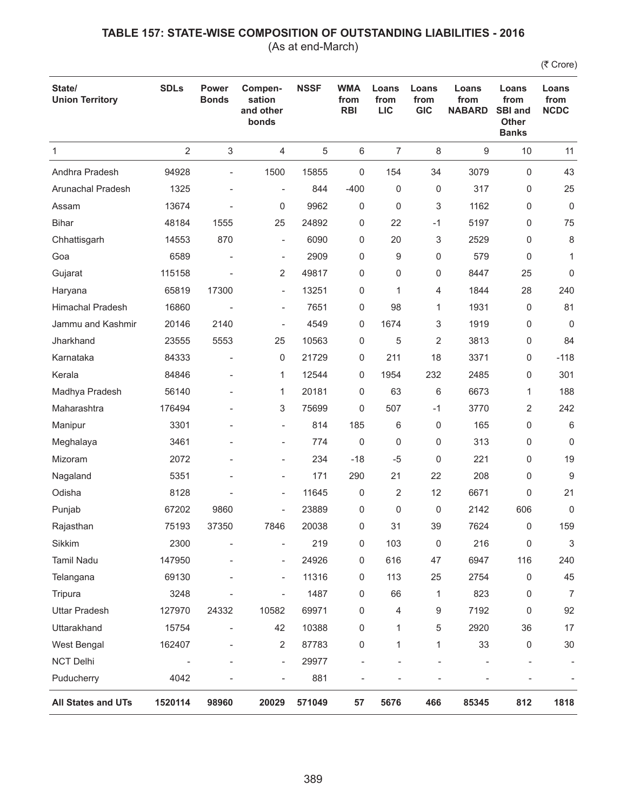(As at end-March)

| State/<br><b>Union Territory</b> | <b>SDLs</b>    | <b>Power</b><br><b>Bonds</b> | Compen-<br>sation<br>and other<br>bonds | <b>NSSF</b> | <b>WMA</b><br>from<br><b>RBI</b> | Loans<br>from<br><b>LIC</b> | Loans<br>from<br><b>GIC</b> | Loans<br>from<br><b>NABARD</b> | Loans<br>from<br><b>SBI and</b><br><b>Other</b><br><b>Banks</b> | Loans<br>from<br><b>NCDC</b> |
|----------------------------------|----------------|------------------------------|-----------------------------------------|-------------|----------------------------------|-----------------------------|-----------------------------|--------------------------------|-----------------------------------------------------------------|------------------------------|
| $\mathbf{1}$                     | $\overline{2}$ | 3                            | 4                                       | 5           | 6                                | $\overline{7}$              | 8                           | 9                              | 10                                                              | 11                           |
| Andhra Pradesh                   | 94928          | $\overline{\phantom{a}}$     | 1500                                    | 15855       | 0                                | 154                         | 34                          | 3079                           | $\mathbf 0$                                                     | 43                           |
| Arunachal Pradesh                | 1325           | ÷,                           | ÷,                                      | 844         | $-400$                           | 0                           | 0                           | 317                            | 0                                                               | 25                           |
| Assam                            | 13674          |                              | 0                                       | 9962        | 0                                | 0                           | 3                           | 1162                           | 0                                                               | $\mathbf 0$                  |
| <b>Bihar</b>                     | 48184          | 1555                         | 25                                      | 24892       | 0                                | 22                          | $-1$                        | 5197                           | 0                                                               | 75                           |
| Chhattisgarh                     | 14553          | 870                          | $\overline{\phantom{0}}$                | 6090        | 0                                | 20                          | 3                           | 2529                           | 0                                                               | 8                            |
| Goa                              | 6589           |                              | ÷,                                      | 2909        | 0                                | 9                           | 0                           | 579                            | 0                                                               | 1                            |
| Gujarat                          | 115158         |                              | 2                                       | 49817       | 0                                | 0                           | 0                           | 8447                           | 25                                                              | 0                            |
| Haryana                          | 65819          | 17300                        | ÷,                                      | 13251       | 0                                | 1                           | 4                           | 1844                           | 28                                                              | 240                          |
| <b>Himachal Pradesh</b>          | 16860          |                              | ÷,                                      | 7651        | 0                                | 98                          | 1                           | 1931                           | 0                                                               | 81                           |
| Jammu and Kashmir                | 20146          | 2140                         | $\overline{\phantom{0}}$                | 4549        | 0                                | 1674                        | 3                           | 1919                           | 0                                                               | 0                            |
| Jharkhand                        | 23555          | 5553                         | 25                                      | 10563       | 0                                | 5                           | 2                           | 3813                           | 0                                                               | 84                           |
| Karnataka                        | 84333          |                              | 0                                       | 21729       | 0                                | 211                         | 18                          | 3371                           | 0                                                               | $-118$                       |
| Kerala                           | 84846          | $\overline{\phantom{a}}$     | 1                                       | 12544       | 0                                | 1954                        | 232                         | 2485                           | 0                                                               | 301                          |
| Madhya Pradesh                   | 56140          |                              | 1                                       | 20181       | 0                                | 63                          | 6                           | 6673                           | 1                                                               | 188                          |
| Maharashtra                      | 176494         |                              | 3                                       | 75699       | 0                                | 507                         | $-1$                        | 3770                           | 2                                                               | 242                          |
| Manipur                          | 3301           |                              | ÷,                                      | 814         | 185                              | 6                           | 0                           | 165                            | 0                                                               | 6                            |
| Meghalaya                        | 3461           |                              | $\overline{\phantom{0}}$                | 774         | 0                                | 0                           | 0                           | 313                            | 0                                                               | $\mathbf 0$                  |
| Mizoram                          | 2072           |                              | $\overline{\phantom{0}}$                | 234         | $-18$                            | $-5$                        | 0                           | 221                            | 0                                                               | 19                           |
| Nagaland                         | 5351           |                              | ÷,                                      | 171         | 290                              | 21                          | 22                          | 208                            | 0                                                               | 9                            |
| Odisha                           | 8128           |                              | ÷,                                      | 11645       | 0                                | 2                           | 12                          | 6671                           | 0                                                               | 21                           |
| Punjab                           | 67202          | 9860                         | $\overline{\phantom{0}}$                | 23889       | 0                                | 0                           | 0                           | 2142                           | 606                                                             | 0                            |
| Rajasthan                        | 75193          | 37350                        | 7846                                    | 20038       | 0                                | 31                          | 39                          | 7624                           | 0                                                               | 159                          |
| Sikkim                           | 2300           |                              |                                         | 219         | 0                                | 103                         | 0                           | 216                            | 0                                                               | 3                            |
| Tamil Nadu                       | 147950         |                              | $\overline{\phantom{0}}$                | 24926       | 0                                | 616                         | 47                          | 6947                           | 116                                                             | 240                          |
| Telangana                        | 69130          | ÷,                           | $\overline{\phantom{0}}$                | 11316       | 0                                | 113                         | 25                          | 2754                           | 0                                                               | 45                           |
| Tripura                          | 3248           |                              | $\overline{\phantom{0}}$                | 1487        | 0                                | 66                          | 1                           | 823                            | 0                                                               | 7                            |
| <b>Uttar Pradesh</b>             | 127970         | 24332                        | 10582                                   | 69971       | 0                                | 4                           | 9                           | 7192                           | 0                                                               | 92                           |
| Uttarakhand                      | 15754          | $\overline{\phantom{a}}$     | 42                                      | 10388       | 0                                | 1                           | 5                           | 2920                           | 36                                                              | 17                           |
| West Bengal                      | 162407         |                              | 2                                       | 87783       | 0                                | 1                           | 1                           | 33                             | $\mathsf 0$                                                     | 30                           |
| NCT Delhi                        |                |                              | $\overline{\phantom{0}}$                | 29977       | $\overline{a}$                   |                             |                             |                                |                                                                 |                              |
| Puducherry                       | 4042           |                              | $\overline{\phantom{0}}$                | 881         |                                  |                             |                             |                                | $\overline{a}$                                                  |                              |
| All States and UTs               | 1520114        | 98960                        | 20029                                   | 571049      | 57                               | 5676                        | 466                         | 85345                          | 812                                                             | 1818                         |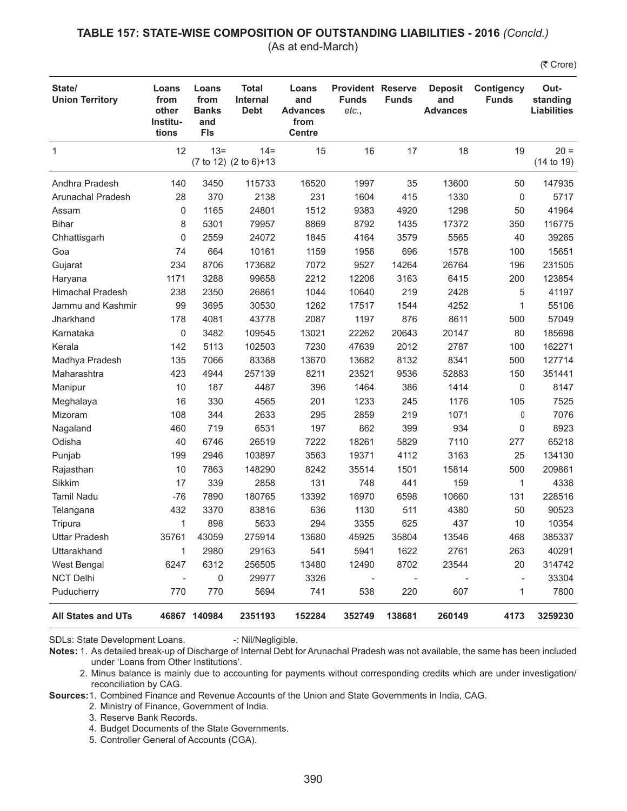#### **TABLE 157: STATE-WISE COMPOSITION OF OUTSTANDING LIABILITIES - 2016** *(Concld.)* (As at end-March)

(そ Crore)

| State/<br><b>Union Territory</b> | Loans<br>from<br>other<br>Institu-<br>tions | Loans<br>from<br><b>Banks</b><br>and<br><b>FIs</b> | <b>Total</b><br><b>Internal</b><br><b>Debt</b> | Loans<br>and<br><b>Advances</b><br>from<br><b>Centre</b> | <b>Provident Reserve</b><br><b>Funds</b><br>etc., | <b>Funds</b>   | <b>Deposit</b><br>and<br><b>Advances</b> | <b>Contigency</b><br><b>Funds</b> | Out-<br>standing<br><b>Liabilities</b> |
|----------------------------------|---------------------------------------------|----------------------------------------------------|------------------------------------------------|----------------------------------------------------------|---------------------------------------------------|----------------|------------------------------------------|-----------------------------------|----------------------------------------|
| 1                                | 12                                          | $13 =$                                             | $14 =$<br>(7 to 12) (2 to 6)+13                | 15                                                       | 16                                                | 17             | 18                                       | 19                                | $20 =$<br>(14 to 19)                   |
| Andhra Pradesh                   | 140                                         | 3450                                               | 115733                                         | 16520                                                    | 1997                                              | 35             | 13600                                    | 50                                | 147935                                 |
| <b>Arunachal Pradesh</b>         | 28                                          | 370                                                | 2138                                           | 231                                                      | 1604                                              | 415            | 1330                                     | 0                                 | 5717                                   |
| Assam                            | 0                                           | 1165                                               | 24801                                          | 1512                                                     | 9383                                              | 4920           | 1298                                     | 50                                | 41964                                  |
| <b>Bihar</b>                     | 8                                           | 5301                                               | 79957                                          | 8869                                                     | 8792                                              | 1435           | 17372                                    | 350                               | 116775                                 |
| Chhattisgarh                     | 0                                           | 2559                                               | 24072                                          | 1845                                                     | 4164                                              | 3579           | 5565                                     | 40                                | 39265                                  |
| Goa                              | 74                                          | 664                                                | 10161                                          | 1159                                                     | 1956                                              | 696            | 1578                                     | 100                               | 15651                                  |
| Gujarat                          | 234                                         | 8706                                               | 173682                                         | 7072                                                     | 9527                                              | 14264          | 26764                                    | 196                               | 231505                                 |
| Haryana                          | 1171                                        | 3288                                               | 99658                                          | 2212                                                     | 12206                                             | 3163           | 6415                                     | 200                               | 123854                                 |
| <b>Himachal Pradesh</b>          | 238                                         | 2350                                               | 26861                                          | 1044                                                     | 10640                                             | 219            | 2428                                     | 5                                 | 41197                                  |
| Jammu and Kashmir                | 99                                          | 3695                                               | 30530                                          | 1262                                                     | 17517                                             | 1544           | 4252                                     | 1                                 | 55106                                  |
| Jharkhand                        | 178                                         | 4081                                               | 43778                                          | 2087                                                     | 1197                                              | 876            | 8611                                     | 500                               | 57049                                  |
| Karnataka                        | 0                                           | 3482                                               | 109545                                         | 13021                                                    | 22262                                             | 20643          | 20147                                    | 80                                | 185698                                 |
| Kerala                           | 142                                         | 5113                                               | 102503                                         | 7230                                                     | 47639                                             | 2012           | 2787                                     | 100                               | 162271                                 |
| Madhya Pradesh                   | 135                                         | 7066                                               | 83388                                          | 13670                                                    | 13682                                             | 8132           | 8341                                     | 500                               | 127714                                 |
| Maharashtra                      | 423                                         | 4944                                               | 257139                                         | 8211                                                     | 23521                                             | 9536           | 52883                                    | 150                               | 351441                                 |
| Manipur                          | 10                                          | 187                                                | 4487                                           | 396                                                      | 1464                                              | 386            | 1414                                     | $\mathbf 0$                       | 8147                                   |
| Meghalaya                        | 16                                          | 330                                                | 4565                                           | 201                                                      | 1233                                              | 245            | 1176                                     | 105                               | 7525                                   |
| Mizoram                          | 108                                         | 344                                                | 2633                                           | 295                                                      | 2859                                              | 219            | 1071                                     | 0                                 | 7076                                   |
| Nagaland                         | 460                                         | 719                                                | 6531                                           | 197                                                      | 862                                               | 399            | 934                                      | 0                                 | 8923                                   |
| Odisha                           | 40                                          | 6746                                               | 26519                                          | 7222                                                     | 18261                                             | 5829           | 7110                                     | 277                               | 65218                                  |
| Punjab                           | 199                                         | 2946                                               | 103897                                         | 3563                                                     | 19371                                             | 4112           | 3163                                     | 25                                | 134130                                 |
| Rajasthan                        | 10                                          | 7863                                               | 148290                                         | 8242                                                     | 35514                                             | 1501           | 15814                                    | 500                               | 209861                                 |
| Sikkim                           | 17                                          | 339                                                | 2858                                           | 131                                                      | 748                                               | 441            | 159                                      | 1                                 | 4338                                   |
| <b>Tamil Nadu</b>                | $-76$                                       | 7890                                               | 180765                                         | 13392                                                    | 16970                                             | 6598           | 10660                                    | 131                               | 228516                                 |
| Telangana                        | 432                                         | 3370                                               | 83816                                          | 636                                                      | 1130                                              | 511            | 4380                                     | 50                                | 90523                                  |
| Tripura                          | $\mathbf{1}$                                | 898                                                | 5633                                           | 294                                                      | 3355                                              | 625            | 437                                      | 10                                | 10354                                  |
| <b>Uttar Pradesh</b>             | 35761                                       | 43059                                              | 275914                                         | 13680                                                    | 45925                                             | 35804          | 13546                                    | 468                               | 385337                                 |
| Uttarakhand                      | 1                                           | 2980                                               | 29163                                          | 541                                                      | 5941                                              | 1622           | 2761                                     | 263                               | 40291                                  |
| West Bengal                      | 6247                                        | 6312                                               | 256505                                         | 13480                                                    | 12490                                             | 8702           | 23544                                    | 20                                | 314742                                 |
| <b>NCT Delhi</b>                 | $\overline{\phantom{0}}$                    | 0                                                  | 29977                                          | 3326                                                     | $\qquad \qquad \blacksquare$                      | $\overline{a}$ |                                          | $\overline{a}$                    | 33304                                  |
| Puducherry                       | 770                                         | 770                                                | 5694                                           | 741                                                      | 538                                               | 220            | 607                                      | 1                                 | 7800                                   |
| All States and UTs               |                                             | 46867 140984                                       | 2351193                                        | 152284                                                   | 352749                                            | 138681         | 260149                                   | 4173                              | 3259230                                |

SDLs: State Development Loans. -: Nil/Negligible.

**Sources:**1. Combined Finance and Revenue Accounts of the Union and State Governments in India, CAG.

2. Ministry of Finance, Government of India.

4. Budget Documents of the State Governments.

5. Controller General of Accounts (CGA).

**Notes:** 1. As detailed break-up of Discharge of Internal Debt for Arunachal Pradesh was not available, the same has been included under 'Loans from Other Institutions'.

<sup>2.</sup> Minus balance is mainly due to accounting for payments without corresponding credits which are under investigation/ reconciliation by CAG.

 <sup>3.</sup> Reserve Bank Records.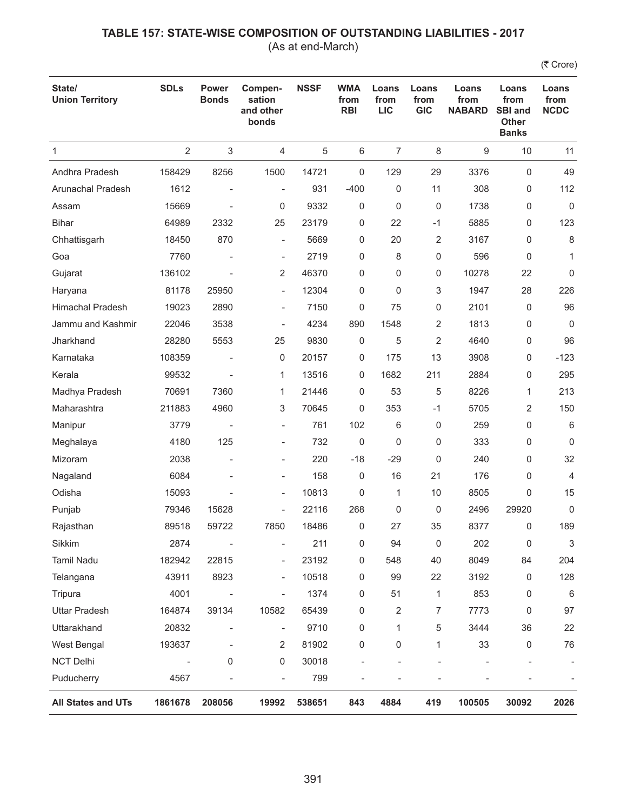(As at end-March)

| State/<br><b>Union Territory</b> | <b>SDLs</b>    | Power<br><b>Bonds</b>    | Compen-<br>sation<br>and other<br>bonds | <b>NSSF</b> | <b>WMA</b><br>from<br><b>RBI</b> | Loans<br>from<br><b>LIC</b> | Loans<br>from<br><b>GIC</b> | Loans<br>from<br><b>NABARD</b> | Loans<br>from<br><b>SBI and</b><br><b>Other</b><br><b>Banks</b> | Loans<br>from<br><b>NCDC</b> |
|----------------------------------|----------------|--------------------------|-----------------------------------------|-------------|----------------------------------|-----------------------------|-----------------------------|--------------------------------|-----------------------------------------------------------------|------------------------------|
| 1                                | $\overline{2}$ | 3                        | 4                                       | 5           | 6                                | $\overline{7}$              | 8                           | 9                              | 10                                                              | 11                           |
| Andhra Pradesh                   | 158429         | 8256                     | 1500                                    | 14721       | 0                                | 129                         | 29                          | 3376                           | $\mathbf 0$                                                     | 49                           |
| Arunachal Pradesh                | 1612           |                          | $\overline{\phantom{0}}$                | 931         | $-400$                           | 0                           | 11                          | 308                            | 0                                                               | 112                          |
| Assam                            | 15669          |                          | 0                                       | 9332        | 0                                | $\mathbf 0$                 | 0                           | 1738                           | 0                                                               | 0                            |
| <b>Bihar</b>                     | 64989          | 2332                     | 25                                      | 23179       | 0                                | 22                          | $-1$                        | 5885                           | 0                                                               | 123                          |
| Chhattisgarh                     | 18450          | 870                      | $\overline{\phantom{a}}$                | 5669        | 0                                | 20                          | 2                           | 3167                           | 0                                                               | 8                            |
| Goa                              | 7760           |                          | $\overline{\phantom{a}}$                | 2719        | 0                                | 8                           | 0                           | 596                            | 0                                                               | 1                            |
| Gujarat                          | 136102         |                          | 2                                       | 46370       | 0                                | 0                           | 0                           | 10278                          | 22                                                              | 0                            |
| Haryana                          | 81178          | 25950                    | $\overline{\phantom{m}}$                | 12304       | 0                                | $\mathbf 0$                 | 3                           | 1947                           | 28                                                              | 226                          |
| <b>Himachal Pradesh</b>          | 19023          | 2890                     | $\overline{\phantom{a}}$                | 7150        | 0                                | 75                          | 0                           | 2101                           | $\mathbf 0$                                                     | 96                           |
| Jammu and Kashmir                | 22046          | 3538                     | $\overline{\phantom{0}}$                | 4234        | 890                              | 1548                        | 2                           | 1813                           | 0                                                               | $\mathbf 0$                  |
| Jharkhand                        | 28280          | 5553                     | 25                                      | 9830        | 0                                | 5                           | 2                           | 4640                           | 0                                                               | 96                           |
| Karnataka                        | 108359         |                          | 0                                       | 20157       | 0                                | 175                         | 13                          | 3908                           | 0                                                               | $-123$                       |
| Kerala                           | 99532          |                          | 1                                       | 13516       | 0                                | 1682                        | 211                         | 2884                           | 0                                                               | 295                          |
| Madhya Pradesh                   | 70691          | 7360                     | 1                                       | 21446       | 0                                | 53                          | 5                           | 8226                           | 1                                                               | 213                          |
| Maharashtra                      | 211883         | 4960                     | 3                                       | 70645       | 0                                | 353                         | $-1$                        | 5705                           | 2                                                               | 150                          |
| Manipur                          | 3779           |                          | $\overline{\phantom{m}}$                | 761         | 102                              | 6                           | 0                           | 259                            | 0                                                               | 6                            |
| Meghalaya                        | 4180           | 125                      | $\overline{\phantom{a}}$                | 732         | 0                                | 0                           | 0                           | 333                            | 0                                                               | 0                            |
| Mizoram                          | 2038           | $\overline{\phantom{a}}$ | $\overline{\phantom{a}}$                | 220         | $-18$                            | $-29$                       | 0                           | 240                            | 0                                                               | 32                           |
| Nagaland                         | 6084           |                          | $\overline{\phantom{a}}$                | 158         | 0                                | 16                          | 21                          | 176                            | 0                                                               | $\overline{4}$               |
| Odisha                           | 15093          |                          | $\overline{\phantom{a}}$                | 10813       | 0                                | 1                           | 10                          | 8505                           | 0                                                               | 15                           |
| Punjab                           | 79346          | 15628                    | $\overline{\phantom{m}}$                | 22116       | 268                              | 0                           | 0                           | 2496                           | 29920                                                           | 0                            |
| Rajasthan                        | 89518          | 59722                    | 7850                                    | 18486       | 0                                | 27                          | 35                          | 8377                           | 0                                                               | 189                          |
| Sikkim                           | 2874           |                          |                                         | 211         | 0                                | 94                          | 0                           | 202                            | 0                                                               | 3                            |
| Tamil Nadu                       | 182942         | 22815                    | $\overline{\phantom{a}}$                | 23192       | 0                                | 548                         | 40                          | 8049                           | 84                                                              | 204                          |
| Telangana                        | 43911          | 8923                     | $\overline{\phantom{0}}$                | 10518       | 0                                | 99                          | 22                          | 3192                           | 0                                                               | 128                          |
| Tripura                          | 4001           |                          | $\overline{\phantom{0}}$                | 1374        | 0                                | 51                          | 1                           | 853                            | 0                                                               | 6                            |
| <b>Uttar Pradesh</b>             | 164874         | 39134                    | 10582                                   | 65439       | 0                                | $\overline{2}$              | 7                           | 7773                           | 0                                                               | 97                           |
| Uttarakhand                      | 20832          |                          | $\overline{\phantom{0}}$                | 9710        | 0                                | 1                           | 5                           | 3444                           | 36                                                              | 22                           |
| West Bengal                      | 193637         |                          | 2                                       | 81902       | 0                                | 0                           | 1                           | 33                             | 0                                                               | 76                           |
| NCT Delhi                        |                | 0                        | 0                                       | 30018       | $\overline{\phantom{a}}$         |                             |                             |                                |                                                                 |                              |
| Puducherry                       | 4567           |                          | $\overline{\phantom{0}}$                | 799         |                                  |                             |                             |                                |                                                                 |                              |
| All States and UTs               | 1861678        | 208056                   | 19992                                   | 538651      | 843                              | 4884                        | 419                         | 100505                         | 30092                                                           | 2026                         |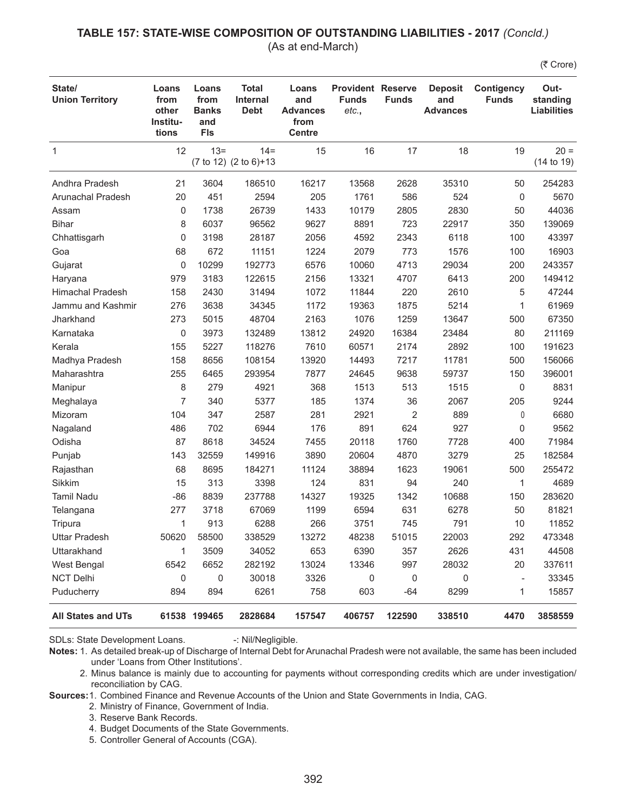#### **TABLE 157: STATE-WISE COMPOSITION OF OUTSTANDING LIABILITIES - 2017** *(Concld.)* (As at end-March)

(そ Crore)

| State/<br><b>Union Territory</b> | Loans<br>from<br>other<br>Institu-<br>tions | Loans<br>from<br><b>Banks</b><br>and<br><b>FIs</b> | <b>Total</b><br><b>Internal</b><br><b>Debt</b> | Loans<br>and<br><b>Advances</b><br>from<br><b>Centre</b> | <b>Provident Reserve</b><br><b>Funds</b><br>etc., | <b>Funds</b>   | <b>Deposit</b><br>and<br><b>Advances</b> | <b>Contigency</b><br><b>Funds</b> | Out-<br>standing<br><b>Liabilities</b> |
|----------------------------------|---------------------------------------------|----------------------------------------------------|------------------------------------------------|----------------------------------------------------------|---------------------------------------------------|----------------|------------------------------------------|-----------------------------------|----------------------------------------|
| $\mathbf{1}$                     | 12                                          | $13 =$                                             | $14 =$<br>(7 to 12) (2 to 6)+13                | 15                                                       | 16                                                | 17             | 18                                       | 19                                | $20 =$<br>(14 to 19)                   |
| Andhra Pradesh                   | 21                                          | 3604                                               | 186510                                         | 16217                                                    | 13568                                             | 2628           | 35310                                    | 50                                | 254283                                 |
| Arunachal Pradesh                | 20                                          | 451                                                | 2594                                           | 205                                                      | 1761                                              | 586            | 524                                      | 0                                 | 5670                                   |
| Assam                            | 0                                           | 1738                                               | 26739                                          | 1433                                                     | 10179                                             | 2805           | 2830                                     | 50                                | 44036                                  |
| <b>Bihar</b>                     | 8                                           | 6037                                               | 96562                                          | 9627                                                     | 8891                                              | 723            | 22917                                    | 350                               | 139069                                 |
| Chhattisgarh                     | 0                                           | 3198                                               | 28187                                          | 2056                                                     | 4592                                              | 2343           | 6118                                     | 100                               | 43397                                  |
| Goa                              | 68                                          | 672                                                | 11151                                          | 1224                                                     | 2079                                              | 773            | 1576                                     | 100                               | 16903                                  |
| Gujarat                          | 0                                           | 10299                                              | 192773                                         | 6576                                                     | 10060                                             | 4713           | 29034                                    | 200                               | 243357                                 |
| Haryana                          | 979                                         | 3183                                               | 122615                                         | 2156                                                     | 13321                                             | 4707           | 6413                                     | 200                               | 149412                                 |
| <b>Himachal Pradesh</b>          | 158                                         | 2430                                               | 31494                                          | 1072                                                     | 11844                                             | 220            | 2610                                     | 5                                 | 47244                                  |
| Jammu and Kashmir                | 276                                         | 3638                                               | 34345                                          | 1172                                                     | 19363                                             | 1875           | 5214                                     | 1                                 | 61969                                  |
| Jharkhand                        | 273                                         | 5015                                               | 48704                                          | 2163                                                     | 1076                                              | 1259           | 13647                                    | 500                               | 67350                                  |
| Karnataka                        | 0                                           | 3973                                               | 132489                                         | 13812                                                    | 24920                                             | 16384          | 23484                                    | 80                                | 211169                                 |
| Kerala                           | 155                                         | 5227                                               | 118276                                         | 7610                                                     | 60571                                             | 2174           | 2892                                     | 100                               | 191623                                 |
| Madhya Pradesh                   | 158                                         | 8656                                               | 108154                                         | 13920                                                    | 14493                                             | 7217           | 11781                                    | 500                               | 156066                                 |
| Maharashtra                      | 255                                         | 6465                                               | 293954                                         | 7877                                                     | 24645                                             | 9638           | 59737                                    | 150                               | 396001                                 |
| Manipur                          | 8                                           | 279                                                | 4921                                           | 368                                                      | 1513                                              | 513            | 1515                                     | 0                                 | 8831                                   |
| Meghalaya                        | 7                                           | 340                                                | 5377                                           | 185                                                      | 1374                                              | 36             | 2067                                     | 205                               | 9244                                   |
| Mizoram                          | 104                                         | 347                                                | 2587                                           | 281                                                      | 2921                                              | $\overline{2}$ | 889                                      | 0                                 | 6680                                   |
| Nagaland                         | 486                                         | 702                                                | 6944                                           | 176                                                      | 891                                               | 624            | 927                                      | 0                                 | 9562                                   |
| Odisha                           | 87                                          | 8618                                               | 34524                                          | 7455                                                     | 20118                                             | 1760           | 7728                                     | 400                               | 71984                                  |
| Punjab                           | 143                                         | 32559                                              | 149916                                         | 3890                                                     | 20604                                             | 4870           | 3279                                     | 25                                | 182584                                 |
| Rajasthan                        | 68                                          | 8695                                               | 184271                                         | 11124                                                    | 38894                                             | 1623           | 19061                                    | 500                               | 255472                                 |
| Sikkim                           | 15                                          | 313                                                | 3398                                           | 124                                                      | 831                                               | 94             | 240                                      | 1                                 | 4689                                   |
| <b>Tamil Nadu</b>                | $-86$                                       | 8839                                               | 237788                                         | 14327                                                    | 19325                                             | 1342           | 10688                                    | 150                               | 283620                                 |
| Telangana                        | 277                                         | 3718                                               | 67069                                          | 1199                                                     | 6594                                              | 631            | 6278                                     | 50                                | 81821                                  |
| Tripura                          | 1                                           | 913                                                | 6288                                           | 266                                                      | 3751                                              | 745            | 791                                      | 10                                | 11852                                  |
| <b>Uttar Pradesh</b>             | 50620                                       | 58500                                              | 338529                                         | 13272                                                    | 48238                                             | 51015          | 22003                                    | 292                               | 473348                                 |
| Uttarakhand                      | 1                                           | 3509                                               | 34052                                          | 653                                                      | 6390                                              | 357            | 2626                                     | 431                               | 44508                                  |
| West Bengal                      | 6542                                        | 6652                                               | 282192                                         | 13024                                                    | 13346                                             | 997            | 28032                                    | 20                                | 337611                                 |
| <b>NCT Delhi</b>                 | 0                                           | 0                                                  | 30018                                          | 3326                                                     | 0                                                 | 0              | 0                                        | $\qquad \qquad -$                 | 33345                                  |
| Puducherry                       | 894                                         | 894                                                | 6261                                           | 758                                                      | 603                                               | $-64$          | 8299                                     | 1                                 | 15857                                  |
| All States and UTs               |                                             | 61538 199465                                       | 2828684                                        | 157547                                                   | 406757                                            | 122590         | 338510                                   | 4470                              | 3858559                                |

SDLs: State Development Loans. -: Nil/Negligible.

**Sources:**1. Combined Finance and Revenue Accounts of the Union and State Governments in India, CAG.

- 2. Ministry of Finance, Government of India.
- 3. Reserve Bank Records.
- 4. Budget Documents of the State Governments.
- 5. Controller General of Accounts (CGA).

**Notes:** 1. As detailed break-up of Discharge of Internal Debt for Arunachal Pradesh were not available, the same has been included under 'Loans from Other Institutions'.

<sup>2.</sup> Minus balance is mainly due to accounting for payments without corresponding credits which are under investigation/ reconciliation by CAG.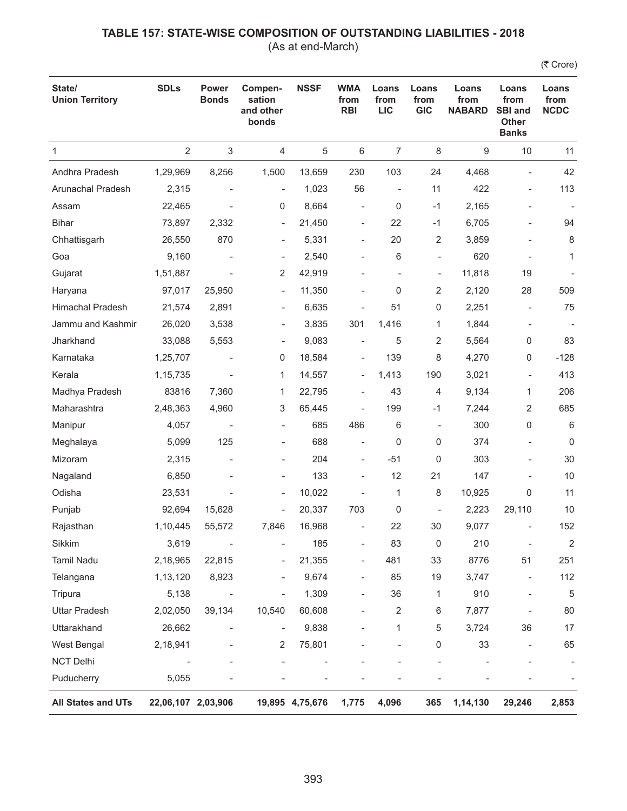(As at end-March)

| State/<br><b>Union Territory</b> | <b>SDLs</b>        | <b>Power</b><br><b>Bonds</b> | Compen-<br>sation<br>and other<br>bonds | <b>NSSF</b>     | <b>WMA</b><br>from<br><b>RBI</b> | Loans<br>from<br><b>LIC</b> | Loans<br>from<br><b>GIC</b> | Loans<br>from<br><b>NABARD</b> | Loans<br>from<br><b>SBI and</b><br>Other<br><b>Banks</b> | Loans<br>from<br><b>NCDC</b> |
|----------------------------------|--------------------|------------------------------|-----------------------------------------|-----------------|----------------------------------|-----------------------------|-----------------------------|--------------------------------|----------------------------------------------------------|------------------------------|
| $\mathbf{1}$                     | $\overline{2}$     | $\sqrt{3}$                   | 4                                       | 5               | 6                                | $\overline{7}$              | $\,8\,$                     | 9                              | 10                                                       | 11                           |
| Andhra Pradesh                   | 1,29,969           | 8,256                        | 1,500                                   | 13,659          | 230                              | 103                         | 24                          | 4,468                          | $\overline{a}$                                           | 42                           |
| Arunachal Pradesh                | 2,315              | $\overline{a}$               | ÷                                       | 1,023           | 56                               | $\overline{\phantom{a}}$    | 11                          | 422                            | $\qquad \qquad -$                                        | 113                          |
| Assam                            | 22,465             |                              | 0                                       | 8,664           | $\overline{\phantom{0}}$         | $\mathbf 0$                 | $-1$                        | 2,165                          |                                                          |                              |
| <b>Bihar</b>                     | 73,897             | 2,332                        | $\overline{\phantom{0}}$                | 21,450          | $\overline{\phantom{a}}$         | 22                          | $-1$                        | 6,705                          |                                                          | 94                           |
| Chhattisgarh                     | 26,550             | 870                          | ÷                                       | 5,331           | $\overline{\phantom{a}}$         | 20                          | 2                           | 3,859                          |                                                          | 8                            |
| Goa                              | 9,160              |                              | $\overline{\phantom{0}}$                | 2,540           | $\overline{a}$                   | 6                           | $\overline{\phantom{0}}$    | 620                            |                                                          | 1                            |
| Gujarat                          | 1,51,887           |                              | 2                                       | 42,919          |                                  | $\overline{a}$              | $\overline{\phantom{0}}$    | 11,818                         | 19                                                       |                              |
| Haryana                          | 97,017             | 25,950                       | $\overline{\phantom{a}}$                | 11,350          |                                  | 0                           | 2                           | 2,120                          | 28                                                       | 509                          |
| Himachal Pradesh                 | 21,574             | 2,891                        | ÷                                       | 6,635           | ÷,                               | 51                          | 0                           | 2,251                          |                                                          | 75                           |
| Jammu and Kashmir                | 26,020             | 3,538                        | $\overline{\phantom{0}}$                | 3,835           | 301                              | 1,416                       | 1                           | 1,844                          | $\overline{\phantom{0}}$                                 |                              |
| Jharkhand                        | 33,088             | 5,553                        | $\overline{a}$                          | 9,083           |                                  | 5                           | 2                           | 5,564                          | 0                                                        | 83                           |
| Karnataka                        | 1,25,707           |                              | 0                                       | 18,584          | $\overline{\phantom{a}}$         | 139                         | 8                           | 4,270                          | 0                                                        | $-128$                       |
| Kerala                           | 1, 15, 735         |                              | 1                                       | 14,557          | $\overline{\phantom{a}}$         | 1,413                       | 190                         | 3,021                          | $\overline{\phantom{a}}$                                 | 413                          |
| Madhya Pradesh                   | 83816              | 7,360                        | 1                                       | 22,795          | $\overline{\phantom{a}}$         | 43                          | 4                           | 9,134                          | $\mathbf{1}$                                             | 206                          |
| Maharashtra                      | 2,48,363           | 4,960                        | 3                                       | 65,445          | ÷,                               | 199                         | $-1$                        | 7,244                          | 2                                                        | 685                          |
| Manipur                          | 4,057              |                              |                                         | 685             | 486                              | 6                           | $\overline{\phantom{a}}$    | 300                            | 0                                                        | 6                            |
| Meghalaya                        | 5,099              | 125                          |                                         | 688             | ÷                                | 0                           | 0                           | 374                            |                                                          | $\mathbf 0$                  |
| Mizoram                          | 2,315              | $\overline{\phantom{a}}$     | -                                       | 204             | $\overline{\phantom{a}}$         | $-51$                       | 0                           | 303                            | $\qquad \qquad \blacksquare$                             | 30                           |
| Nagaland                         | 6,850              |                              | -                                       | 133             |                                  | 12                          | 21                          | 147                            |                                                          | 10                           |
| Odisha                           | 23,531             |                              | $\overline{\phantom{0}}$                | 10,022          |                                  | 1                           | 8                           | 10,925                         | 0                                                        | 11                           |
| Punjab                           | 92,694             | 15,628                       | $\overline{\phantom{0}}$                | 20,337          | 703                              | 0                           | $\overline{\phantom{a}}$    | 2,223                          | 29,110                                                   | 10                           |
| Rajasthan                        | 1,10,445           | 55,572                       | 7,846                                   | 16,968          |                                  | 22                          | 30                          | 9,077                          |                                                          | 152                          |
| Sikkim                           | 3,619              |                              |                                         | 185             |                                  | 83                          | 0                           | 210                            | $\qquad \qquad \blacksquare$                             | $\overline{2}$               |
| Tamil Nadu                       | 2,18,965           | 22,815                       |                                         | 21,355          |                                  | 481                         | 33                          | 8776                           | 51                                                       | 251                          |
| Telangana                        | 1,13,120           | 8,923                        | $\overline{a}$                          | 9,674           | $\overline{\phantom{0}}$         | 85                          | 19                          | 3,747                          | $\qquad \qquad -$                                        | 112                          |
| Tripura                          | 5,138              |                              | $\overline{a}$                          | 1,309           |                                  | 36                          | 1                           | 910                            | -                                                        | $\sqrt{5}$                   |
| <b>Uttar Pradesh</b>             | 2,02,050           | 39,134                       | 10,540                                  | 60,608          |                                  | 2                           | 6                           | 7,877                          |                                                          | 80                           |
| Uttarakhand                      | 26,662             |                              | $\overline{a}$                          | 9,838           |                                  | 1                           | 5                           | 3,724                          | 36                                                       | 17                           |
| West Bengal                      | 2,18,941           |                              | 2                                       | 75,801          |                                  |                             | 0                           | 33                             |                                                          | 65                           |
| <b>NCT Delhi</b>                 |                    |                              |                                         |                 |                                  |                             |                             |                                |                                                          |                              |
| Puducherry                       | 5,055              |                              |                                         |                 |                                  |                             |                             |                                |                                                          |                              |
| All States and UTs               | 22,06,107 2,03,906 |                              |                                         | 19,895 4,75,676 | 1,775                            | 4,096                       | 365                         | 1,14,130                       | 29,246                                                   | 2,853                        |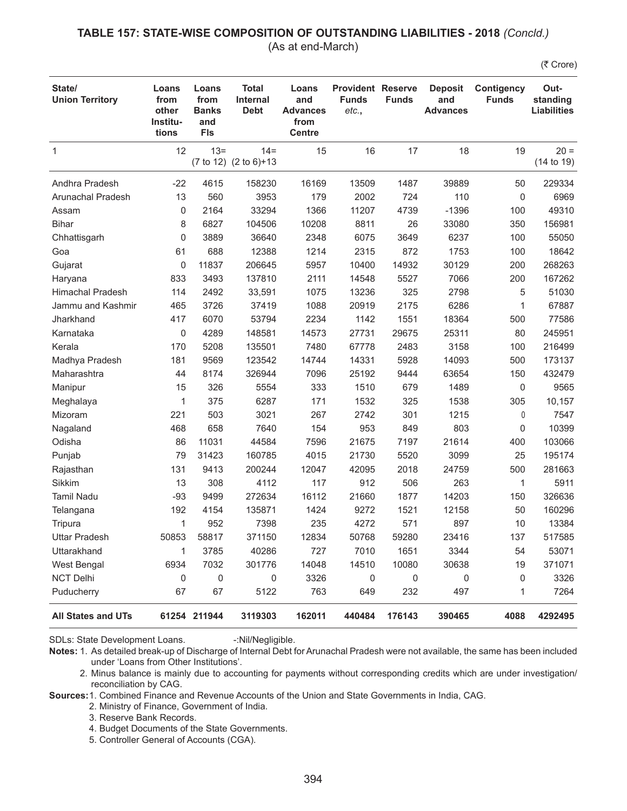#### **TABLE 157: STATE-WISE COMPOSITION OF OUTSTANDING LIABILITIES - 2018** *(Concld.)* (As at end-March)

(そ Crore)

| State/<br><b>Union Territory</b> | Loans<br>from<br>other<br>Institu-<br>tions | Loans<br>from<br><b>Banks</b><br>and<br><b>FIs</b> | <b>Total</b><br><b>Internal</b><br><b>Debt</b> | Loans<br>and<br><b>Advances</b><br>from<br><b>Centre</b> | <b>Provident Reserve</b><br><b>Funds</b><br>etc., | <b>Funds</b> | <b>Deposit</b><br>and<br><b>Advances</b> | <b>Contigency</b><br><b>Funds</b> | Out-<br>standing<br><b>Liabilities</b> |
|----------------------------------|---------------------------------------------|----------------------------------------------------|------------------------------------------------|----------------------------------------------------------|---------------------------------------------------|--------------|------------------------------------------|-----------------------------------|----------------------------------------|
| $\mathbf{1}$                     | 12                                          | $13 =$                                             | $14 =$<br>(7 to 12) (2 to 6)+13                | 15                                                       | 16                                                | 17           | 18                                       | 19                                | $20 =$<br>(14 to 19)                   |
| Andhra Pradesh                   | $-22$                                       | 4615                                               | 158230                                         | 16169                                                    | 13509                                             | 1487         | 39889                                    | 50                                | 229334                                 |
| Arunachal Pradesh                | 13                                          | 560                                                | 3953                                           | 179                                                      | 2002                                              | 724          | 110                                      | 0                                 | 6969                                   |
| Assam                            | 0                                           | 2164                                               | 33294                                          | 1366                                                     | 11207                                             | 4739         | $-1396$                                  | 100                               | 49310                                  |
| <b>Bihar</b>                     | 8                                           | 6827                                               | 104506                                         | 10208                                                    | 8811                                              | 26           | 33080                                    | 350                               | 156981                                 |
| Chhattisgarh                     | 0                                           | 3889                                               | 36640                                          | 2348                                                     | 6075                                              | 3649         | 6237                                     | 100                               | 55050                                  |
| Goa                              | 61                                          | 688                                                | 12388                                          | 1214                                                     | 2315                                              | 872          | 1753                                     | 100                               | 18642                                  |
| Gujarat                          | 0                                           | 11837                                              | 206645                                         | 5957                                                     | 10400                                             | 14932        | 30129                                    | 200                               | 268263                                 |
| Haryana                          | 833                                         | 3493                                               | 137810                                         | 2111                                                     | 14548                                             | 5527         | 7066                                     | 200                               | 167262                                 |
| <b>Himachal Pradesh</b>          | 114                                         | 2492                                               | 33,591                                         | 1075                                                     | 13236                                             | 325          | 2798                                     | 5                                 | 51030                                  |
| Jammu and Kashmir                | 465                                         | 3726                                               | 37419                                          | 1088                                                     | 20919                                             | 2175         | 6286                                     | 1                                 | 67887                                  |
| Jharkhand                        | 417                                         | 6070                                               | 53794                                          | 2234                                                     | 1142                                              | 1551         | 18364                                    | 500                               | 77586                                  |
| Karnataka                        | 0                                           | 4289                                               | 148581                                         | 14573                                                    | 27731                                             | 29675        | 25311                                    | 80                                | 245951                                 |
| Kerala                           | 170                                         | 5208                                               | 135501                                         | 7480                                                     | 67778                                             | 2483         | 3158                                     | 100                               | 216499                                 |
| Madhya Pradesh                   | 181                                         | 9569                                               | 123542                                         | 14744                                                    | 14331                                             | 5928         | 14093                                    | 500                               | 173137                                 |
| Maharashtra                      | 44                                          | 8174                                               | 326944                                         | 7096                                                     | 25192                                             | 9444         | 63654                                    | 150                               | 432479                                 |
| Manipur                          | 15                                          | 326                                                | 5554                                           | 333                                                      | 1510                                              | 679          | 1489                                     | 0                                 | 9565                                   |
| Meghalaya                        | 1                                           | 375                                                | 6287                                           | 171                                                      | 1532                                              | 325          | 1538                                     | 305                               | 10,157                                 |
| Mizoram                          | 221                                         | 503                                                | 3021                                           | 267                                                      | 2742                                              | 301          | 1215                                     | 0                                 | 7547                                   |
| Nagaland                         | 468                                         | 658                                                | 7640                                           | 154                                                      | 953                                               | 849          | 803                                      | 0                                 | 10399                                  |
| Odisha                           | 86                                          | 11031                                              | 44584                                          | 7596                                                     | 21675                                             | 7197         | 21614                                    | 400                               | 103066                                 |
| Punjab                           | 79                                          | 31423                                              | 160785                                         | 4015                                                     | 21730                                             | 5520         | 3099                                     | 25                                | 195174                                 |
| Rajasthan                        | 131                                         | 9413                                               | 200244                                         | 12047                                                    | 42095                                             | 2018         | 24759                                    | 500                               | 281663                                 |
| Sikkim                           | 13                                          | 308                                                | 4112                                           | 117                                                      | 912                                               | 506          | 263                                      | 1                                 | 5911                                   |
| <b>Tamil Nadu</b>                | $-93$                                       | 9499                                               | 272634                                         | 16112                                                    | 21660                                             | 1877         | 14203                                    | 150                               | 326636                                 |
| Telangana                        | 192                                         | 4154                                               | 135871                                         | 1424                                                     | 9272                                              | 1521         | 12158                                    | 50                                | 160296                                 |
| Tripura                          | 1                                           | 952                                                | 7398                                           | 235                                                      | 4272                                              | 571          | 897                                      | 10                                | 13384                                  |
| <b>Uttar Pradesh</b>             | 50853                                       | 58817                                              | 371150                                         | 12834                                                    | 50768                                             | 59280        | 23416                                    | 137                               | 517585                                 |
| Uttarakhand                      | 1                                           | 3785                                               | 40286                                          | 727                                                      | 7010                                              | 1651         | 3344                                     | 54                                | 53071                                  |
| West Bengal                      | 6934                                        | 7032                                               | 301776                                         | 14048                                                    | 14510                                             | 10080        | 30638                                    | 19                                | 371071                                 |
| <b>NCT Delhi</b>                 | 0                                           | $\mathsf 0$                                        | 0                                              | 3326                                                     | 0                                                 | 0            | $\mathbf 0$                              | 0                                 | 3326                                   |
| Puducherry                       | 67                                          | 67                                                 | 5122                                           | 763                                                      | 649                                               | 232          | 497                                      | 1                                 | 7264                                   |
| <b>All States and UTs</b>        |                                             | 61254 211944                                       | 3119303                                        | 162011                                                   | 440484                                            | 176143       | 390465                                   | 4088                              | 4292495                                |

SDLs: State Development Loans. -: Nil/Negligible.

**Sources:**1. Combined Finance and Revenue Accounts of the Union and State Governments in India, CAG.

2. Ministry of Finance, Government of India.

3. Reserve Bank Records.

4. Budget Documents of the State Governments.

5. Controller General of Accounts (CGA).

**Notes:** 1. As detailed break-up of Discharge of Internal Debt for Arunachal Pradesh were not available, the same has been included under 'Loans from Other Institutions'.

<sup>2.</sup> Minus balance is mainly due to accounting for payments without corresponding credits which are under investigation/ reconciliation by CAG.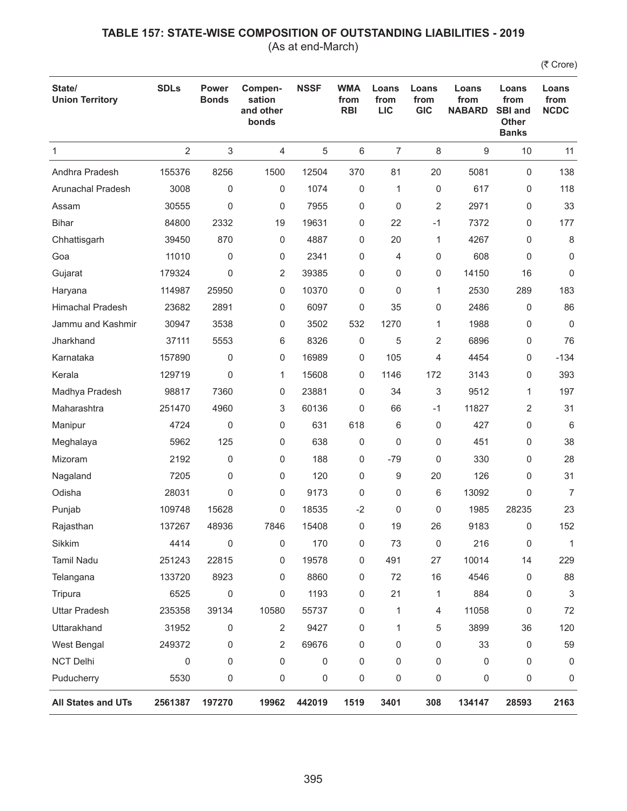(As at end-March)

| State/<br><b>Union Territory</b> | <b>SDLs</b>    | <b>Power</b><br><b>Bonds</b> | Compen-<br>sation<br>and other<br>bonds | <b>NSSF</b> | <b>WMA</b><br>from<br><b>RBI</b> | Loans<br>from<br><b>LIC</b> | Loans<br>from<br><b>GIC</b> | Loans<br>from<br><b>NABARD</b> | Loans<br>from<br><b>SBI and</b><br><b>Other</b><br><b>Banks</b> | Loans<br>from<br><b>NCDC</b> |
|----------------------------------|----------------|------------------------------|-----------------------------------------|-------------|----------------------------------|-----------------------------|-----------------------------|--------------------------------|-----------------------------------------------------------------|------------------------------|
| 1                                | $\overline{2}$ | 3                            | 4                                       | 5           | 6                                | $\overline{7}$              | 8                           | 9                              | 10                                                              | 11                           |
| Andhra Pradesh                   | 155376         | 8256                         | 1500                                    | 12504       | 370                              | 81                          | 20                          | 5081                           | $\mathbf 0$                                                     | 138                          |
| <b>Arunachal Pradesh</b>         | 3008           | 0                            | 0                                       | 1074        | 0                                | 1                           | 0                           | 617                            | 0                                                               | 118                          |
| Assam                            | 30555          | $\mathbf 0$                  | 0                                       | 7955        | 0                                | 0                           | 2                           | 2971                           | 0                                                               | 33                           |
| <b>Bihar</b>                     | 84800          | 2332                         | 19                                      | 19631       | 0                                | 22                          | $-1$                        | 7372                           | 0                                                               | 177                          |
| Chhattisgarh                     | 39450          | 870                          | 0                                       | 4887        | 0                                | 20                          | 1                           | 4267                           | 0                                                               | 8                            |
| Goa                              | 11010          | 0                            | 0                                       | 2341        | 0                                | 4                           | 0                           | 608                            | 0                                                               | $\mathbf 0$                  |
| Gujarat                          | 179324         | $\mathbf 0$                  | 2                                       | 39385       | 0                                | 0                           | 0                           | 14150                          | 16                                                              | 0                            |
| Haryana                          | 114987         | 25950                        | 0                                       | 10370       | 0                                | 0                           | 1                           | 2530                           | 289                                                             | 183                          |
| <b>Himachal Pradesh</b>          | 23682          | 2891                         | 0                                       | 6097        | 0                                | 35                          | 0                           | 2486                           | 0                                                               | 86                           |
| Jammu and Kashmir                | 30947          | 3538                         | 0                                       | 3502        | 532                              | 1270                        | 1                           | 1988                           | 0                                                               | $\mathbf 0$                  |
| Jharkhand                        | 37111          | 5553                         | 6                                       | 8326        | 0                                | 5                           | 2                           | 6896                           | 0                                                               | 76                           |
| Karnataka                        | 157890         | 0                            | 0                                       | 16989       | 0                                | 105                         | 4                           | 4454                           | 0                                                               | $-134$                       |
| Kerala                           | 129719         | $\mathbf 0$                  | 1                                       | 15608       | 0                                | 1146                        | 172                         | 3143                           | 0                                                               | 393                          |
| Madhya Pradesh                   | 98817          | 7360                         | 0                                       | 23881       | 0                                | 34                          | 3                           | 9512                           | 1                                                               | 197                          |
| Maharashtra                      | 251470         | 4960                         | 3                                       | 60136       | 0                                | 66                          | $-1$                        | 11827                          | 2                                                               | 31                           |
| Manipur                          | 4724           | 0                            | 0                                       | 631         | 618                              | 6                           | 0                           | 427                            | 0                                                               | 6                            |
| Meghalaya                        | 5962           | 125                          | 0                                       | 638         | 0                                | 0                           | 0                           | 451                            | 0                                                               | 38                           |
| Mizoram                          | 2192           | 0                            | 0                                       | 188         | 0                                | $-79$                       | 0                           | 330                            | 0                                                               | 28                           |
| Nagaland                         | 7205           | 0                            | 0                                       | 120         | 0                                | 9                           | 20                          | 126                            | 0                                                               | 31                           |
| Odisha                           | 28031          | $\mathbf 0$                  | 0                                       | 9173        | 0                                | 0                           | 6                           | 13092                          | 0                                                               | $\overline{7}$               |
| Punjab                           | 109748         | 15628                        | 0                                       | 18535       | $-2$                             | 0                           | 0                           | 1985                           | 28235                                                           | 23                           |
| Rajasthan                        | 137267         | 48936                        | 7846                                    | 15408       | 0                                | 19                          | 26                          | 9183                           | 0                                                               | 152                          |
| Sikkim                           | 4414           | $\mathbf 0$                  | 0                                       | 170         | 0                                | 73                          | 0                           | 216                            | 0                                                               | $\mathbf{1}$                 |
| <b>Tamil Nadu</b>                | 251243         | 22815                        | 0                                       | 19578       | 0                                | 491                         | 27                          | 10014                          | 14                                                              | 229                          |
| Telangana                        | 133720         | 8923                         | 0                                       | 8860        | 0                                | 72                          | 16                          | 4546                           | 0                                                               | 88                           |
| Tripura                          | 6525           | $\pmb{0}$                    | 0                                       | 1193        | 0                                | 21                          | 1                           | 884                            | 0                                                               | 3                            |
| <b>Uttar Pradesh</b>             | 235358         | 39134                        | 10580                                   | 55737       | 0                                | 1                           | 4                           | 11058                          | 0                                                               | 72                           |
| Uttarakhand                      | 31952          | 0                            | $\overline{c}$                          | 9427        | 0                                | $\mathbf{1}$                | 5                           | 3899                           | 36                                                              | 120                          |
| West Bengal                      | 249372         | 0                            | 2                                       | 69676       | 0                                | 0                           | 0                           | 33                             | 0                                                               | 59                           |
| NCT Delhi                        | 0              | $\mathbf 0$                  | 0                                       | 0           | 0                                | 0                           | 0                           | 0                              | 0                                                               | 0                            |
| Puducherry                       | 5530           | 0                            | 0                                       | 0           | 0                                | 0                           | 0                           | 0                              | 0                                                               | 0                            |
| All States and UTs               | 2561387        | 197270                       | 19962                                   | 442019      | 1519                             | 3401                        | 308                         | 134147                         | 28593                                                           | 2163                         |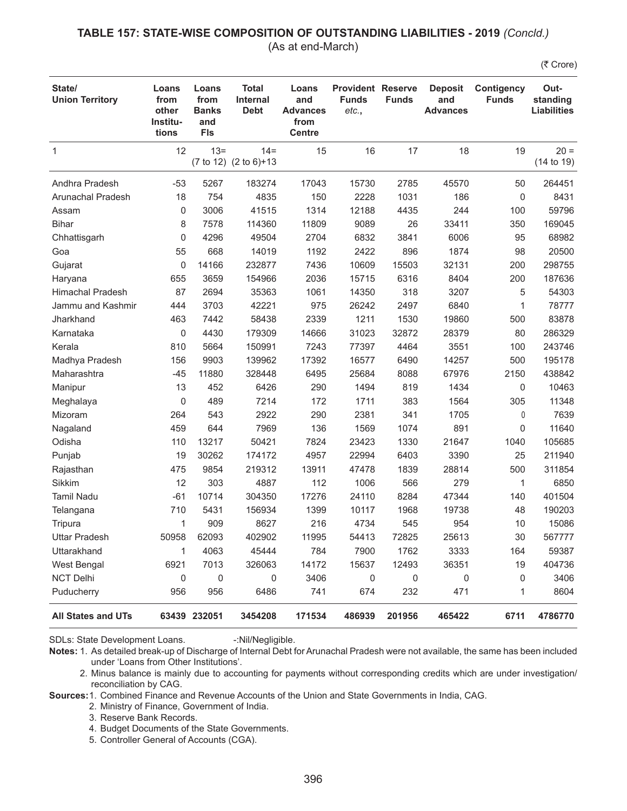#### **TABLE 157: STATE-WISE COMPOSITION OF OUTSTANDING LIABILITIES - 2019** *(Concld.)* (As at end-March)

(そ Crore)

| State/<br><b>Union Territory</b> | Loans<br>from<br>other<br>Institu-<br>tions | Loans<br>from<br><b>Banks</b><br>and<br><b>FIs</b> | <b>Total</b><br><b>Internal</b><br><b>Debt</b> | Loans<br>and<br><b>Advances</b><br>from<br><b>Centre</b> | <b>Provident Reserve</b><br><b>Funds</b><br>etc., | <b>Funds</b> | <b>Deposit</b><br>and<br><b>Advances</b> | <b>Contigency</b><br><b>Funds</b> | Out-<br>standing<br><b>Liabilities</b> |
|----------------------------------|---------------------------------------------|----------------------------------------------------|------------------------------------------------|----------------------------------------------------------|---------------------------------------------------|--------------|------------------------------------------|-----------------------------------|----------------------------------------|
| $\mathbf{1}$                     | 12                                          | $13 =$                                             | $14 =$<br>(7 to 12) (2 to 6)+13                | 15                                                       | 16                                                | 17           | 18                                       | 19                                | $20 =$<br>(14 to 19)                   |
| Andhra Pradesh                   | $-53$                                       | 5267                                               | 183274                                         | 17043                                                    | 15730                                             | 2785         | 45570                                    | 50                                | 264451                                 |
| Arunachal Pradesh                | 18                                          | 754                                                | 4835                                           | 150                                                      | 2228                                              | 1031         | 186                                      | 0                                 | 8431                                   |
| Assam                            | 0                                           | 3006                                               | 41515                                          | 1314                                                     | 12188                                             | 4435         | 244                                      | 100                               | 59796                                  |
| <b>Bihar</b>                     | 8                                           | 7578                                               | 114360                                         | 11809                                                    | 9089                                              | 26           | 33411                                    | 350                               | 169045                                 |
| Chhattisgarh                     | 0                                           | 4296                                               | 49504                                          | 2704                                                     | 6832                                              | 3841         | 6006                                     | 95                                | 68982                                  |
| Goa                              | 55                                          | 668                                                | 14019                                          | 1192                                                     | 2422                                              | 896          | 1874                                     | 98                                | 20500                                  |
| Gujarat                          | 0                                           | 14166                                              | 232877                                         | 7436                                                     | 10609                                             | 15503        | 32131                                    | 200                               | 298755                                 |
| Haryana                          | 655                                         | 3659                                               | 154966                                         | 2036                                                     | 15715                                             | 6316         | 8404                                     | 200                               | 187636                                 |
| <b>Himachal Pradesh</b>          | 87                                          | 2694                                               | 35363                                          | 1061                                                     | 14350                                             | 318          | 3207                                     | 5                                 | 54303                                  |
| Jammu and Kashmir                | 444                                         | 3703                                               | 42221                                          | 975                                                      | 26242                                             | 2497         | 6840                                     | 1                                 | 78777                                  |
| Jharkhand                        | 463                                         | 7442                                               | 58438                                          | 2339                                                     | 1211                                              | 1530         | 19860                                    | 500                               | 83878                                  |
| Karnataka                        | 0                                           | 4430                                               | 179309                                         | 14666                                                    | 31023                                             | 32872        | 28379                                    | 80                                | 286329                                 |
| Kerala                           | 810                                         | 5664                                               | 150991                                         | 7243                                                     | 77397                                             | 4464         | 3551                                     | 100                               | 243746                                 |
| Madhya Pradesh                   | 156                                         | 9903                                               | 139962                                         | 17392                                                    | 16577                                             | 6490         | 14257                                    | 500                               | 195178                                 |
| Maharashtra                      | $-45$                                       | 11880                                              | 328448                                         | 6495                                                     | 25684                                             | 8088         | 67976                                    | 2150                              | 438842                                 |
| Manipur                          | 13                                          | 452                                                | 6426                                           | 290                                                      | 1494                                              | 819          | 1434                                     | 0                                 | 10463                                  |
| Meghalaya                        | 0                                           | 489                                                | 7214                                           | 172                                                      | 1711                                              | 383          | 1564                                     | 305                               | 11348                                  |
| Mizoram                          | 264                                         | 543                                                | 2922                                           | 290                                                      | 2381                                              | 341          | 1705                                     | $\mathbf{0}$                      | 7639                                   |
| Nagaland                         | 459                                         | 644                                                | 7969                                           | 136                                                      | 1569                                              | 1074         | 891                                      | 0                                 | 11640                                  |
| Odisha                           | 110                                         | 13217                                              | 50421                                          | 7824                                                     | 23423                                             | 1330         | 21647                                    | 1040                              | 105685                                 |
| Punjab                           | 19                                          | 30262                                              | 174172                                         | 4957                                                     | 22994                                             | 6403         | 3390                                     | 25                                | 211940                                 |
| Rajasthan                        | 475                                         | 9854                                               | 219312                                         | 13911                                                    | 47478                                             | 1839         | 28814                                    | 500                               | 311854                                 |
| Sikkim                           | 12                                          | 303                                                | 4887                                           | 112                                                      | 1006                                              | 566          | 279                                      | 1                                 | 6850                                   |
| <b>Tamil Nadu</b>                | $-61$                                       | 10714                                              | 304350                                         | 17276                                                    | 24110                                             | 8284         | 47344                                    | 140                               | 401504                                 |
| Telangana                        | 710                                         | 5431                                               | 156934                                         | 1399                                                     | 10117                                             | 1968         | 19738                                    | 48                                | 190203                                 |
| Tripura                          | 1                                           | 909                                                | 8627                                           | 216                                                      | 4734                                              | 545          | 954                                      | 10                                | 15086                                  |
| <b>Uttar Pradesh</b>             | 50958                                       | 62093                                              | 402902                                         | 11995                                                    | 54413                                             | 72825        | 25613                                    | 30                                | 567777                                 |
| Uttarakhand                      | 1                                           | 4063                                               | 45444                                          | 784                                                      | 7900                                              | 1762         | 3333                                     | 164                               | 59387                                  |
| West Bengal                      | 6921                                        | 7013                                               | 326063                                         | 14172                                                    | 15637                                             | 12493        | 36351                                    | 19                                | 404736                                 |
| <b>NCT Delhi</b>                 | 0                                           | 0                                                  | 0                                              | 3406                                                     | 0                                                 | 0            | 0                                        | 0                                 | 3406                                   |
| Puducherry                       | 956                                         | 956                                                | 6486                                           | 741                                                      | 674                                               | 232          | 471                                      | 1                                 | 8604                                   |
| <b>All States and UTs</b>        |                                             | 63439 232051                                       | 3454208                                        | 171534                                                   | 486939                                            | 201956       | 465422                                   | 6711                              | 4786770                                |

SDLs: State Development Loans. -:Nil/Negligible.

**Sources:**1. Combined Finance and Revenue Accounts of the Union and State Governments in India, CAG.

- 2. Ministry of Finance, Government of India.
- 3. Reserve Bank Records.
- 4. Budget Documents of the State Governments.
- 5. Controller General of Accounts (CGA).

**Notes:** 1. As detailed break-up of Discharge of Internal Debt for Arunachal Pradesh were not available, the same has been included under 'Loans from Other Institutions'.

<sup>2.</sup> Minus balance is mainly due to accounting for payments without corresponding credits which are under investigation/ reconciliation by CAG.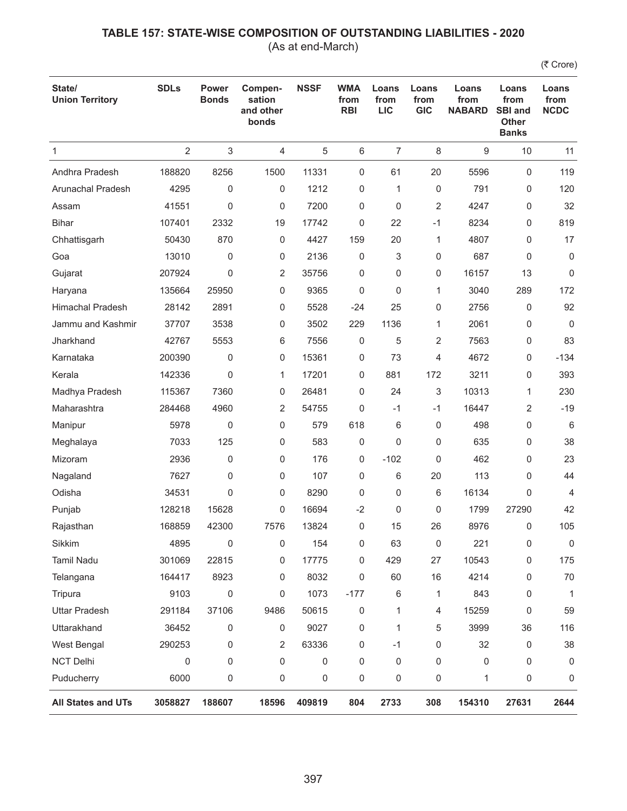(As at end-March)

| State/<br><b>Union Territory</b> | <b>SDLs</b>    | <b>Power</b><br><b>Bonds</b> | Compen-<br>sation<br>and other<br>bonds | <b>NSSF</b> | <b>WMA</b><br>from<br><b>RBI</b> | Loans<br>from<br><b>LIC</b> | Loans<br>from<br><b>GIC</b> | Loans<br>from<br><b>NABARD</b> | Loans<br>from<br><b>SBI and</b><br><b>Other</b><br><b>Banks</b> | Loans<br>from<br><b>NCDC</b> |
|----------------------------------|----------------|------------------------------|-----------------------------------------|-------------|----------------------------------|-----------------------------|-----------------------------|--------------------------------|-----------------------------------------------------------------|------------------------------|
| 1                                | $\overline{2}$ | 3                            | 4                                       | 5           | 6                                | $\overline{7}$              | 8                           | 9                              | 10                                                              | 11                           |
| Andhra Pradesh                   | 188820         | 8256                         | 1500                                    | 11331       | 0                                | 61                          | 20                          | 5596                           | $\mathbf 0$                                                     | 119                          |
| <b>Arunachal Pradesh</b>         | 4295           | 0                            | 0                                       | 1212        | 0                                | 1                           | 0                           | 791                            | 0                                                               | 120                          |
| Assam                            | 41551          | $\mathbf 0$                  | 0                                       | 7200        | 0                                | 0                           | 2                           | 4247                           | 0                                                               | 32                           |
| <b>Bihar</b>                     | 107401         | 2332                         | 19                                      | 17742       | 0                                | 22                          | $-1$                        | 8234                           | 0                                                               | 819                          |
| Chhattisgarh                     | 50430          | 870                          | 0                                       | 4427        | 159                              | 20                          | 1                           | 4807                           | 0                                                               | 17                           |
| Goa                              | 13010          | $\mathbf 0$                  | 0                                       | 2136        | 0                                | 3                           | 0                           | 687                            | 0                                                               | $\mathbf 0$                  |
| Gujarat                          | 207924         | $\mathbf 0$                  | 2                                       | 35756       | 0                                | 0                           | 0                           | 16157                          | 13                                                              | 0                            |
| Haryana                          | 135664         | 25950                        | 0                                       | 9365        | 0                                | 0                           | 1                           | 3040                           | 289                                                             | 172                          |
| <b>Himachal Pradesh</b>          | 28142          | 2891                         | 0                                       | 5528        | $-24$                            | 25                          | 0                           | 2756                           | 0                                                               | 92                           |
| Jammu and Kashmir                | 37707          | 3538                         | 0                                       | 3502        | 229                              | 1136                        | 1                           | 2061                           | 0                                                               | 0                            |
| Jharkhand                        | 42767          | 5553                         | 6                                       | 7556        | 0                                | 5                           | 2                           | 7563                           | 0                                                               | 83                           |
| Karnataka                        | 200390         | 0                            | 0                                       | 15361       | 0                                | 73                          | 4                           | 4672                           | 0                                                               | $-134$                       |
| Kerala                           | 142336         | $\mathbf 0$                  | 1                                       | 17201       | 0                                | 881                         | 172                         | 3211                           | 0                                                               | 393                          |
| Madhya Pradesh                   | 115367         | 7360                         | 0                                       | 26481       | 0                                | 24                          | 3                           | 10313                          | 1                                                               | 230                          |
| Maharashtra                      | 284468         | 4960                         | 2                                       | 54755       | 0                                | $-1$                        | $-1$                        | 16447                          | 2                                                               | $-19$                        |
| Manipur                          | 5978           | 0                            | 0                                       | 579         | 618                              | 6                           | 0                           | 498                            | 0                                                               | 6                            |
| Meghalaya                        | 7033           | 125                          | 0                                       | 583         | 0                                | 0                           | 0                           | 635                            | 0                                                               | 38                           |
| Mizoram                          | 2936           | 0                            | 0                                       | 176         | 0                                | $-102$                      | 0                           | 462                            | 0                                                               | 23                           |
| Nagaland                         | 7627           | 0                            | 0                                       | 107         | 0                                | 6                           | 20                          | 113                            | 0                                                               | 44                           |
| Odisha                           | 34531          | $\mathbf 0$                  | 0                                       | 8290        | 0                                | 0                           | 6                           | 16134                          | 0                                                               | 4                            |
| Punjab                           | 128218         | 15628                        | 0                                       | 16694       | $-2$                             | 0                           | 0                           | 1799                           | 27290                                                           | 42                           |
| Rajasthan                        | 168859         | 42300                        | 7576                                    | 13824       | 0                                | 15                          | 26                          | 8976                           | 0                                                               | 105                          |
| Sikkim                           | 4895           | 0                            | 0                                       | 154         | 0                                | 63                          | 0                           | 221                            | 0                                                               | 0                            |
| <b>Tamil Nadu</b>                | 301069         | 22815                        | 0                                       | 17775       | 0                                | 429                         | 27                          | 10543                          | 0                                                               | 175                          |
| Telangana                        | 164417         | 8923                         | 0                                       | 8032        | 0                                | 60                          | 16                          | 4214                           | 0                                                               | 70                           |
| Tripura                          | 9103           | $\pmb{0}$                    | 0                                       | 1073        | $-177$                           | 6                           | 1                           | 843                            | 0                                                               | $\mathbf{1}$                 |
| <b>Uttar Pradesh</b>             | 291184         | 37106                        | 9486                                    | 50615       | 0                                | 1                           | 4                           | 15259                          | 0                                                               | 59                           |
| Uttarakhand                      | 36452          | 0                            | 0                                       | 9027        | 0                                | 1                           | 5                           | 3999                           | 36                                                              | 116                          |
| West Bengal                      | 290253         | 0                            | 2                                       | 63336       | 0                                | $-1$                        | 0                           | 32                             | 0                                                               | 38                           |
| NCT Delhi                        | 0              | $\mathbf 0$                  | 0                                       | 0           | 0                                | 0                           | 0                           | 0                              | 0                                                               | 0                            |
| Puducherry                       | 6000           | 0                            | 0                                       | 0           | 0                                | 0                           | 0                           | 1                              | 0                                                               | 0                            |
| All States and UTs               | 3058827        | 188607                       | 18596                                   | 409819      | 804                              | 2733                        | 308                         | 154310                         | 27631                                                           | 2644                         |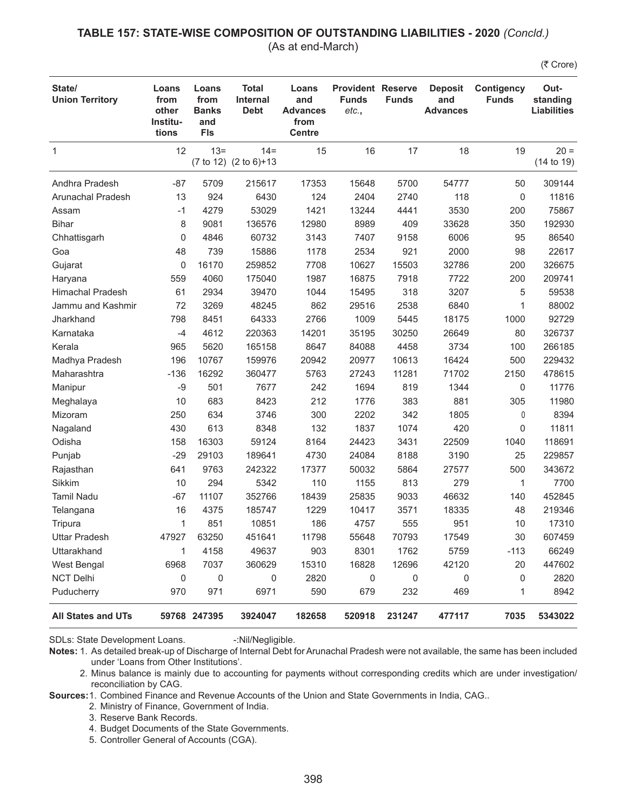#### **TABLE 157: STATE-WISE COMPOSITION OF OUTSTANDING LIABILITIES - 2020** *(Concld.)* (As at end-March)

(そ Crore)

| State/<br><b>Union Territory</b> | Loans<br>from<br>other<br>Institu-<br>tions | Loans<br>from<br><b>Banks</b><br>and<br><b>FIs</b> | <b>Total</b><br><b>Internal</b><br><b>Debt</b> | Loans<br>and<br><b>Advances</b><br>from<br><b>Centre</b> | <b>Provident Reserve</b><br><b>Funds</b><br>etc., | <b>Funds</b> | <b>Deposit</b><br>and<br><b>Advances</b> | <b>Contigency</b><br><b>Funds</b> | Out-<br>standing<br><b>Liabilities</b> |
|----------------------------------|---------------------------------------------|----------------------------------------------------|------------------------------------------------|----------------------------------------------------------|---------------------------------------------------|--------------|------------------------------------------|-----------------------------------|----------------------------------------|
| $\mathbf{1}$                     | 12                                          | $13 =$                                             | $14 =$<br>(7 to 12) (2 to 6)+13                | 15                                                       | 16                                                | 17           | 18                                       | 19                                | $20 =$<br>(14 to 19)                   |
| Andhra Pradesh                   | $-87$                                       | 5709                                               | 215617                                         | 17353                                                    | 15648                                             | 5700         | 54777                                    | 50                                | 309144                                 |
| Arunachal Pradesh                | 13                                          | 924                                                | 6430                                           | 124                                                      | 2404                                              | 2740         | 118                                      | 0                                 | 11816                                  |
| Assam                            | $-1$                                        | 4279                                               | 53029                                          | 1421                                                     | 13244                                             | 4441         | 3530                                     | 200                               | 75867                                  |
| <b>Bihar</b>                     | 8                                           | 9081                                               | 136576                                         | 12980                                                    | 8989                                              | 409          | 33628                                    | 350                               | 192930                                 |
| Chhattisgarh                     | 0                                           | 4846                                               | 60732                                          | 3143                                                     | 7407                                              | 9158         | 6006                                     | 95                                | 86540                                  |
| Goa                              | 48                                          | 739                                                | 15886                                          | 1178                                                     | 2534                                              | 921          | 2000                                     | 98                                | 22617                                  |
| Gujarat                          | 0                                           | 16170                                              | 259852                                         | 7708                                                     | 10627                                             | 15503        | 32786                                    | 200                               | 326675                                 |
| Haryana                          | 559                                         | 4060                                               | 175040                                         | 1987                                                     | 16875                                             | 7918         | 7722                                     | 200                               | 209741                                 |
| <b>Himachal Pradesh</b>          | 61                                          | 2934                                               | 39470                                          | 1044                                                     | 15495                                             | 318          | 3207                                     | 5                                 | 59538                                  |
| Jammu and Kashmir                | 72                                          | 3269                                               | 48245                                          | 862                                                      | 29516                                             | 2538         | 6840                                     | 1                                 | 88002                                  |
| Jharkhand                        | 798                                         | 8451                                               | 64333                                          | 2766                                                     | 1009                                              | 5445         | 18175                                    | 1000                              | 92729                                  |
| Karnataka                        | $-4$                                        | 4612                                               | 220363                                         | 14201                                                    | 35195                                             | 30250        | 26649                                    | 80                                | 326737                                 |
| Kerala                           | 965                                         | 5620                                               | 165158                                         | 8647                                                     | 84088                                             | 4458         | 3734                                     | 100                               | 266185                                 |
| Madhya Pradesh                   | 196                                         | 10767                                              | 159976                                         | 20942                                                    | 20977                                             | 10613        | 16424                                    | 500                               | 229432                                 |
| Maharashtra                      | $-136$                                      | 16292                                              | 360477                                         | 5763                                                     | 27243                                             | 11281        | 71702                                    | 2150                              | 478615                                 |
| Manipur                          | $-9$                                        | 501                                                | 7677                                           | 242                                                      | 1694                                              | 819          | 1344                                     | 0                                 | 11776                                  |
| Meghalaya                        | 10                                          | 683                                                | 8423                                           | 212                                                      | 1776                                              | 383          | 881                                      | 305                               | 11980                                  |
| Mizoram                          | 250                                         | 634                                                | 3746                                           | 300                                                      | 2202                                              | 342          | 1805                                     | $\mathbf{0}$                      | 8394                                   |
| Nagaland                         | 430                                         | 613                                                | 8348                                           | 132                                                      | 1837                                              | 1074         | 420                                      | 0                                 | 11811                                  |
| Odisha                           | 158                                         | 16303                                              | 59124                                          | 8164                                                     | 24423                                             | 3431         | 22509                                    | 1040                              | 118691                                 |
| Punjab                           | $-29$                                       | 29103                                              | 189641                                         | 4730                                                     | 24084                                             | 8188         | 3190                                     | 25                                | 229857                                 |
| Rajasthan                        | 641                                         | 9763                                               | 242322                                         | 17377                                                    | 50032                                             | 5864         | 27577                                    | 500                               | 343672                                 |
| Sikkim                           | 10                                          | 294                                                | 5342                                           | 110                                                      | 1155                                              | 813          | 279                                      | 1                                 | 7700                                   |
| <b>Tamil Nadu</b>                | $-67$                                       | 11107                                              | 352766                                         | 18439                                                    | 25835                                             | 9033         | 46632                                    | 140                               | 452845                                 |
| Telangana                        | 16                                          | 4375                                               | 185747                                         | 1229                                                     | 10417                                             | 3571         | 18335                                    | 48                                | 219346                                 |
| Tripura                          | 1                                           | 851                                                | 10851                                          | 186                                                      | 4757                                              | 555          | 951                                      | 10                                | 17310                                  |
| <b>Uttar Pradesh</b>             | 47927                                       | 63250                                              | 451641                                         | 11798                                                    | 55648                                             | 70793        | 17549                                    | 30                                | 607459                                 |
| Uttarakhand                      | 1                                           | 4158                                               | 49637                                          | 903                                                      | 8301                                              | 1762         | 5759                                     | $-113$                            | 66249                                  |
| West Bengal                      | 6968                                        | 7037                                               | 360629                                         | 15310                                                    | 16828                                             | 12696        | 42120                                    | 20                                | 447602                                 |
| <b>NCT Delhi</b>                 | 0                                           | 0                                                  | 0                                              | 2820                                                     | 0                                                 | 0            | 0                                        | 0                                 | 2820                                   |
| Puducherry                       | 970                                         | 971                                                | 6971                                           | 590                                                      | 679                                               | 232          | 469                                      | 1                                 | 8942                                   |
| <b>All States and UTs</b>        |                                             | 59768 247395                                       | 3924047                                        | 182658                                                   | 520918                                            | 231247       | 477117                                   | 7035                              | 5343022                                |

SDLs: State Development Loans. -:Nil/Negligible.

**Sources:**1. Combined Finance and Revenue Accounts of the Union and State Governments in India, CAG..

- 2. Ministry of Finance, Government of India.
- 3. Reserve Bank Records.

4. Budget Documents of the State Governments.

5. Controller General of Accounts (CGA).

**Notes:** 1. As detailed break-up of Discharge of Internal Debt for Arunachal Pradesh were not available, the same has been included under 'Loans from Other Institutions'.

<sup>2.</sup> Minus balance is mainly due to accounting for payments without corresponding credits which are under investigation/ reconciliation by CAG.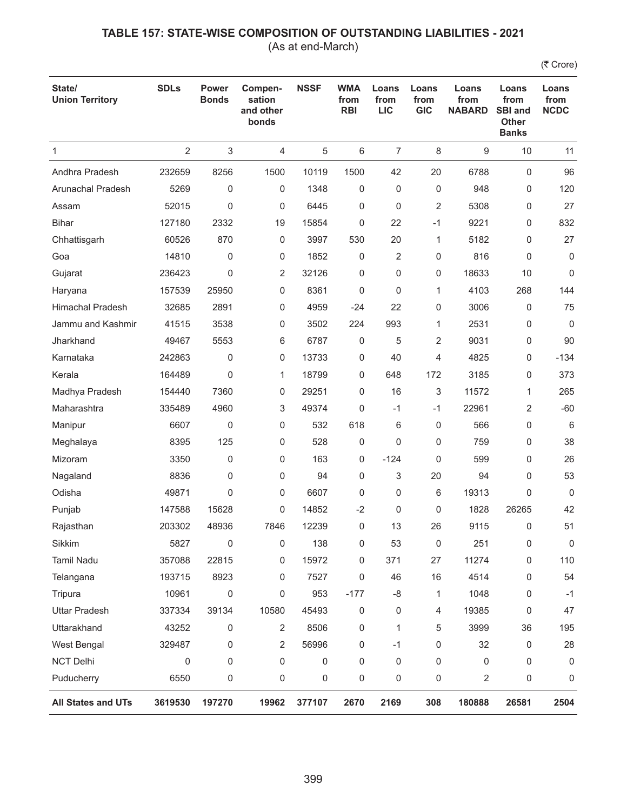(As at end-March)

| State/<br><b>Union Territory</b> | <b>SDLs</b>    | Power<br><b>Bonds</b> | Compen-<br>sation<br>and other<br>bonds | <b>NSSF</b> | <b>WMA</b><br>from<br><b>RBI</b> | Loans<br>from<br><b>LIC</b> | Loans<br>from<br><b>GIC</b> | Loans<br>from<br><b>NABARD</b> | Loans<br>from<br><b>SBI and</b><br><b>Other</b><br><b>Banks</b> | Loans<br>from<br><b>NCDC</b> |
|----------------------------------|----------------|-----------------------|-----------------------------------------|-------------|----------------------------------|-----------------------------|-----------------------------|--------------------------------|-----------------------------------------------------------------|------------------------------|
| 1                                | $\overline{2}$ | 3                     | 4                                       | 5           | 6                                | $\overline{7}$              | 8                           | 9                              | 10                                                              | 11                           |
| Andhra Pradesh                   | 232659         | 8256                  | 1500                                    | 10119       | 1500                             | 42                          | 20                          | 6788                           | $\mathbf 0$                                                     | 96                           |
| Arunachal Pradesh                | 5269           | 0                     | 0                                       | 1348        | 0                                | 0                           | 0                           | 948                            | 0                                                               | 120                          |
| Assam                            | 52015          | $\mathbf 0$           | 0                                       | 6445        | 0                                | $\mathbf 0$                 | 2                           | 5308                           | 0                                                               | 27                           |
| <b>Bihar</b>                     | 127180         | 2332                  | 19                                      | 15854       | 0                                | 22                          | $-1$                        | 9221                           | 0                                                               | 832                          |
| Chhattisgarh                     | 60526          | 870                   | 0                                       | 3997        | 530                              | 20                          | 1                           | 5182                           | 0                                                               | 27                           |
| Goa                              | 14810          | $\mathbf{0}$          | 0                                       | 1852        | 0                                | $\overline{2}$              | 0                           | 816                            | 0                                                               | 0                            |
| Gujarat                          | 236423         | $\mathbf 0$           | 2                                       | 32126       | 0                                | 0                           | 0                           | 18633                          | 10                                                              | 0                            |
| Haryana                          | 157539         | 25950                 | 0                                       | 8361        | 0                                | $\mathbf 0$                 | 1                           | 4103                           | 268                                                             | 144                          |
| <b>Himachal Pradesh</b>          | 32685          | 2891                  | 0                                       | 4959        | $-24$                            | 22                          | 0                           | 3006                           | 0                                                               | 75                           |
| Jammu and Kashmir                | 41515          | 3538                  | 0                                       | 3502        | 224                              | 993                         | 1                           | 2531                           | 0                                                               | $\mathbf 0$                  |
| Jharkhand                        | 49467          | 5553                  | 6                                       | 6787        | 0                                | 5                           | 2                           | 9031                           | 0                                                               | 90                           |
| Karnataka                        | 242863         | 0                     | 0                                       | 13733       | 0                                | 40                          | 4                           | 4825                           | 0                                                               | $-134$                       |
| Kerala                           | 164489         | $\mathbf 0$           | 1                                       | 18799       | 0                                | 648                         | 172                         | 3185                           | 0                                                               | 373                          |
| Madhya Pradesh                   | 154440         | 7360                  | 0                                       | 29251       | 0                                | 16                          | 3                           | 11572                          | 1                                                               | 265                          |
| Maharashtra                      | 335489         | 4960                  | 3                                       | 49374       | 0                                | $-1$                        | $-1$                        | 22961                          | 2                                                               | $-60$                        |
| Manipur                          | 6607           | 0                     | 0                                       | 532         | 618                              | 6                           | 0                           | 566                            | 0                                                               | 6                            |
| Meghalaya                        | 8395           | 125                   | 0                                       | 528         | 0                                | $\mathbf 0$                 | 0                           | 759                            | 0                                                               | 38                           |
| Mizoram                          | 3350           | 0                     | 0                                       | 163         | 0                                | $-124$                      | 0                           | 599                            | 0                                                               | 26                           |
| Nagaland                         | 8836           | 0                     | 0                                       | 94          | 0                                | 3                           | 20                          | 94                             | 0                                                               | 53                           |
| Odisha                           | 49871          | $\mathbf 0$           | 0                                       | 6607        | 0                                | 0                           | 6                           | 19313                          | 0                                                               | 0                            |
| Punjab                           | 147588         | 15628                 | 0                                       | 14852       | $-2$                             | 0                           | 0                           | 1828                           | 26265                                                           | 42                           |
| Rajasthan                        | 203302         | 48936                 | 7846                                    | 12239       | 0                                | 13                          | 26                          | 9115                           | 0                                                               | 51                           |
| Sikkim                           | 5827           | $\mathbf 0$           | 0                                       | 138         | 0                                | 53                          | 0                           | 251                            | 0                                                               | 0                            |
| Tamil Nadu                       | 357088         | 22815                 | 0                                       | 15972       | 0                                | 371                         | 27                          | 11274                          | 0                                                               | 110                          |
| Telangana                        | 193715         | 8923                  | 0                                       | 7527        | 0                                | 46                          | 16                          | 4514                           | 0                                                               | 54                           |
| Tripura                          | 10961          | 0                     | 0                                       | 953         | $-177$                           | -8                          | 1                           | 1048                           | 0                                                               | $-1$                         |
| <b>Uttar Pradesh</b>             | 337334         | 39134                 | 10580                                   | 45493       | 0                                | 0                           | 4                           | 19385                          | 0                                                               | 47                           |
| Uttarakhand                      | 43252          | 0                     | 2                                       | 8506        | 0                                | 1                           | 5                           | 3999                           | 36                                                              | 195                          |
| West Bengal                      | 329487         | 0                     | 2                                       | 56996       | 0                                | $-1$                        | 0                           | 32                             | 0                                                               | 28                           |
| NCT Delhi                        | 0              | 0                     | 0                                       | 0           | 0                                | 0                           | 0                           | 0                              | 0                                                               | 0                            |
| Puducherry                       | 6550           | 0                     | 0                                       | 0           | 0                                | 0                           | 0                           | 2                              | 0                                                               | 0                            |
| All States and UTs               | 3619530        | 197270                | 19962                                   | 377107      | 2670                             | 2169                        | 308                         | 180888                         | 26581                                                           | 2504                         |